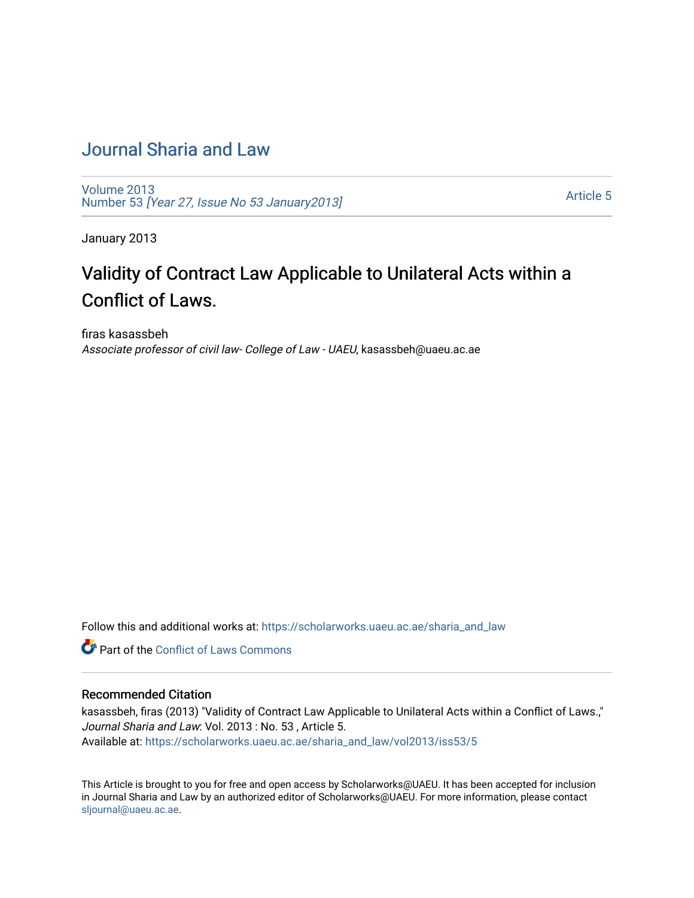### [Journal Sharia and Law](https://scholarworks.uaeu.ac.ae/sharia_and_law)

[Volume 2013](https://scholarworks.uaeu.ac.ae/sharia_and_law/vol2013)  Number 53 [\[Year 27, Issue No 53 January2013\]](https://scholarworks.uaeu.ac.ae/sharia_and_law/vol2013/iss53)

[Article 5](https://scholarworks.uaeu.ac.ae/sharia_and_law/vol2013/iss53/5) 

January 2013

# Validity of Contract Law Applicable to Unilateral Acts within a Conflict of Laws.

firas kasassbeh Associate professor of civil law- College of Law - UAEU, kasassbeh@uaeu.ac.ae

Follow this and additional works at: [https://scholarworks.uaeu.ac.ae/sharia\\_and\\_law](https://scholarworks.uaeu.ac.ae/sharia_and_law?utm_source=scholarworks.uaeu.ac.ae%2Fsharia_and_law%2Fvol2013%2Fiss53%2F5&utm_medium=PDF&utm_campaign=PDFCoverPages) 

**C** Part of the Conflict of Laws Commons

#### Recommended Citation

kasassbeh, firas (2013) "Validity of Contract Law Applicable to Unilateral Acts within a Conflict of Laws.," Journal Sharia and Law: Vol. 2013 : No. 53 , Article 5. Available at: [https://scholarworks.uaeu.ac.ae/sharia\\_and\\_law/vol2013/iss53/5](https://scholarworks.uaeu.ac.ae/sharia_and_law/vol2013/iss53/5?utm_source=scholarworks.uaeu.ac.ae%2Fsharia_and_law%2Fvol2013%2Fiss53%2F5&utm_medium=PDF&utm_campaign=PDFCoverPages)

This Article is brought to you for free and open access by Scholarworks@UAEU. It has been accepted for inclusion in Journal Sharia and Law by an authorized editor of Scholarworks@UAEU. For more information, please contact [sljournal@uaeu.ac.ae.](mailto:sljournal@uaeu.ac.ae)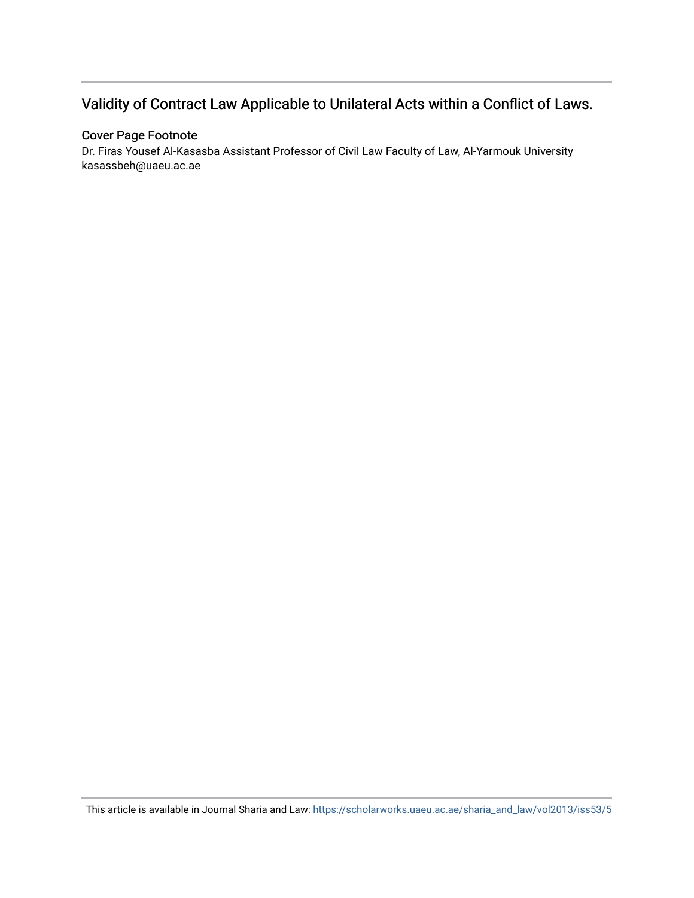## Validity of Contract Law Applicable to Unilateral Acts within a Conflict of Laws.

#### Cover Page Footnote

Dr. Firas Yousef Al-Kasasba Assistant Professor of Civil Law Faculty of Law, Al-Yarmouk University kasassbeh@uaeu.ac.ae

This article is available in Journal Sharia and Law: [https://scholarworks.uaeu.ac.ae/sharia\\_and\\_law/vol2013/iss53/5](https://scholarworks.uaeu.ac.ae/sharia_and_law/vol2013/iss53/5)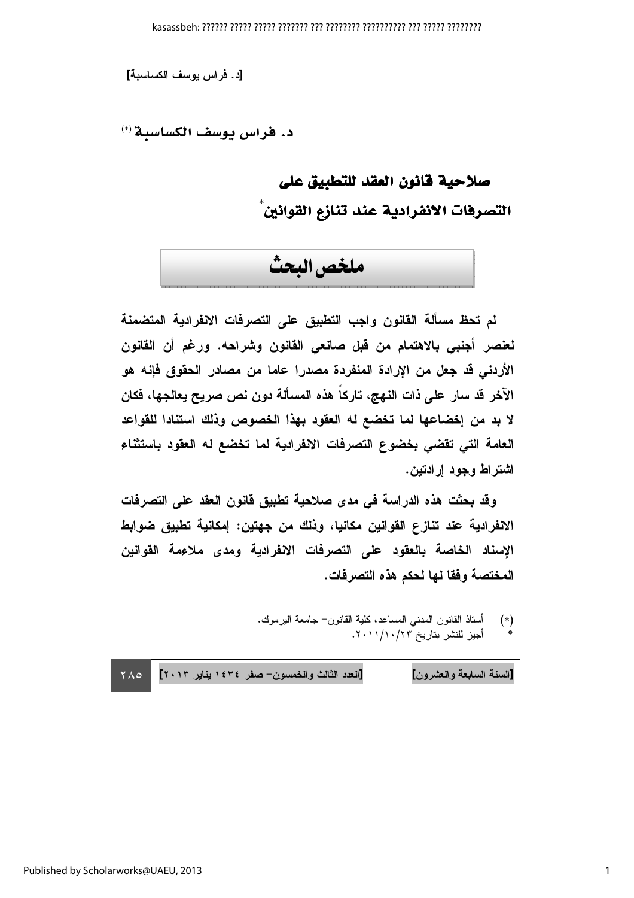د. فراس يوسف الكساسية (\*)

# صلاحية فانون العقد للتطبيق على التصرفات الانفرادية عند تنازع القوانين ً

# ملخص البحث

لم تحظ مسألة القانون واجب التطبيق على التصرفات الانفرادية المتضمنة لعنصر أجنبي بالاهتمام من قبل صانعي القانون وشراحه. ورغم أن القانون الأردني قد جعل من الإرادة المنفردة مصدرا عاما من مصادر الحقوق فإنه هو الآخر قد سار على ذات النهج، تاركاً هذه المسألة دون نص صريح يعالجها، فكان لا بد من إخضاعها لما تخضع له العقود بهذا الخصوص وذلك استنادا للقواعد العامة التي تقضي بخضوع التصرفات الانفرادية لما تخضع له العقود باستثناء اشتراط وجود إرادتين.

وقد بحثت هذه الدراسة في مدى صلاحية تطبيق قانون العقد على التصرفات الانفرادية عند تنازع القوانين مكانيا، وذلك من جهتين: إمكانية تطبيق ضوابط الإسناد الخاصة بالعقود على التصرفات الانفرادية ومدى ملاءمة القوانين المختصة وفقا لها لحكم هذه التصرفات.

[العدد الثالث والخمسون- صفر ١٤٣٤ يناير ٢٠١٣] [السنة السابعة والعشرون]  $Y \wedge Q$ 

أسناذ القانون المدنبي المساعد، كلية القانون– جامعة البرموك.  $(*)$ 

أجيز للنشر بناريخ ٢٣/١٠/١٠/١٠.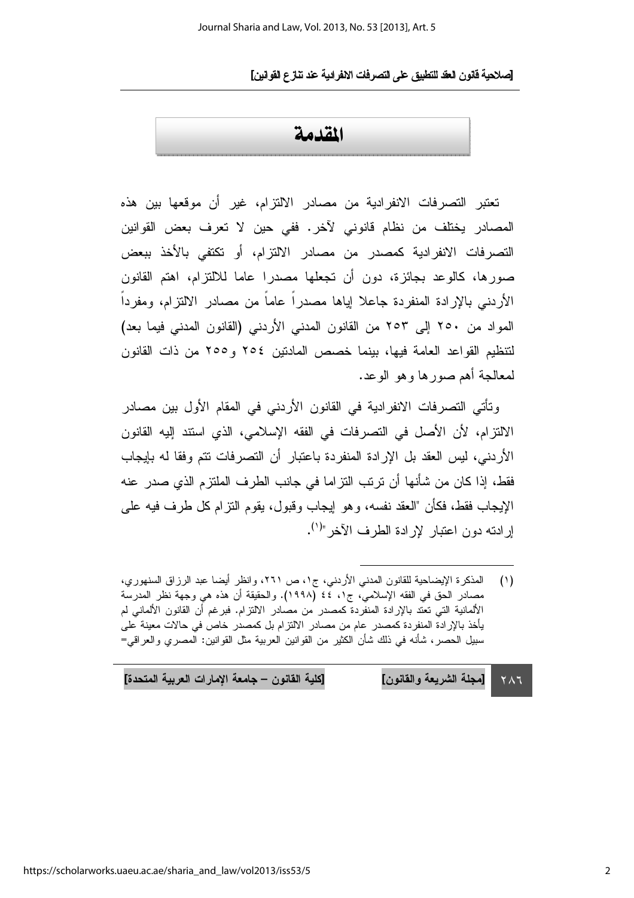### المقدمة

تعتبر التصرفات الانفرادية من مصادر الالتزام، غير أن موقعها بين هذه المصادر يختلف من نظام قانوني لآخر. ففي حين لا تعرف بعض القوانين التصر فات الانفر ادية كمصدر من مصادر الالتزام، أو تكتفي بالأخذ ببعض صورها، كالوعد بجائزة، دون أن تجعلها مصدرا عاما للالتزام، اهتم القانون الأردنبي بالإرادة المنفردة جاعلا لياها مصدراً عاماً من مصادر الالتزام، ومفرداً المواد من ٢٥٠ إلى ٢٥٣ من القانون المدني الأردني (القانون المدني فيما بعد) لتتظيم القواعد العامة فيها، بينما خصص المادنين ٢٥٤ و ٢٥٥ من ذات القانون لمعالجة أهم صور ها و هو الو عد.

وتأتي التصرفات الانفرادية في القانون الأردني في المقام الأول بين مصادر الالتزام، لأن الأصل في التصرفات في الفقه الإسلامي، الذي استند إليه القانون الأردني، ليس العقد بل الإرادة المنفردة باعتبار أن التصرفات نتم وفقا له بإيجاب فقط، إذا كان من شأنها أن ترتب التزاما في جانب الطرف الملتزم الذي صدر عنه الإيجاب فقط، فكأن "العقد نفسه، و هو إيجاب و قبول، يقو م النز ام كل طر ف فيه على ار ادته دون اعتبار لار ادة الطر ف الآخر "<sup>(۱</sup>).

[كلية القانون – جامعة الإمارات العربية المتحدة] [مجلة الشريعة والقانون]  $Y \wedge 7$ 

المذكرة الإيضاحية للقانون المدنى الأردني، ج١، ص ٢٦١، وانظر أيضا عبد الرزاق السنهوري،  $(1)$ مصادر الحق في الفقه الإسلامي، ج١، ٤٤ (١٩٩٨). والحقيقة أن هذه هي وجهة نظر المدرسة الألمانية التي تعتد بالإرادة المنفردة كمصدر من مصادر الالتزام. فبرغم أن القانون الألماني لم يأخذ بالإرادة المنفردة كمصدر عام من مصادر الالتزام بل كمصدر خاص في حالات معينة على سبيل الحصر ، شأنه في ذلك شأن الكثير من القوانين العربية مثل القوانين: المصري والعراقي=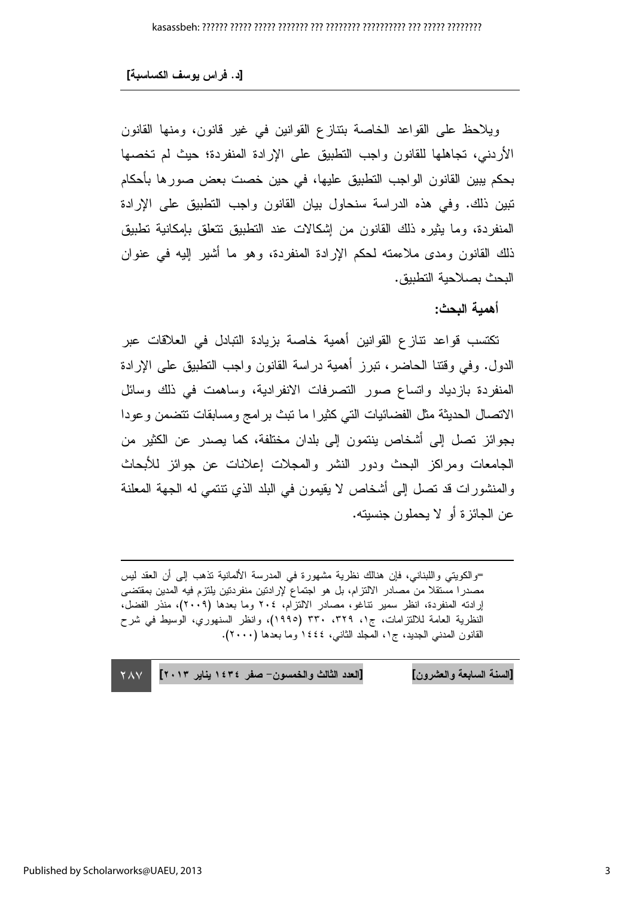ويلاحظ على القواعد الخاصة بتتازع القوانين في غير قانون، ومنها القانون الأردنبي، تجاهلها للقانون واجب التطبيق على الإرادة المنفردة؛ حيث لم تخصها بحكم بِبين القانون الواجب التطبيق عليها، في حين خصت بعض صورها بأحكام تبين ذلك. وفي هذه الدراسة سنحاول بيان القانون واجب التطبيق على الإرادة المنفر دة، وما يثير ه ذلك القانون من إشكالات عند التطبيق تتعلق بإمكانية تطبيق ذلك القانون ومدى ملاءمته لحكم الإرادة المنفردة، وهو ما أشير إليه في عنوان البحث بصلاحبة التطبيق.

أهمية البحث:

تكتسب فواعد نتازع القوانين أهمية خاصة بزيادة التبادل في العلاقات عبر الدول. وفي وقتنا الحاضر، نبرز أهمية دراسة القانون واجب النطبيق على الإرادة المنفردة بازدياد واتساع صور التصرفات الانفرادية، وساهمت في ذلك وسائل الاتصال الحديثة مثل الفضائيات التي كثيرا ما نبث برامج ومسابقات نتضمن وعودا بجوائز نصل إلى أشخاص ينتمون إلى بلدان مختلفة، كما يصدر عن الكثير من الجامعات ومراكز البحث ودور النشر والمجلات إعلانات عن جوائز للأبحاث والمنشورات قد نصل إلى أشخاص لا يقيمون في البلد الذي نتنمي له الجهة المعلنة عن الجائزة أو لا يحملون جنسيته.

=والكويتي واللبناني، فإن هنالك نظرية مشهورة في المدرسة الألمانية تذهب إلى أن العقد ليس مصدرا مستقلا من مصادر الالتزام، بل هو اجتماع لإرادتين منفردتين بلتزم فيه المدين بمقتضى إرادته المنفردة، انظر سمير نتاغو، مصادر الالتزام، ٢٠٤ وما بعدها (٢٠٠٩)، منذر الفضل، النظرية العامة للالنزامات، ج١، ٣٢٩، ٣٣٠ (١٩٩٥)، وانظر السنهوري، الوسيط في شرح القانون المدنى الجديد، ج١، المجلد الثاني، ١٤٤٤ وما بعدها (٢٠٠٠).

[السنة السابعة والعشرون] [العدد الثالث والخمسون- صفر ١٤٣٤ يناير ٢٠١٣] **YAY**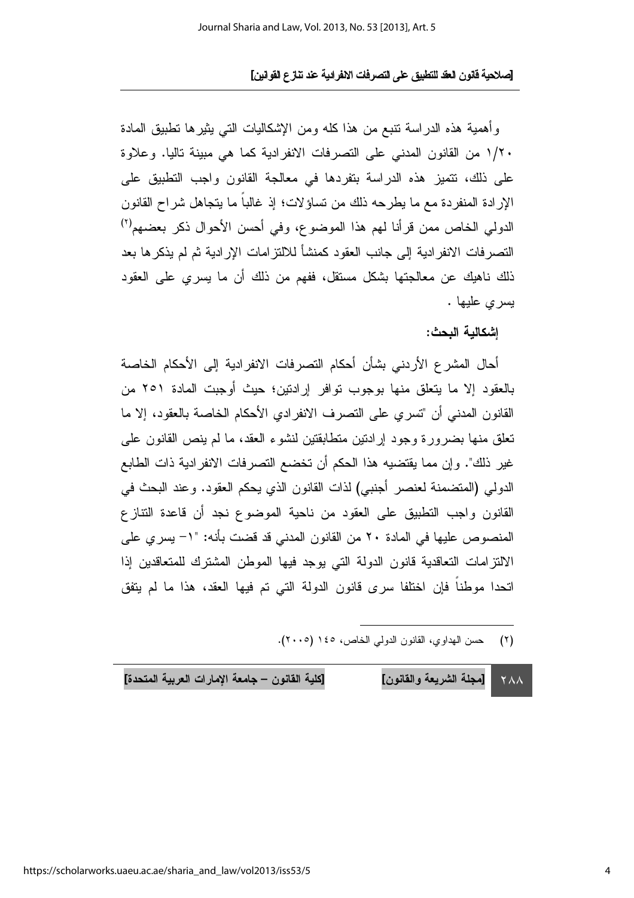وأهمية هذه الدراسة نتبع من هذا كله ومن الإشكاليات التبي بثيرها نطبيق المادة ١/٢٠ من القانون المدنى على التصرفات الانفرادية كما هي مبينة تاليا. وعلاوة على ذلك، نتميز هذه الدراسة بتفردها في معالجة القانون واجب النطبيق على الإرادة المنفردة مع ما يطرحه ذلك من تساؤلات؛ إذ غالباً ما يتجاهل شراح القانون الدولي الخاص ممن قرأنا لهم هذا الموضوع، وفي أحسن الأحوال ذكر بعضهم<sup>(٢)</sup> النصر فات الانفر ادبة إلى جانب العقود كمنشأ للالتز امات الإر ادبة ثم لم بذكر ها بعد ذلك ناهيك عن معالجتها بشكل مستقل، ففهم من ذلك أن ما يسرى على العقود يسرى عليها .

إشكالبة البحث:

أحال المشرع الأردني بشأن أحكام النصرفات الانفرادية إلى الأحكام الخاصة بالعقود إلا ما يتعلق منها بوجوب توافر إرادتين؛ حيث أوجبت المادة ٢٥١ من القانون المدنى أن "تسرى على النصر ف الانفر ادى الأحكام الخاصة بالعقود، إلا ما تعلق منها بضرورة وجود إرادتين متطابقتين لنشوء العقد، ما لم ينص القانون على غير ذلك". وإن مما يقتضيه هذا الحكم أن تخضع التصرفات الانفرادية ذات الطابع الدولي (المتضمنة لعنصر أجنبي) لذات القانون الذي يحكم العقود. وعند البحث في القانون واجب التطبيق على العقود من ناحية الموضوع نجد أن قاعدة التتازع المنصوص عليها في المادة ٢٠ من القانون المدنى قد قضت بأنه: "١- يسري على الالتزامات التعاقدية قانون الدولة التي بوجد فيها الموطن المشترك للمتعاقدين إذا اتحدا موطناً فإن اختلفا سرى قانون الدولة التي تم فيها العقد، هذا ما لم يتفق

[كلية القانون – جامعة الإمارات العربية المتحدة] [مجلة الشريعة والقانون] **YAA**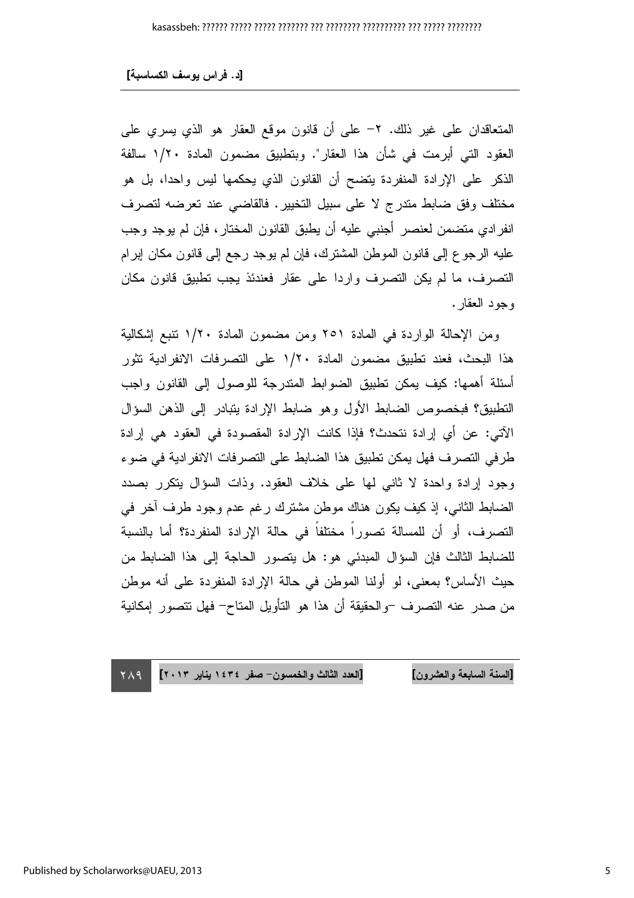المتعاقدان على غير ذلك. ٢- على أن قانون موقع العقار هو الذي يسري على العقود التي أبرمت في شأن هذا العقار". وبتطبيق مضمون المادة ١/٢٠ سالفة الذكر على الإرادة المنفردة بتضح أن القانون الذي بحكمها ليس واحدا، بل هو مختلف وفق ضابط مندرج لا على سبيل التخيير. فالقاضي عند تعرضه لتصرف انفرادي متضمن لعنصر أجنبي عليه أن يطبق القانون المختار، فإن لم يوجد وجب عليه الرجوع إلى فانون الموطن المشترك، فإن لم يوجد رجع إلى قانون مكان إبرام التصرف، ما لم يكن التصرف واردا على عقار فعندئذ يجب تطبيق قانون مكان وجود العقار .

ومن الإحالة الواردة في المادة ٢٥١ ومن مضمون المادة ١/٢٠ نتبع إشكالية هذا البحث، فعند تطبيق مضمون المادة ١/٢٠ على التصر فات الانفر ادية تثور أسئلة أهمها: كيف يمكن نطبيق الضوابط المندرجة للوصول إلىي القانون واجب النطبيق؟ فبخصوص الضابط الأول وهو ضابط الإرادة يتبادر إلى الذهن السؤال الآتي: عن أي إرادة نتحدث؟ فإذا كانت الإرادة المقصودة في العقود هي إرادة طرفي التصرف فهل يمكن تطبيق هذا الضابط على التصرفات الانفرادية في ضوء وجود إرادة واحدة لا ثاني لها على خلاف العقود. وذات السؤال يتكرر بصدد الضابط الثاني، إذ كيف يكون هناك موطن مشترك رغم عدم وجود طرف أخر في التصرف، أو أن للمسالة تصوراً مختلفاً في حالة الإرادة المنفردة؟ أما بالنسبة للضابط الثالث فإن السؤال المبدئي هو: هل يتصور الحاجة إلى هذا الضابط من حيث الأساس؟ بمعنى، لو أولنا الموطن في حالة الإرادة المنفردة على أنه موطن من صدر عنه النصرف –والحقيقة أن هذا هو التأويل المتاح– فهل نتصور إمكانية

[العدد الثالث والخمسون- صفر ١٤٣٤ يناير ٢٠١٣] [السنة السابعة و العشر ون]  $Y\wedge9$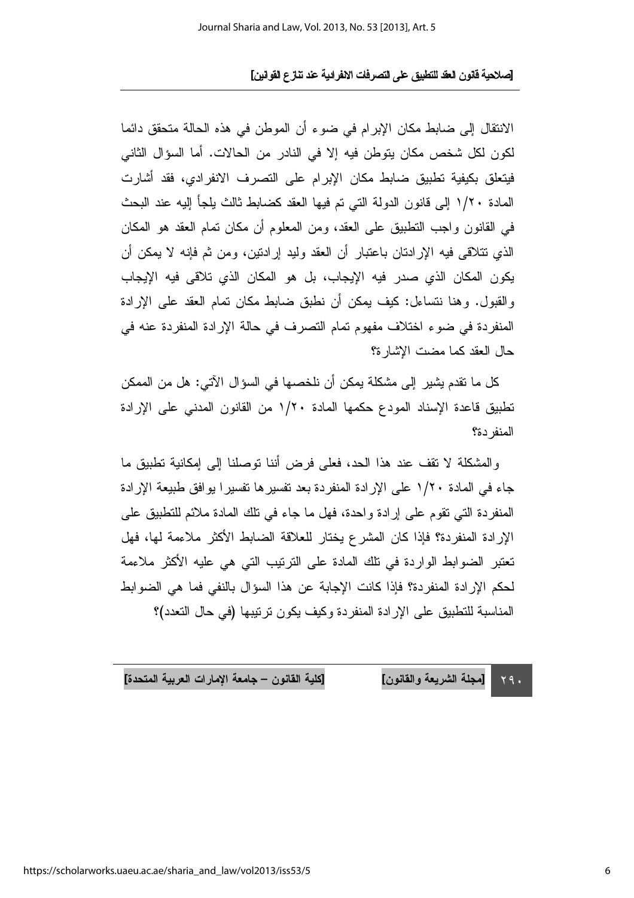الانتقال إلى ضابط مكان الإبرام في ضوء أن الموطن في هذه الحالة متحقق دائما لكون لكل شخص مكان يتوطن فيه إلا في النادر من الحالات. أما السؤال الثاني فيتعلق بكيفية تطبيق ضابط مكان الإبرام على التصرف الانفرادي، فقد أشارت المادة ١/٢٠ إلى قانون الدولة التي تم فيها العقد كضابط ثالث يلجأ إليه عند البحث في القانون واجب التطبيق على العقد، ومن المعلوم أن مكان تمام العقد هو المكان الذي نتلاقى فيه الإرادتان باعتبار أن العقد وليد إرادتين، ومن ثم فإنه لا يمكن أن يكون المكان الذي صدر فيه الإيجاب، بل هو المكان الذي تلاقى فيه الإيجاب والقبول. وهنا نتساءل: كيف بمكن أن نطبق ضابط مكان تمام العقد على الإرادة المنفردة في ضوء اختلاف مفهوم تمام التصرف في حالة الإرادة المنفردة عنه في حال العقد كما مضت الاشار ة؟

كل ما نقدم يشير إلى مشكلة يمكن أن نلخصها في السؤال الآتي: هل من الممكن تطبيق قاعدة الإسناد المودع حكمها المادة ١/٢٠ من القانون المدنى على الإرادة المنفر دة؟

و المشكلة لا نقف عند هذا الحد، فعلى فرض أننا توصلنا إلى إمكانية تطبيق ما جاء في المادة ١/٢٠ على الإرادة المنفر دة بعد تفسير ها تفسير ا يو افق طبيعة الإرادة المنفردة التي نقوم على إرادة واحدة، فهل ما جاء في نلك المادة ملائم للتطبيق على الإرادة المنفردة؟ فإذا كان المشرع يختار للعلاقة الضابط الأكثر ملاءمة لها، فهل تعتبر الضوابط الواردة في تلك المادة على الترتيب التي هي عليه الأكثر ملاءمة لحكم الإرادة المنفردة؟ فإذا كانت الإجابة عن هذا السؤال بالنفي فما هي الضوابط المناسبة للتطبيق على الإر ادة المنفر دة وكيف يكون ترتيبها (في حال التعدد)؟

[كلية القانون – جامعة الإمارات العربية المتحدة] [مجلة الشريعة والقانون]  $\Upsilon$  9.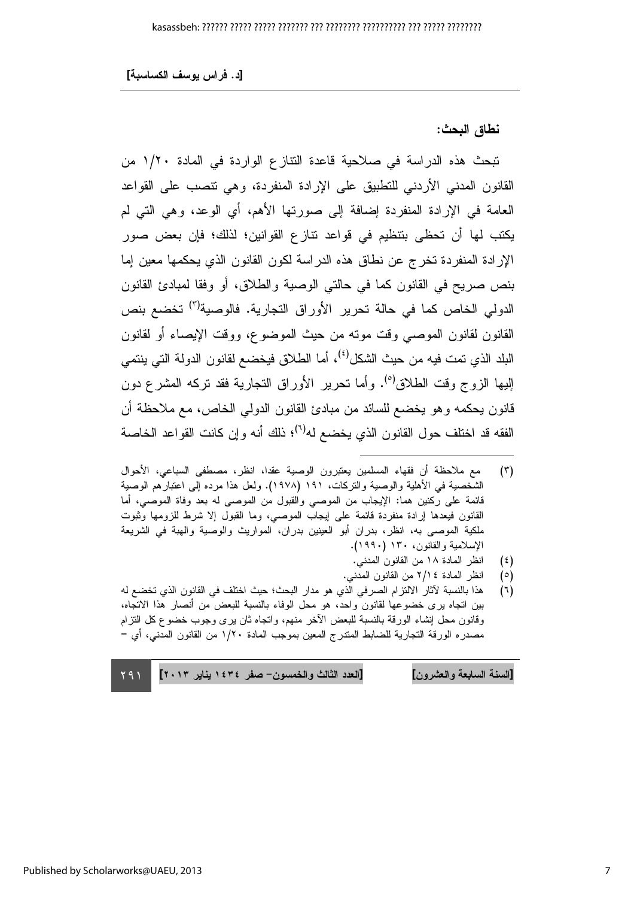[د. فراس يوسف الكساسبة]

نطاق البحث:

تبحث هذه الدراسة في صلاحية قاعدة النتازع الواردة في المادة ١/٢٠ من القانون المدنى الأردني للتطبيق على الإرادة المنفردة، وهي تتصب على القواعد العامة في الإرادة المنفردة إضافة إلى صورتها الأهم، أي الوعد، وهي التي لم يكتب لها أن تحظى بتنظيم في قواعد نتازع القوانين؛ لذلك؛ فإن بعض صور الإرادة المنفردة تخرج عن نطاق هذه الدراسة لكون القانون الذي يحكمها معين إما بنص صريح في القانون كما في حالتي الوصية والطلاق، أو وفقا لمبادئ القانون الدولي الخاص كما في حالة تحرير الأوراق التجارية. فالوصية<sup>(٣)</sup> تخضع بنص القانون لقانون الموصبي وقت موته من حيث الموضوع، ووقت الإيصاء أو لقانون البلد الذي تمت فيه من حيث الشكل<sup>(٤)</sup>، أما الطلاق فيخضـع لقانو ن الدو لـة التي ينتمـي الِبِها الزوج وقت الطلاق<sup>(٥)</sup>. وأما تحرير الأوراق التجارية فقد تركه المشرع دون قانون يحكمه وهو يخضع للسائد من مبادئ القانون الدولي الخاص، مع ملاحظة أن الفقه قد اختلف حول القانون الذي يخضع له<sup>(٦)</sup>؛ ذلك أنه وإن كانت القواعد الخاصة

[العدد الثالث والخمسون – صفر ١٤٣٤ بنابر ٢٠١٣] [السنة السابعة والعشرون]

مع ملاحظة أن فقهاء المسلمين يعتبرون الوصية عقدا، انظر، مصطفى السباعي، الأحوال  $(\tau)$ الشخصية في الأهلية والوصية والتركات، ١٩١ (١٩٧٨). ولعل هذا مرده إلى اعتبارهم الوصية قائمة على ركنين هما: الإيجاب من الموصى والقبول من الموصى له بعد وفاة الموصى، أما القانون فيعدها إرادة منفردة قائمة على ليجاب الموصى، وما القبول إلا شرط للزومها وثبوت ملكية الموصى به، انظر، بدران أبو العينين بدران، المواريث والوصية والهبة في الشريعة الإسلامية والقانون، ١٣٠ (١٩٩٠).

انظر المادة ١٨ من القانون المدنى.  $(\epsilon)$ 

انظر المادة ٢/١٤ من القانون المدنى.  $(°)$ 

هذا بالنسبة لأثار الالتزام الصرفي الذي هو مدار البحث؛ حيث اختلف في القانون الذي تخضع له  $(7)$ بين اتجاه برى خضوعها لقانون واحد، هو محل الوفاء بالنسبة للبعض من أنصار هذا الاتجاه، وقانون محل إنشاء الورقة بالنسبة للبعض الأخر منهم، وانجاه ثان برى وجوب خضوع كل النزام مصدره الورقة التجارية للضابط المندرج المعين بموجب المادة ١/٢٠ من القانون المدنى، أي =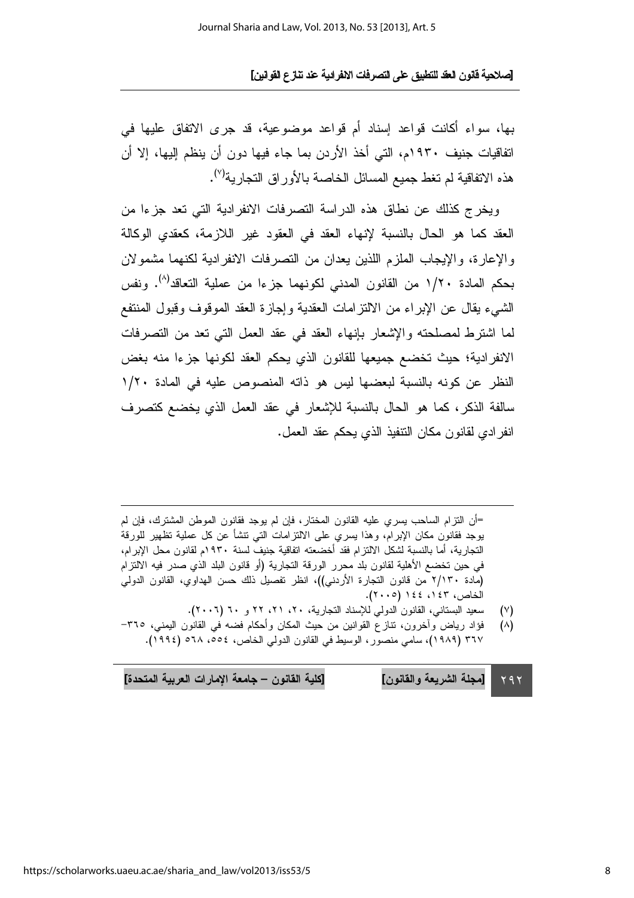بها، سواء أكانت قواعد إسناد أم قواعد موضوعية، قد جرى الاتفاق عليها في اتفاقيات جنيف ١٩٣٠م، التي أخذ الأردن بما جاء فيها دون أن ينظم إليها، إلا أن هذه الاتفاقية لم تغط جميع المسائل الخاصة بالأوراق التجارية<sup>(٧)</sup>.

ويخرج كذلك عن نطاق هذه الدراسة النصرفات الانفرادية التي نعد جزءا من العقد كما هو الحال بالنسبة لإنهاء العقد في العقود غير اللازمة، كعقدى الوكالة والإعارة، والإيجاب الملزم اللذين يعدان من التصرفات الانفرادية لكنهما مشمو لان بحكم المادة ١/٢٠ من القانون المدنى لكونهما جزءا من عملية التعاقد<sup>(٨)</sup>. ونفس الشيء بقال عن الإبر اء من الالتز امات العقدبة و اجاز ة العقد الموقوف وقبول المنتفع لما اشترط لمصلحته والإشعار بإنهاء العقد في عقد العمل التي تعد من التصرفات الانفر ادية؛ حيث تخضع جميعها للقانون الذي يحكم العقد لكونها جزءا منه بغض النظر عن كونه بالنسبة لبعضها ليس هو ذاته المنصوص عليه في المادة ١/٢٠ سالفة الذكر، كما هو الحال بالنسبة للإشعار في عقد العمل الذي يخضع كتصرف انفر ادى لقانون مكان النتفيذ الذي يحكم عقد العمل.

=أن النزام الساحب بسرى عليه القانون المختار، فإن لم يوجد فقانون الموطن المشترك، فإن لم يوجد فقانون مكان الإبرام، وهذا يسرى على الالتزامات التي نتشأ عن كل عملية نظهير للورقة التجارية، أما بالنسبة لشكل الالتزام فقد أخضعته اتفاقية جنيف لسنة ١٩٣٠م لقانون محل الإبرام، في حين تخضع الأهلية لقانون بلد محرر الورقة التجارية (أو قانون البلد الذي صدر فيه الالتزام (مادة ٢/١٣٠ من قانون النجارة الأردني))، انظر تفصيل ذلك حسن الهداوي، القانون الدولي الخاص، ١٤٣، ١٤٤ (٢٠٠٥).

- سعيد البستاني، القانون الدولي للإسناد التجارية، ٢٠، ٢١، ٢٢ و ٣٠ (٢٠٠٦).  $(\vee)$
- فؤاد رياض وأخرون، نتازع القوانين من حيث المكان وأحكام فضه في القانون اليمني، ٣٦٥- $(\wedge)$ ٣٦٧ (١٩٨٩)، سامي منصوَّر، الوسيط في القانون الدولي الخاص، ٥٥٤، ٢٥٨ (١٩٩٤).

[كلية القانون – جامعة الإمارات العربية المتحدة] [مجلة الشريعة والقانون]  $Y$ 9 $Y$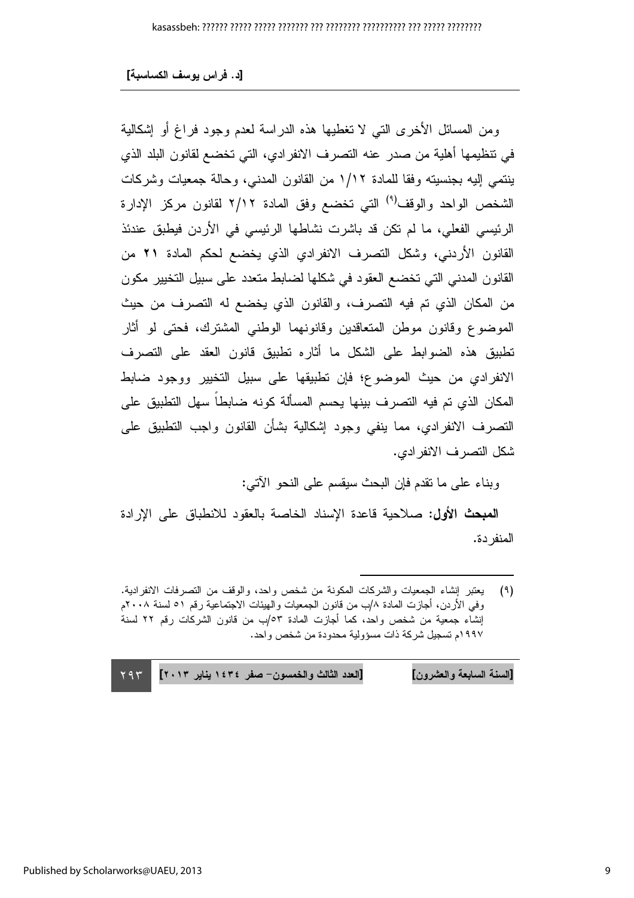ومن المسائل الأخرى التبي لا تغطيها هذه الدراسة لعدم وجود فراغ أو إشكالية في نتظيمها أهلية من صدر عنه التصرف الانفرادي، التي تخضع لقانون البلد الذي ينتمي إليه بجنسيته وفقا للمادة ١/١٢ من القانون المدني، وحالة جمعيات وشركات الشخص الواحد والوقف<sup>(٩)</sup> التي تخضع وفق المادة ٢/١٢ لقانون مركز الإدارة الرئيسي الفعلي، ما لم تكن قد باشرت نشاطها الرئيسي في الأردن فيطبق عندئذ القانون الأردني، وشكل التصرف الانفرادي الذي يخضع لحكم المادة ٢١ من القانون المدنى التي تخضع العقود في شكلها لضابط متعدد على سبيل التخيير مكون من المكان الذي تم فيه التصرف، والقانون الذي يخضع له التصرف من حيث الموضوع وقانون موطن المتعاقدين وقانونهما الوطني المشترك، فحتى لو أثار تطبيق هذه الضوابط على الشكل ما أثاره تطبيق قانون العقد على التصرف الانفرادي من حيث الموضوع؛ فإن تطبيقها على سبيل التخيير ووجود ضابط المكان الذي تم فيه التصريف بينها يحسم المسألة كونه ضابطاً سهل التطبيق على النصرف الانفرادي، مما ينفي وجود إشكالية بشأن القانون واجب النطبيق على شكل التصر ف الانفر ادى.

وبناء على ما نقدم فإن البحث سيقسم على النحو الآتي:

**المبحث الأول: ص**لاحية قاعدة الإسناد الخاصة بالعقود للانطباق على الإرادة المنفر دة.

[السنة السابعة والعشرون] [العدد الثالث والخمسون- صفر ١٤٣٤ يناير ٢٠١٣]  $Y95$ 

يعتبر إنشاء الجمعيات والشركات المكونة من شخص واحد، والوقف من التصرفات الانفرادية.  $(9)$ وفي الأردن، أجازت المادة ٨/ب من قانون الجمعيات والهيئات الاجتماعية رقم ٥١ لسنة ٢٠٠٨م إنشاء جمعية من شخص واحد، كما أجازت المادة ٥٣/ب من قانون الشركات رقم ٢٢ لسنة ١٩٩٧م تسجيل شركة ذات مسؤولية محدودة من شخص واحد.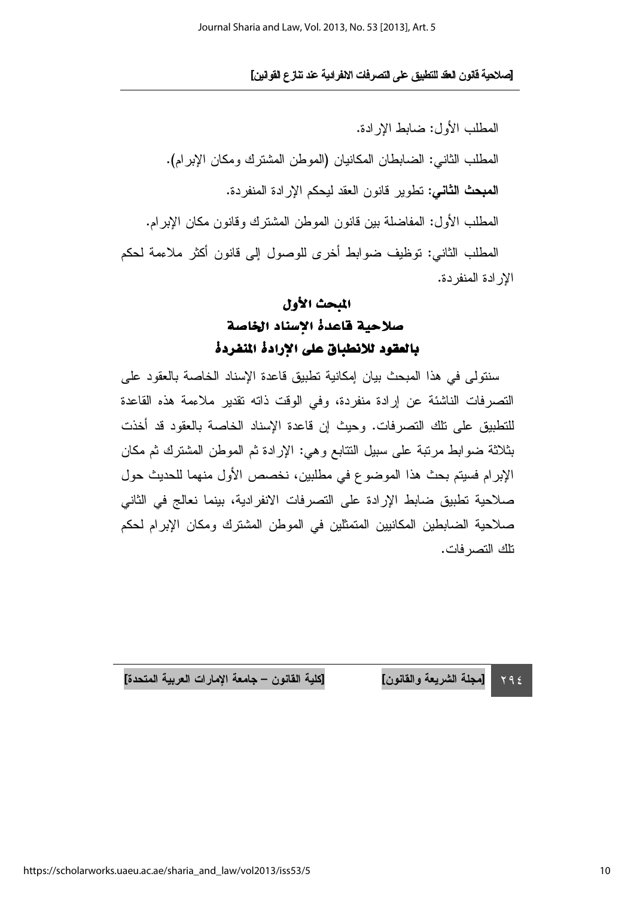. J[ N\$ -) -% &\$ '() \*+\$( -. 
6 1L]

F<
 KM
 :=
@
 M# O. (. +
#@
 \$
 M
) 
 M# O S
 KM
 : . =.
 =
@
 +; 
 2 M 4 1 : .+
#@
 2 \$
 M
 2 # O . F<
 KM
 : Z +; ? S 2 CB F- [6 M#
O 98 : S
 KM

الإر ادة المنفردة.

 $Y92$ 

### المبحث الأول صلاحية قاعدة الإسناد الخاصة بالعقود للانطباق على الإرادة المنفردة

سنتولَّى في هذا المبحث بيان إمكانية تطبيق قاعدة الإسناد الخاصة بالعقود على التصرفات الناشئة عن إرادة منفردة، وفي الوقت ذاته تقدير ملاءمة هذه القاعدة للنطبيق على نلك النصرفات. وحيث إن قاعدة الإسناد الخاصة بالعقود قد أخذت بثلاثة ضوابط مرنبة على سبيل النتابع وهي: الإرادة ثم الموطن المشترك ثم مكان الإبرام فسيتم بحث هذا الموضوع في مطلبين، نخصص الأول منهما للحديث حول صلاحية تطبيق ضابط الإرادة على التصرفات الانفرادية، بينما نعالج في الثاني صلاحية الضابطين المكانيين المتمثلين في الموطن المشترك ومكان الإبرام لحكم تلك التصر فات.

٢ [مجلة الشريعة واا

لقانون] [كلية القانون – جامعة الإمارات العربية المتحدة]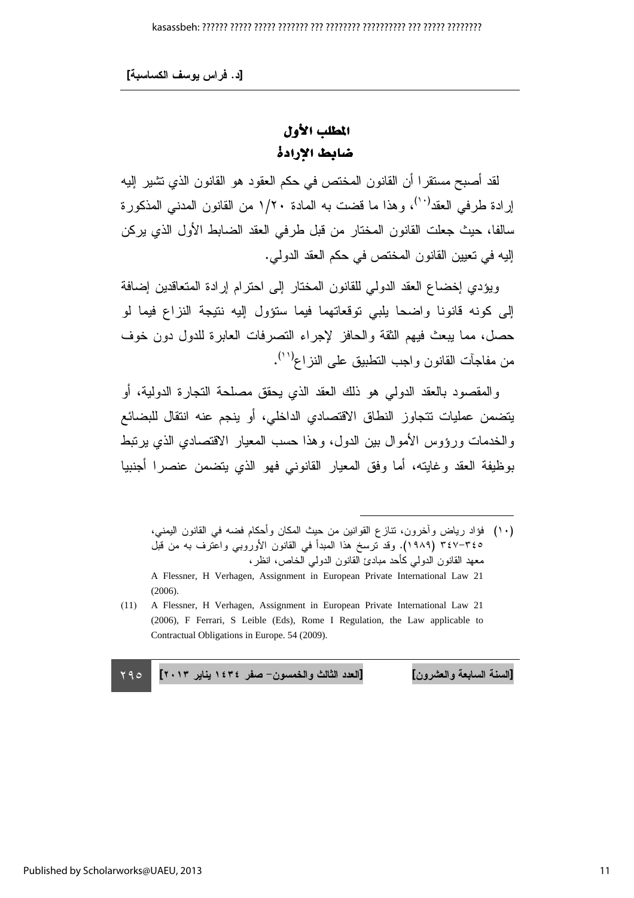[د . فراس يوسف الكساسبة]

### المطلب الأول ضابط الإرادة

لقد أصبح مستقرًا أن القانون المختص في حكم العقود هو القانون الذي تشير إليه إرادة طرفي العقد<sup>(١٠)</sup>، وهذا ما قضت به المادة ١/٢٠ من القانون المدنبي المذكورة سالفا، حيث جعلت القانون المختار من قبل طرفي العقد الضابط الأول الذي يركن إليه في تعيين القانون المختص في حكم العقد الدولي.

ويؤدي إخضاع العقد الدولي للقانون المختار إلى احترام إرادة المتعاقدين إضافة إلى كونه قانونا واضحا بلبي نوقعاتهما فيما ستؤول إليه نتيجة النزاع فيما لو حصل، مما يبعث فيهم الثقة والحافز لإجراء النصرفات العابرة للدول دون خوف من مفاجأت القانون واجب النطبيق على النزاع<sup>(١١)</sup>.

و المقصود بالعقد الدولمي هو ذلك العقد الذي يحقق مصلحة النجار ة الدولية، أو يتضمن عمليات تتجاوز النطاق الاقتصادي الداخلي، أو ينجم عنه انتقال للبضائع والخدمات ورؤوس الأموال بين الدول، وهذا حسب المعيار الاقتصادي الذي يرتبط بوظيفة العقد وغابته، أما وفق المعيار القانوني فهو الذي يتضمن عنصرا أجنبيا

(١٠) فؤاد رياض وأخرون، نتازع القوانين من حيث المكان وأحكام فضه في القانون اليمني، ٣٤٧-٣٤٧ (١٩٨٩). وقد نرسخ هذا المبدأ في القانون الأوروبي واعترف به من قبل معهد القانون الدولي كأحد مبادئ القانون الدولمي الخاص، انظر،

 $\overline{a}$ 

(11) A Flessner, H Verhagen, Assignment in European Private International Law 21 (2006), F Ferrari, S Leible (Eds), Rome I Regulation, the Law applicable to Contractual Obligations in Europe. 54 (2009).

 $790$ [السنة السابعة والعشرون] [العدد الثالث والخمسون– صفر ١٤٣٤ يناير ٢٠١٣] ٢٩٥

السنة السابعة والعشرون

A Flessner, H Verhagen, Assignment in European Private International Law 21  $(2006)$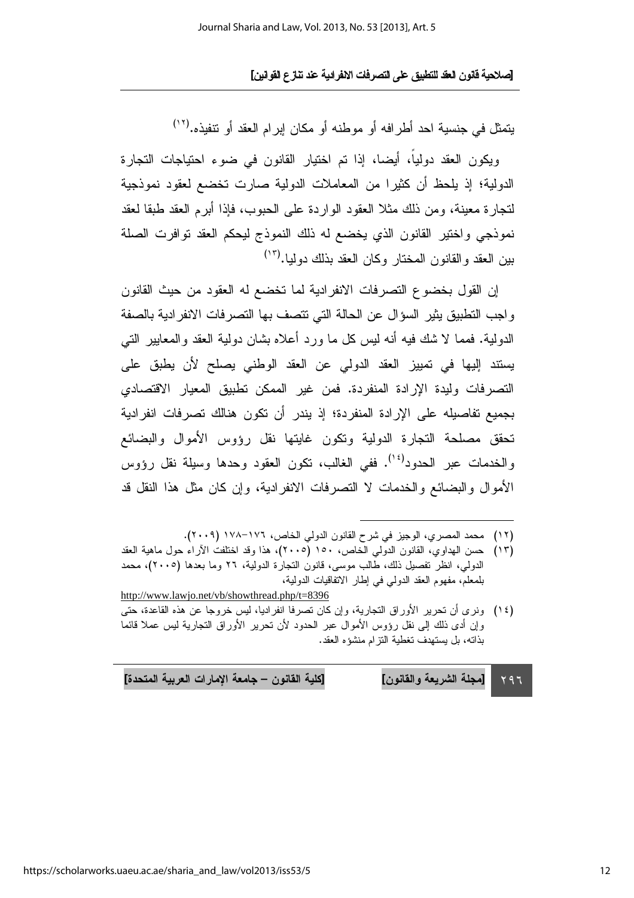يتمثل في جنسية احد أطرافه أو موطنه أو مكان إبرام العقد أو نتفيذه.(١٢

ويكون العقد دولياً، أيضا، إذا تم اختيار القانون في ضوع احتياجات التجارة الدولية؛ إذ يلحظ أن كثيرًا من المعاملات الدولية صارت تخضع لعقود نموذجية لتجارة معينة، ومن ذلك مثلا العقود الواردة على الحبوب، فإذا أبرِ العقد طبقا لعقد نموذجي واختير القانون الذي يخضع له ذلك النموذج ليحكم العقد توافرت الصلة بين العقد والقانون المختار وكان العقد بذلك دوليا.(١٣)

إن القول بخضوع التصرفات الانفرادية لما تخضع له العقود من حيث القانون واجب النطبيق يثير السؤال عن الحالة التي نتصف بها النصرفات الانفر ادية بالصفة الدولية. فمما لا شك فيه أنه ليس كل ما ورد أعلاه بشان دولية العقد والمعايير التبي يستند إليها في تمييز العقد الدولي عن العقد الوطني يصلح لأن يطبق على التصرفات وليدة الإرادة المنفردة. فمن غير الممكن تطبيق المعيار الاقتصادي بجميع تفاصيله على الإر ادة المنفردة؛ إذ يندر أن تكون هنالك تصرفات انفر ادية تحقق مصلحة التجارة الدولية وتكون غايتها نقل رؤوس الأموال والبضائع والخدمات عبر الحدود<sup>(١٤)</sup>. ففي الغالب، نكون العقود وحدها وسيلة نقل رؤوس الأموال والبضائع والخدمات لا التصرفات الانفرادية، وإن كان مثل هذا النقل قد

(١٣) حسن الهداوي، القانون الدولي الخاص، ١٥٠ (٢٠٠٥)، هذا وقد اختلفت الأراء حول ماهية العقد الدولي، انظر نفصيل ذلك، طالب موسى، فانون التجارة الدولية، ٢٦ وما بعدها (٢٠٠٥)، محمد بلمعلم، مفهوم العقد الدولي في إطار الاتفاقيات الدولية، http://www.lawjo.net/vb/showthread.php/t=8396

[مجلة الشريعة والقانون] [كلية القانون – جامعة الإمارات العربية المتحدة]  $797$ 

<sup>(</sup>١٢) محمد المصرى، الوجيز في شرح القانون الدولي الخاص، ١٧٦-١٧٨ (٢٠٠٩).

<sup>(</sup>١٤) ونرى أن نحرير الأوراق النجارية، وإن كان نصرفا انفراديا، ليس خروجا عن هذه القاعدة، حتى وإن أدى ذلك إلى نقل رؤوس الأموال عبر الحدود لأن تحرير الأوراق التجارية ليس عملا قائما بذاته، بل يستهدف تغطية التزام منشؤه العقد.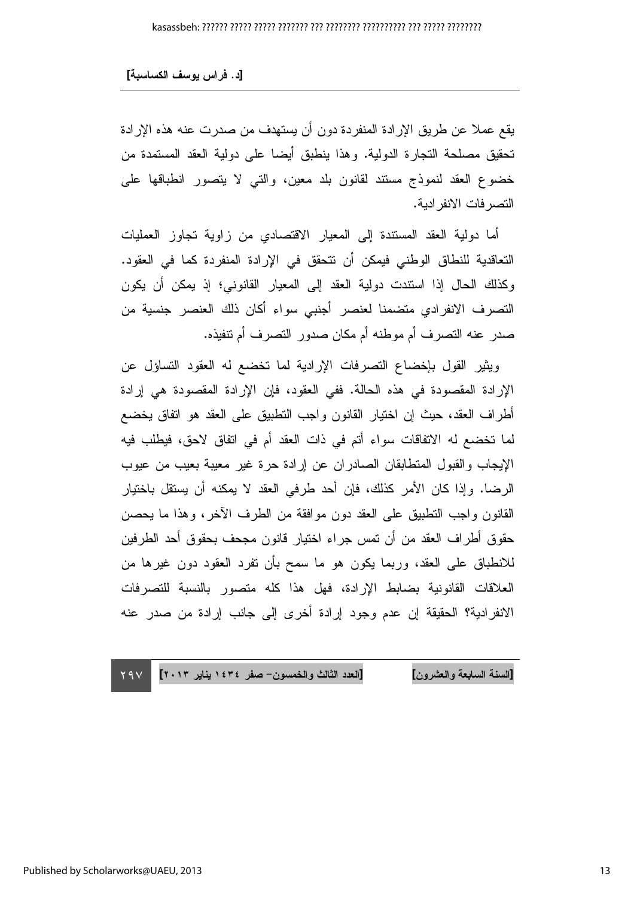يقع عملاً عن طريق الإرادة المنفردة دون أن يستهدف من صدرت عنه هذه الإرادة تحقيق مصلحة النجارة الدولية. وهذا ينطبق أيضا على دولية العقد المستمدة من خضوع العقد لنموذج مستند لقانون بلد معين، والتبي لا يتصور انطباقها علىي التصر فات الانفر ادبة.

أما دولية العقد المستندة إلى المعيار الاقتصادي من زاوية تجاوز العمليات التعاقدية للنطاق الوطني فيمكن أن نتحقق في الإرادة المنفردة كما في العقود. وكذلك الحال إذا استندت دولية العقد إلى المعيار القانوني؛ إذ يمكن أن يكون النصرف الانفرادي منضمنا لعنصر أجنبي سواء أكان ذلك العنصر جنسية من صدر عنه التصر ف أم موطنه أم مكان صدور التصر ف أم تتفيذه.

ويثير القول بإخضاع النصرفات الإرادية لما تخضع له العقود التساؤل عن الإرادة المقصودة في هذه الحالة. ففي العقود، فإن الإرادة المقصودة هي إرادة أطراف العقد، حيث إن اختيار القانون واجب النطبيق على العقد هو انفاق يخضع لما تخضع له الاتفاقات سواء أتم في ذات العقد أم في اتفاق لاحق، فيطلب فيه الإيجاب والقبول المنطابقان الصادران عن إرادة حرة غير معيبة بعيب من عيوب الرضا. وإذا كان الأمر كذلك، فإن أحد طرفي العقد لا يمكنه أن يستقل باختيار القانون واجب التطبيق على العقد دون موافقة من الطرف الآخر، وهذا ما يحصن حقوق أطراف العقد من أن تمس جراء اختيار قانون مجحف بحقوق أحد الطرفين للانطباق على العقد، وربما يكون هو ما سمح بأن نفرد العقود دون غيرها من العلاقات القانونية بضابط الإرادة، فهل هذا كله متصور بالنسبة للتصرفات الإنفر ادبة؟ الحقيقة إن عدم وجود إرادة أخرى إلى جانب إرادة من صدر عنه

 $Y9V$ [السنة السابعة والعشرون] [العدد الثالث والخمسون– صفر ١٤٣٤ يناير ٢٠١٣] ١٩٧ السنة السابعة والعشرون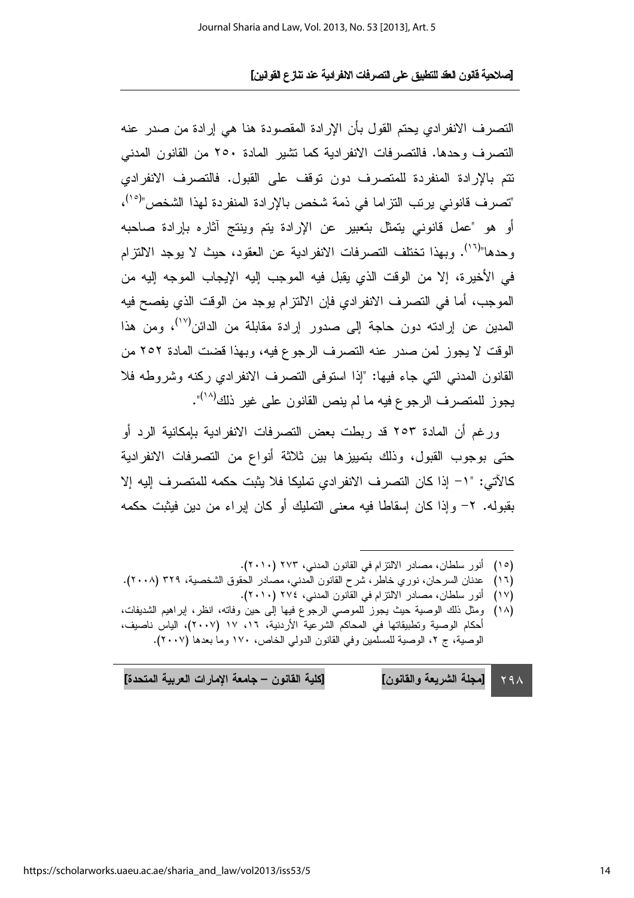النصر ف الانفر ادى يحتم القول بأن الإرادة المقصودة هنا هي إرادة من صدر ٍ عنه التصرف وحدها. فالتصرفات الانفرادية كما نشير المادة ٢٥٠ من القانون المدنى نتم بالإرادة المنفردة للمتصرف دون نوقف على القبول. فالتصرف الانفرادي "تصرف قانوني يرتب التزاما في ذمة شخص بالإرادة المنفردة لهذا الشخص"<sup>(٥٠)</sup>، أو هو "عمل قانوني يتمثَّل بتعبير عن الإرادة يتم وينتج آثاره بإرادة صاحبه و حدها"<sup>(١٦)</sup>. وبهذا تختلف التصر فات الانفر ادبة عن العقود، حبث لا بوجد الالتزام في الأخير ة، إلا من الوقت الذي يقبل فيه الموجب إليه الإيجاب الموجه إليه من الموجب، أما في التصرف الانفرادي فإن الالتزام يوجد من الوقت الذي يفصح فيه المدين عن إرادته دون حاجة إلى صدور إرادة مقابلة من الدائن<sup>(١٧)</sup>، ومن هذا الوقت لا يجوز لمن صدر عنه التصرف الرجوع فيه، وبهذا قضت المادة ٢٥٢ من القانون المدنى التي جاء فيها: "إذا استوفى التصرف الانفرادي ركنه وشروطه فلا يجوز للمتصرف الرجوع فيه ما لم ينص القانون على غير ذلك<sup>(١٨)</sup>".

ور غم أن المادة ٢٥٣ قد ربطت بعض التصر فات الإنفر ادية بإمكانية الرد أو حتى بوجوب القبول، وذلك بتمييزها بين ثلاثة أنواع من التصرفات الانفرادية كالآتي: "١– إذا كان التصرف الانفرادي تمليكا فلا يثبت حكمه للمتصرف إليه إلا بِقَبِولَه. ٢- وإذا كان إسقاطًا فيه معنى التمليك أو كان إبراء من دين فيثبت حكمه

- (١٥) أنور سلطان، مصادر الالتزام في القانون المدني، ٢٧٣ (٢٠١٠).
- (١٦) عدنان السرحان، نوري خاطر، شرح القانون المدني، مصادر الحقوق الشخصية، ٣٢٩ (٢٠٠٨).
	- (١٧) أنور سلطان، مصادر الالتزام في القانون المدنى، ٢٧٤ (٢٠١٠).
- (١٨) ومثل ذلك الوصية حيث يجوز للموصىي الرجوع فيها إلى حين وفاته، انظر، إبراهيم الشديفات، أحكام الوصية وتطبيقاتها في المحاكم الشرعية الأردنية، ١٦، ١٧ (٢٠٠٧)، الياس ناصيف، الوصية، ج ٢، الوصية للمسلمين وفي القانون الدولي الخاص، ١٧٠ وما بعدها (٢٠٠٧).

[مجلة الشريعة والقانون] [كلية القانون – جامعة الإمارات العربية المتحدة]  $Y9A$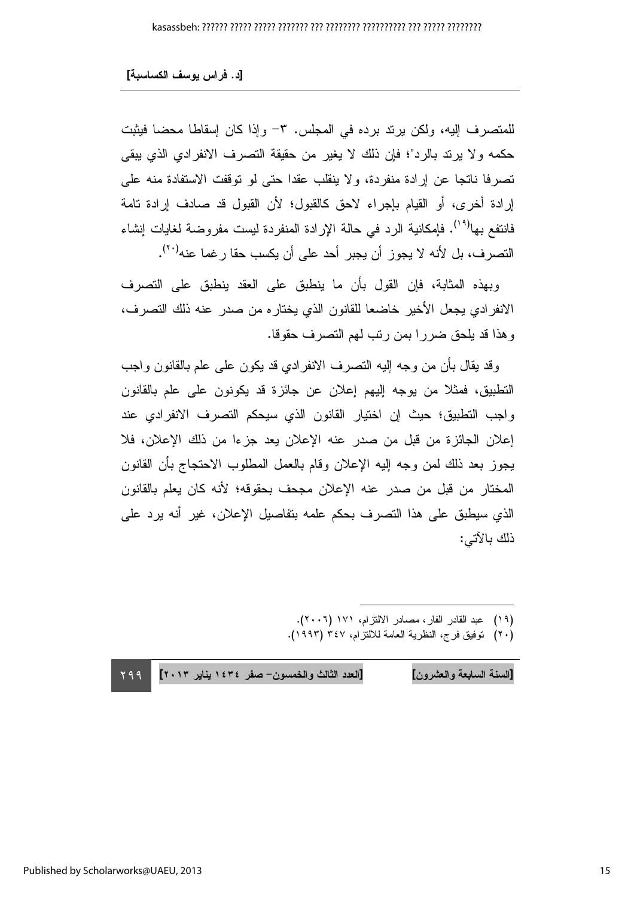للمتصرف إليه، ولكن يرتد برده في المجلس. ٣- وإذا كان إسقاطا محضا فيثبت حكمه ولا يرند بالرد"؛ فإن ذلك لا يغير من حقيقة النصرف الانفرادي الذي يبقى تصرفا ناتجا عن إرادة منفردة، ولا ينقلب عقدا حتى لو نوقفت الاستفادة منه على إرادة أخرى، أو القيام بإجراء لاحق كالقبول؛ لأن القبول قد صادف إرادة تامة فانتفع بها<sup>(۱۹)</sup>. فإمكانية الرد في حالة الإرادة المنفردة ليست مفروضة لغايات إنشاء التصرف، بل لأنه لا يجوز أن يجبر أحد على أن يكسب حقا رغما عنه<sup>(٢٠)</sup>.

وبهذه المثابة، فإن القول بأن ما ينطبق على العقد ينطبق على التصرف الانفر ادى يجعل الأخير خاضعا للقانون الذي يختار ه من صدر حنه ذلك النصر ف، و هذا قد يلحق ضر ر ا بمن ر تب لهم النصر ف حقوقا.

وقد بقال بأن من وجه الليه النصرف الانفرادي قد يكون على علم بالقانون واجب التطبيق، فمثلاً من يوجه إليهم إعلان عن جائزة قد يكونون على علم بالقانون واجب النطبيق؛ حيث إن اختيار القانون الذي سيحكم النصرف الانفرادي عند إعلان الجائزة من قبل من صدر عنه الإعلان يعد جزءا من ذلك الإعلان، فلا يجوز بعد ذلك لمن وجه إليه الإعلان وقام بالعمل المطلوب الاحتجاج بأن القانون المختار من قبل من صدر عنه الإعلان مجحف بحقوقه؛ لأنه كان يعلم بالقانون الذي سيطبق على هذا التصرف بحكم علمه بتفاصيل الإعلان، غير أنه يرد على ذلك بالآتي:

l

799 [السنة السابعة والعشرون] [العدد الثالث والخمسون– صفر ١٤٣٤ يناير ٢٠١٣] ٢٩٩ السنة السابعة والعشرون

<sup>(</sup>١٩) عبد القادر الفار، مصادر الالتزام، ١٧١ (٢٠٠٦).

<sup>(</sup>٢٠) نوفيق فرج، النظرية العامة للالتزام، ٣٤٧ (١٩٩٣).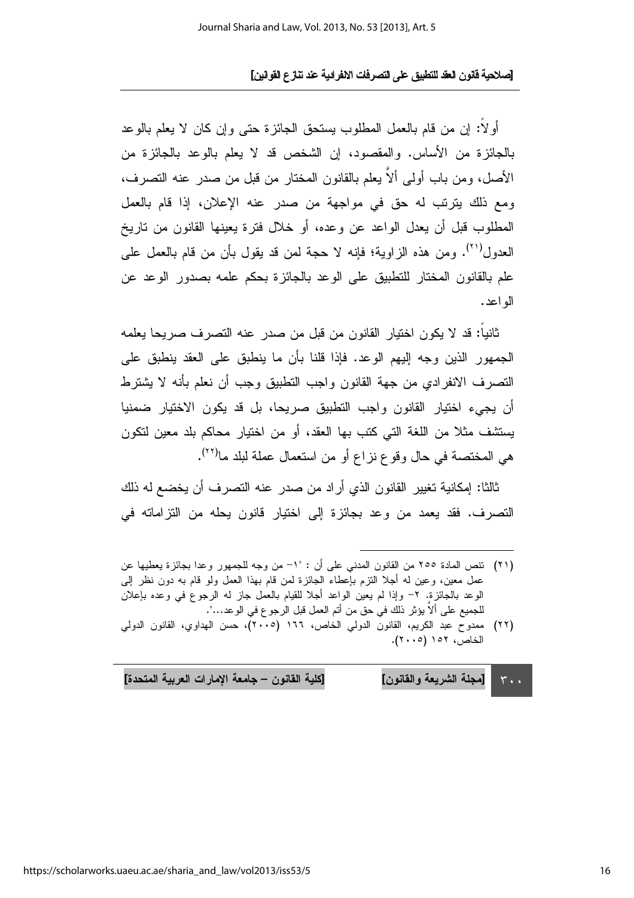أولاً: إن من قام بالعمل المطلوب يستحق الجائزة حتى وإن كان لا يعلم بالوعد بالجائزة من الأساس. والمقصود، إن الشخص قد لا يعلم بالوعد بالجائزة من الأصل، ومن باب أولى ألاَّ يعلم بالقانون المختار من قبل من صدر عنه النصرف، ومع ذلك بِترتب له حق في مواجهة من صدرٍ عنه الإعلان، إذا قام بالعمل المطلوب قبل أن بعدل الواعد عن وعده، أو خلال فتر ة بعبنها القانون من تاريخ العدول(``). ومن هذه الزاوية؛ فإنه لا حجة لمن قد يقول بأن من قام بالعمل على علم بالقانون المختار للتطبيق على الوعد بالجائزة بحكم علمه بصدور الوعد عن اله اعد.

ثانيا: قد لا يكون اختبار القانون من قبل من صدر عنه النصر ف صر يحا يعلمه الجمهور الذين وجه إليهم الوعد. فإذا قلنا بأن ما ينطبق على العقد ينطبق على النصرف الانفرادي من جهة القانون واجب التطبيق وجب أن نعلم بأنه لا يشترط أن يجيء اختيار القانون واجب التطبيق صريحا، بل قد يكون الاختيار ضمنيا يستشف مثلاً من اللغة التي كتب بها العقد، أو من اختيار محاكم بلد معين لتكون هي المختصة في حال وقوع نزاع أو من استعمال عملة لبلد ما<sup>(٢٢)</sup>.

ثالثا: إمكانية تغيير القانون الذي أراد من صدر عنه التصرف أن يخضع له ذلك التصرف. فقد يعمد من وعد بجائزة إلى اختيار قانون يحله من التزاماته في

- (٢١) نتص المادة ٢٥٥ من القانون المدنى على أن : "١- من وجه للجمهور وعدا بجائزة يعطيها عن عمل معين، وعين له أجلا النزم بإعطاء الجائزة لمن قام بهذا العمل ولو قام به دون نظر إلى الوعد بالجائزة. ٢– وإذا لم يعين الواعد أجلا للقيام بالعمل جاز له الرجوع في وعده بإعلان للجميع على ألا يؤثر ذلك في حق من أتم العمل قبل الرجو ع في الوعد…".
- (٢٢) ممدوح عبد الكريم، القانون الدولي الخاص، ١٦٦ (٢٠٠٥)، حسن الهداوى، القانون الدولي الخاص، ١٥٢ (٢٠٠٥).

| [كلية القانون – جامعة الإمارات العربية المتحدة] | ا   .   . ٣        [مجلة الشريعة والقانون] |  |
|-------------------------------------------------|--------------------------------------------|--|
|-------------------------------------------------|--------------------------------------------|--|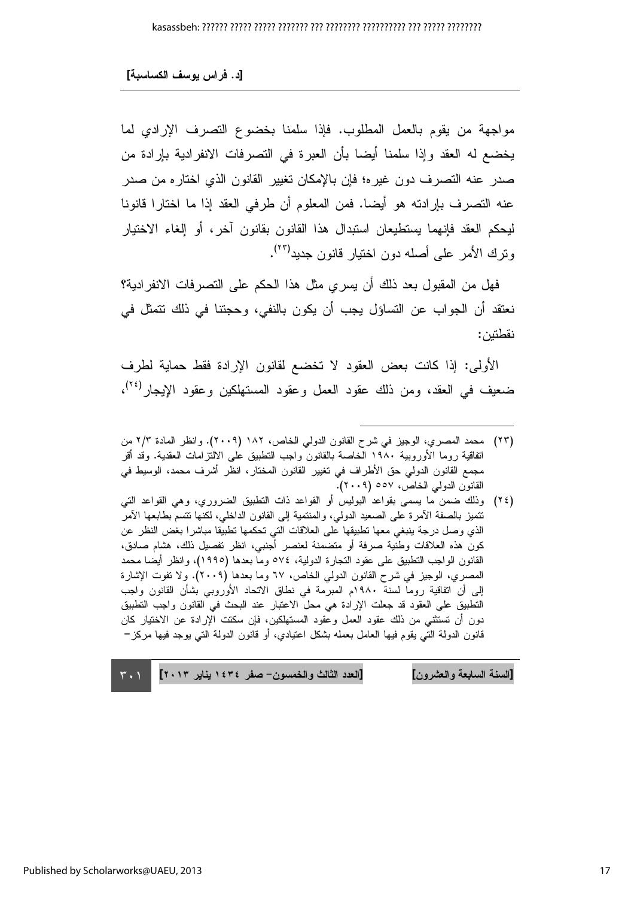مواجهة من يقوم بالعمل المطلوب. فإذا سلمنا بخضوع التصرف الإرادي لما يخضع له العقد وإذا سلمنا أيضا بأن العبرة في التصرفات الانفرادية بإرادة من صدر عنه التصرف دون غيره؛ فإن بالإمكان تغيير القانون الذي اختاره من صدر عنه التصرف بإرادته هو أيضا. فمن المعلوم أن طرفي العقد إذا ما اختارا قانونا ليحكم العقد فإنهما يستطيعان استبدال هذا القانون بقانون آخر ، أو إلغاء الاختيار ونرك الأمر على أصله دون اختيار قانون جديد<sup>(٢٣)</sup>.

فهل من المقبول بعد ذلك أن يسر ي مثل هذا الحكم على التصر فات الانفر ادية؟ نعتقد أن الجواب عن التساؤل يجب أن يكون بالنفي، وحجتنا في ذلك نتمثل في نقطتين:

الأولى: إذا كانت بعض العقود لا تخضع لقانون الإرادة فقط حماية لطرف ضعيف في العقد، ومن ذلك عقود العمل وعقود المستهلكين وعقود الإيجار<sup>(٢٤)</sup>،

(٢٤) وذلك ضمن ما يسمى بقواعد البوليس أو القواعد ذات النطبيق الضروري، وهي القواعد التي نتميز بالصفة الآمرة على الصعيد الدولي، والمنتمية إلى القانون الداخلي، لكنها نتسم بطابعها الآمر الذي وصل درجة ينبغي معها تطبيقها على العلاقات التي تحكمها تطبيقا مباشرا بغض النظر عن كون هذه العلاقات وطنية صرفة أو متضمنة لعنصر أجنبي، انظر تفصيل ذلك، هشام صادق، القانون الواجب التطبيق على عقود التجارة الدولية، ٥٧٤ وما بعدها (١٩٩٥)، وانظر أيضا محمد المصري، الوجيز في شرح القانون الدولي الخاص، ٦٧ وما بعدها (٢٠٠٩). ولا تفوت الإشارة إلى أن اتفاقية روما لسنة ١٩٨٠م المبرمة في نطاق الاتحاد الأوروبي بشأن القانون واجب التطبيق على العقود قد جعلت الإرادة هي محل الاعتبار عند البحث في القانون واجب التطبيق دون أن تستثني من ذلك عقود العمل وعقود المستهلكين، فإن سكتت الإرادة عن الاختيار كان قانون الدولة التي يقوم فيها العامل بعمله بشكل اعتيادي، أو قانون الدولة التي يوجد فيها مركز=

[السنة السابعة والعشرون] [العدد الثالث والخمسون – صفر ١٤٣٤ بنابر ٢٠١٣]  $\mathbf{r} \cdot \mathbf{1}$ 

<sup>(</sup>٢٣) محمد المصري، الوجيز في شرح القانون الدولي الخاص، ١٨٢ (٢٠٠٩). وانظر المادة ٢/٢ من اتفاقية روما الأوروبية ١٩٨٠ الخاصة بالقانون واجب النطبيق على الالتزامات العقدية. وقد أقر مجمع القانون الدولي حق الأطراف في تغيير القانون المختار، انظر أشرف محمد، الوسيط في القانون الدولي الخاص، ٥٥٧ (٢٠٠٩).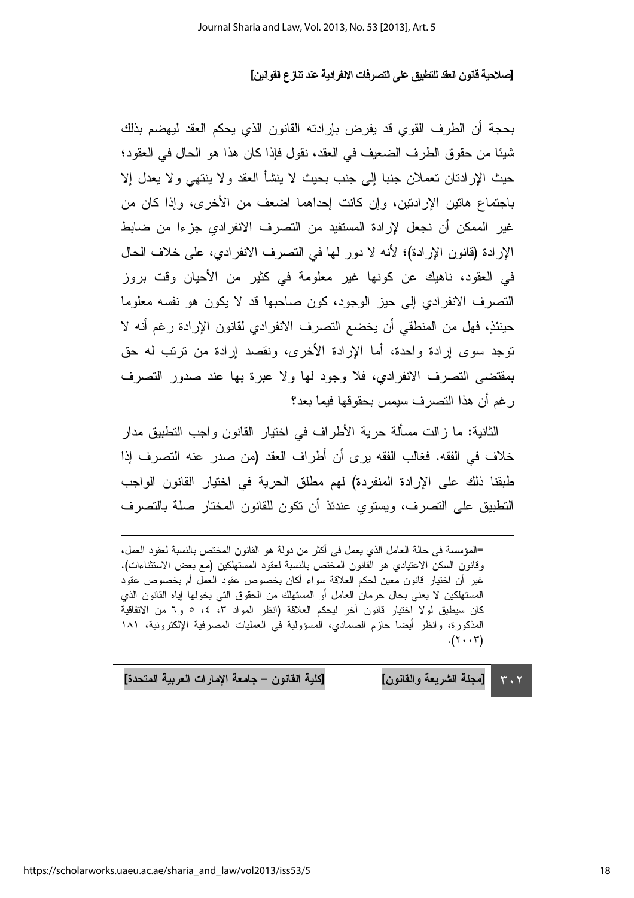بحجة أن الطرف القوى قد يفرض بارادته القانون الذي يحكم العقد ليهضم بذلك شيئا من حقوق الطرف الضعيف في العقد، نقول فإذا كان هذا هو الحال في العقود؛ حيث الإرادتان تعملان جنبا إلى جنب بحيث لا ينشأ العقد ولا ينتهي ولا يعدل إلا باجتماع هاتين الإرادتين، وإن كانت إحداهما اضعف من الأخرى، وإذا كان من غير الممكن أن نجعل لإرادة المستفيد من التصرف الإنفرادي جزءا من ضابط الإرادة (قانون الإرادة)؛ لأنه لا دور لها في النصرف الانفرادي، على خلاف الحال في العقود، ناهيك عن كونها غير معلومة في كثير من الأحيان وقت بروز التصرف الانفرادي إلى حيز الوجود، كون صاحبها قد لا يكون هو نفسه معلوما حينئذٍ، فهل من المنطقي أن يخضع التصرف الانفرادي لقانون الإرادة رغم أنه لا توجد سوى إرادة واحدة، أما الإرادة الأخرى، ونقصد إرادة من ترتب له حق بمقتضى التصرف الانفرادي، فلا وجود لها ولا عبرة بها عند صدور التصرف ر غم أن هذا النصر ف سيمس بحقوقها فيما بعد؟

الثانية: ما ز الت مسألة حرية الأطر اف في اختيار القانون و اجب التطبيق مدار خلاف في الفقه. فغالب الفقه برى أن أطراف العقد (من صدر عنه التصرف إذا طبقنا ذلك على الإرادة المنفردة) لهم مطلق الحرية في اختيار القانون الواجب التطبيق على التصرف، ويستوى عندئذ أن تكون للقانون المختار صلة بالتصرف

=المؤسسة في حالة العامل الذي يعمل في أكثر من دولة هو القانون المختص بالنسبة لعقود العمل، وقانون السكن الاعتيادي هو القانون المختص بالنسبة لعقود المستهلكين (مع بعض الاستثناءات). غيرٍ أن اختيارٍ قانونٍ معينٍ لحكم العلاقة سواء أكانٍ بخصوصٍ عقود العمل أم بخصوصٍ عقودٍ المستهلكين لا يعني بحال حرمان العامل أو المستهلك من الحقوق التي يخولها إياه القانون الذي كان سيطبق لولا اختيار قانون آخر ليحكم العلاقة (انظر المواد ٣، ٤، ٥ و٦ من الاتفاقية المذكورة، وانظر أيضا حازم الصمادي، المسؤولية في العمليات المصرفية الإلكترونية، ١٨١  $(\tau \cdot \tau)$ .

> [مجلة الشريعة والقانون]  $\mathbf{r} \cdot \mathbf{r}$

[كلية القانون – جامعة الإمارات العربية المتحدة]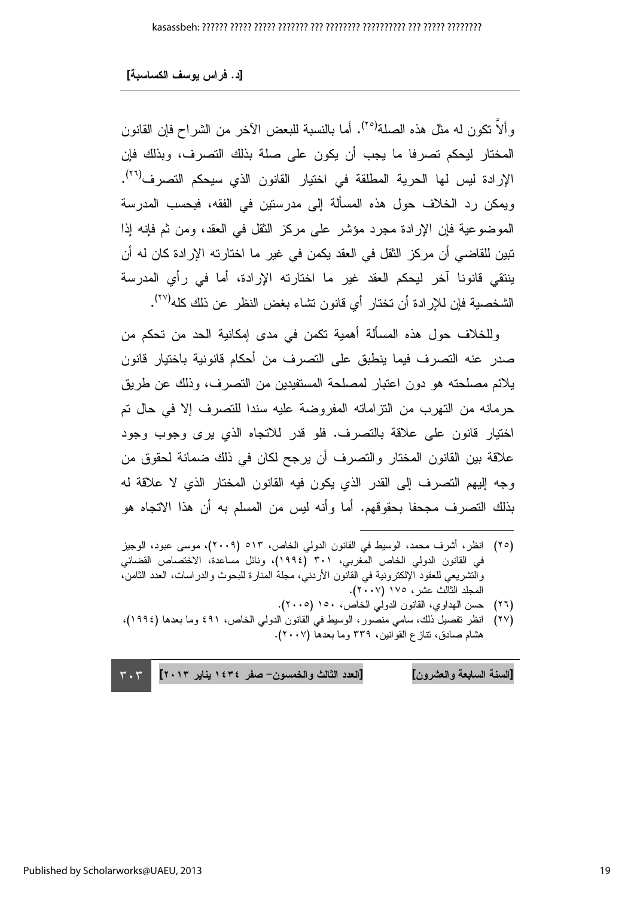و ألاَّ نكون له مثل هذه الصلة<sup>(٢٥)</sup>. أما بالنسبة للبعض الآخر من الشراح فإن القانون المختار ليحكم تصرفا ما يجب أن يكون على صلة بذلك التصرف، وبذلك فإن الإرادة ليس لها الحرية المطلقة في اختيار القانون الذي سيحكم التصرف<sup>(٢٦)</sup>. ويمكن رد الخلاف حول هذه المسألة إلى مدرستين في الفقه، فبحسب المدرسة الموضوعية فإن الإرادة مجرد مؤشر على مركز الثقل في العقد، ومن ثم فإنه إذا تبين للقاضـي أن مركز الثقل في العقد يكمن في غير ما اختارته الإرادة كان له أن ينتقى قانونا آخر ليحكم العقد غير ما اختارته الإرادة، أما في رأى المدرسة الشخصية فإن للإرادة أن تختار أي قانون تشاء بغض النظر عن ذلك كله<sup>(٢٧)</sup>.

وللخلاف حول هذه المسألة أهمية تكمن في مدى إمكانية الحد من تحكم من صدر عنه التصر ف فيما ينطبق على التصر ف من أحكام قانونية باختيار قانون يلائم مصلحته هو دون اعتبار لمصلحة المستفيدين من التصرف، وذلك عن طريق حرمانه من التهرب من التزاماته المفروضة عليه سندا للتصرف إلا في حال تم اختيار قانون على علاقة بالتصرف. فلو قدر للاتجاه الذي يرى وجوب وجود علاقة بين القانون المختار والتصرف أن يرجح لكان في ذلك ضمانة لحقوق من وجه إليهم النصرف إلى القدر الذي يكون فيه القانون المختار الذي لا علاقة له بذلك النصر ف مجحفا بحقوقهم. أما وأنه لبس من المسلم به أن هذا الاتجاه هو

- (٢٥) انظر ، أشرف محمد، الوسيط في القانون الدولي الخاص، ٥١٣ (٢٠٠٩)، موسى عبود، الوجيز في القانون الدولي الخاص المغربي، ٣٠١ (١٩٩٤)، ونائل مساعدة، الاختصاص القضائي والنشريعي للعقود الإلكترونية في القانون الأردني، مجلة المنارة للبحوث والدراسات، العدد الثامن، المجلد الثالث عشر ، ١٧٥ (٢٠٠٧).
	- (٢٦) حسن الهداوى، القانون الدولي الخاص، ١٥٠ (٢٠٠٥).
- (٢٧) انظر نفصيل ذلك، سامي منصور، الوسيط في القانون الدولي الخاص، ٤٩١ وما بعدها (١٩٩٤)، هشام صادق، نتازع القوانين، ٣٣٩ وما بعدها (٢٠٠٧).

[العدد الثالث والخمسون- صفر ١٤٣٤ يناير ٢٠١٣] [السنة السابعة والعشرون]  $\mathbf{r} \cdot \mathbf{r}$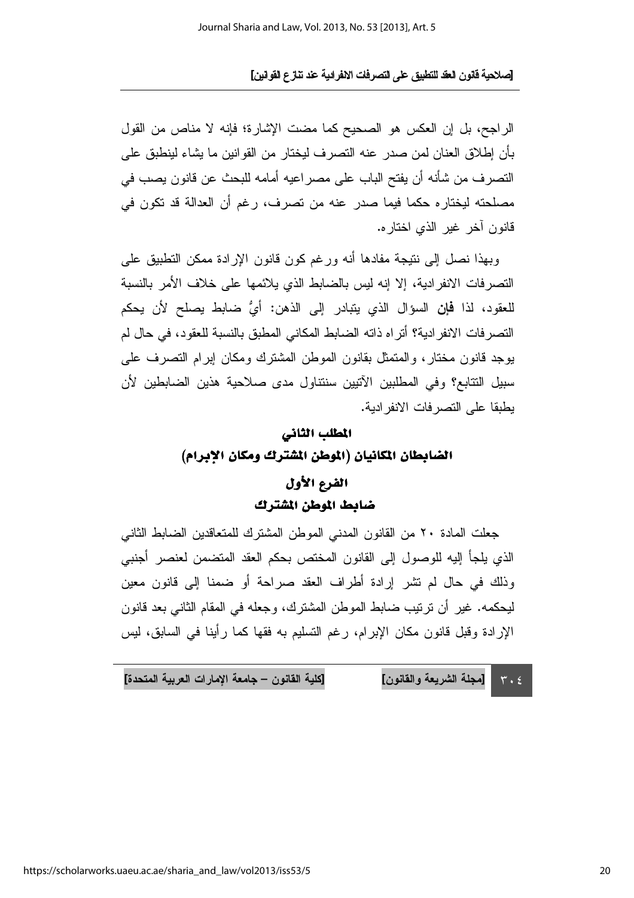الراجح، بل إن العكس هو الصحيح كما مضت الإشارة؛ فإنه لا مناص من القول بأن إطلاق العنان لمن صدر عنه التصرف ليختار من القوانين ما يشاء لينطبق على التصرف من شأنه أن يفتح الباب على مصر اعيه أمامه للبحث عن قانون يصب في مصلحته ليختاره حكما فيما صدر عنه من تصرف، رغم أن العدالة قد تكون في قانون آخر غير الذي اختار ه.

وبهذا نصل إلى نتبجة مفادها أنه ورغم كون قانون الإر ادة ممكن التطبيق على النصر فات الانفر ادبة، إلا إنه لبس بالضابط الذي بلائمها على خلاف الأمر بالنسبة للعقود، لذا **فإن** السؤال الذي بتبادر إلى الذهن: أيُّ ضابط بصلح لأن بحكم النصر فات الإنفر ادبة؟ أنّز اه ذاته الضابط المكاني المطبق بالنسبة للعقود، في حال لم بوجد قانون مختار ، والمتمثل بقانون الموطن المشترك ومكان ابرام التصرف على سبيل التتابع؟ وفي المطلبين الآتيين سنتناول مدى صلاحية هذين الضباطين لأن بطيقا على النصر فات الانفر ادبة.

#### المطلب الثاني

الضابطان المكانيان (الموطن المشترك ومكان الإبرام)

### الفرع الأول ضابط الموطن المشترك

جعلت المادة ٢٠ من القانون المدنى الموطن المشترك للمتعاقدين الضابط الثاني الذي يلجأ إليه للوصول إلى القانون المختص بحكم العقد المتضمن لعنصر أجنبي وذلك في حال لم تشر إرادة أطراف العقد صراحة أو ضمنا إلى قانون معين ليحكمه. غير أن ترتيب ضابط الموطن المشترك، وجعله في المقام الثاني بعد قانون الإرادة وقبل قانون مكان الإبرام، رغم التسليم به فقها كما رأينا في السابق، ليس

[كلية القانون – جامعة الإمارات العربية المتحدة] [مجلة الشريعة والقانون]  $\mathbf{r} \cdot \mathbf{r}$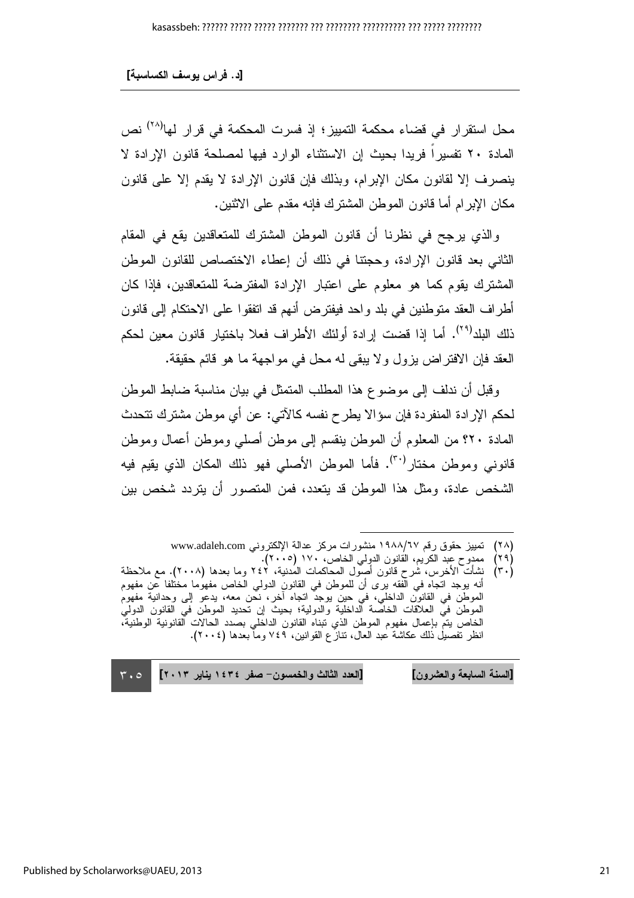محل استقرار في قضاء محكمة التمييز؛ إذ فسرت المحكمة في قرار لها<sup>(٢٨)</sup> نص المادة ٢٠ تفسير ا فريدا بحيث إن الاستثناء الوارد فيها لمصلحة قانون الإرادة لا ينصرف إلا لقانون مكان الإبرام، وبذلك فإن قانون الإرادة لا يقدم إلا على قانون مكان الإبر ام أما قانون الموطن المشترك فإنه مقدم على الاثنين.

و الذي يرجح في نظر نا أن قانون الموطن المشترك للمتعاقدين يقع في المقام الثاني بعد فانون الإرادة، وحجتنا في ذلك أن إعطاء الاختصاص للقانون الموطن المشترك يقوم كما هو معلوم على اعتبار الإرادة المفترضة للمتعاقدين، فإذا كان أطر اف العقد منو طنين في بلد و احد فيفتر ض أنهم قد انفقو ا على الاحتكام إلى قانون ذلك البلد<sup>(٢٩)</sup>. أما إذا قضت إرادة أولئك الأطر<sub>ا</sub>ف فعلا باختيار قانون معين لحكم العقد فإن الإفتر اض بزول و لا بِبقى له محل في مو اجهة ما هو قائم حقيقة.

وقبل أن ندلف إلى موضوع هذا المطلب المتمثل في بيان مناسبة ضابط الموطن لحكم الإر ادة المنفر دة فإن سؤ الا يطر ح نفسه كالآتي: عن أي موطن مشتر ك تتحدث المادة ٢٠؟ من المعلوم أن الموطن بنقسم إلى موطن أصلي وموطن أعمال وموطن قانوني وموطن مختار<sup>(٣٠)</sup>. فأما الموطن الأصلي فهو ذلك المكان الذي يقيم فيه الشخص عادة، ومثل هذا الموطن قد يتعدد، فمن المتصور أن يتردد شخص بين

[السنة السابعة والعشرون] [العدد الثالث والخمسون- صفر ١٤٣٤ يناير ٢٠١٣]  $\mathbf{r} \cdot \mathbf{0}$ 

تمييز حقوق رقم ١٩٨٨/٦٧ منشورات مركز عدالة الإلكتروني www.adaleh.com  $(Y \wedge)$ 

ممدوح عبد الكريم، القانون الدولي الخاص، ١٧٠ (٢٠٠٥).  $(19)$ 

 $(\tau \cdot)$ نشأت الأخرس، شرح قانون أصول المحاكمات المُدنية، ٢٤٢ وما بعدها (٢٠٠٨). مع ملاحظة أنه بوجد اتجاه في الُّفقه برى أن للموطن في القانون الدولي الخاص مفهوُما مختلفا عن مفهوم الموطن في القانون الداخلي، في حين يوجدٌ اتجاه أخر، نحن معه، يدعو إلى وحدانية مفهومُ الموطنّ فيّ العلاّقات الخاصّة الداخليّة والدولية؛ بحيثٌ إن تُحديد الموطنّ في القانون الدوليّ الخاص يتمَّ بإعمال مفهوم الموطن الذي نبناه القانون الداخلي بصدد الحالات ألقانونية الوطنية، انظر تَفْصَيْلُ ذَلِكَ عَكَاشَةٌ عِبْدِ الْعَالَ، نَنازَ عِ القَوانينِ، ٢٤٩ وماَّ بعدها (٢٠٠٤).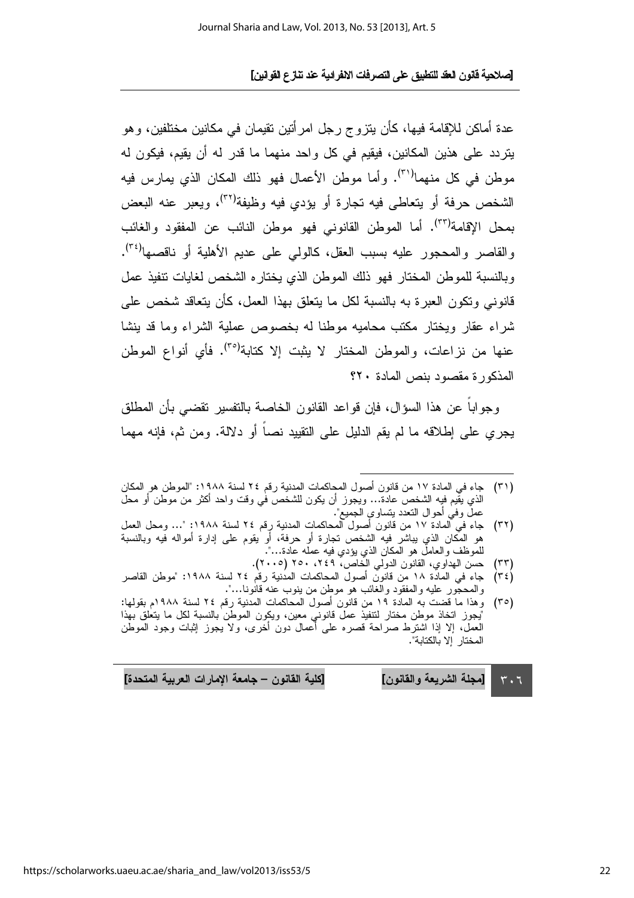عدة أماكن للإقامة فيها، كأن يتزوج رجل امر أتين تقيمان في مكانين مختلفين، وهو يتردد على هذين المكانين، فيقيم في كل واحد منهما ما قدر له أن يقيم، فيكون له موطن في كل منهما<sup>(٣١)</sup>. وأما موطن الأعمال فهو ذلك المكان الذي يمارس فيه الشخص حرفة أو يتعاطى فيه تجارة أو يؤدي فيه وظيفة<sup>(٣٢)</sup>، ويعبر عنه البعض بمحل الإقامة<sup>(٣٣)</sup>. أما الموطن القانوني فهو موطن النائب عن المفقود والغائب والقاصر والمحجور عليه بسبب العقل، كالولمي على عديم الأهلية أو ناقصها<sup>(٣٤)</sup>. وبالنسبة للموطن المختار فهو ذلك الموطن الذي بختار ه الشخص لغابات نتفبذ عمل قانونے وتكون العبر ۃ به بالنسبة لكل ما بتعلق بھذا العمل، كأن بتعاقد شخص علے شراء عقار وبختار مكتب محاميه موطنا له بخصوص عملية الشراء وما قد بنشا عنها من نز اعات، والموطن المختار الا بِثبت إلا كتابة<sup>(٣٥)</sup>. فأى أنواع الموطن المذكورة مقصود بنص المادة ٢٠؟

و جو ابـا عن هذا السوَّ ال، فإن قو اعد القانون الخاصـة بـالتفسير تقضـى بأن المطلق يجر ي علي إطلاقه ما لم يقم الدليل علي التقييد نصباً أو دلالة. ومن ثم، فإنه مهما

- (٣١) جاء في المادة ١٧ من قانون أصول المحاكمات المدنية رقم ٢٤ لسنة ١٩٨٨: "الموطن هو المكان الذي يقيم فيه الشخص عادة… ويجوز أن يكون للشخص في وقت واحد أكثر من موطن أو محل عملٌ وفي أحوال النَّعدد بنساوي الجميع".
- $(\tau \tau)$ جاء في المادة ١٧ من قانون أصول المحاكمات المدنية رِقم ٢٤ لسنة ١٩٨٨: "… ومحل العمل هو المُكان الذي يباشر فيه الشخص تجارة أو حرفة، أو يقوم على إدارة أمواله فيه وبالنسبة للموظف والعامل هو المكان الذي يؤدي فيه عمله عادة…".
	- حسن الهداوي، القانون الدولي الخاص، ٢٤٩، ٢٥٠ (٢٠٠٥).  $(\tau\tau)$
- جاء في المادة ١٨ من قانون أصول المحاكمات المدنية رقم ٢٤ لسنة ١٩٨٨: "موطن القاصر  $(\tau \epsilon)$ والمحجور عليه والمفقود والغائب هو موطن من ينوب عنه قانونا…".
- (٣٥) وهذا ما قضت به المادة ١٩ من قانون أصول المحاكمات المدنية رقم ٢٤ لسنة ١٩٨٨م بقولها: ْآيِجوز اتخاذ موطن مختار لتتفيذ عملّ قانونيّ معين، ويكون الموطن بالنسبة لكل ما يتعلق بهذا العمل، إلا إذا اشترط صراحة قصره على أعمال دون أخرى، ولا يجوز إثبات وجود الموطن المختار إلا بالكتابة".

[كلية القانون – جامعة الإمارات العربية المتحدة] [مجلة الشريعة والقانون]  $\mathbf{r} \cdot \mathbf{t}$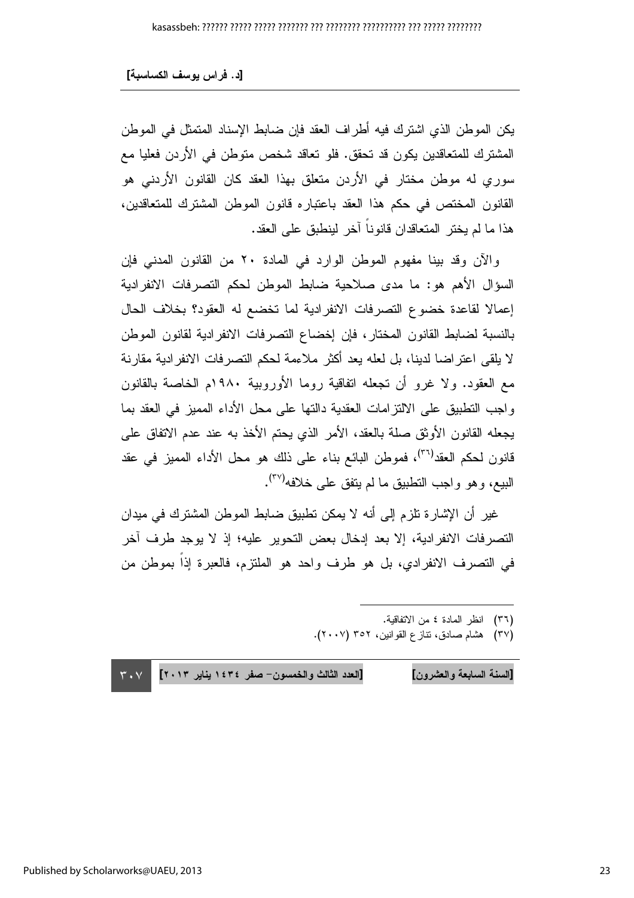يكن الموطن الذي اشترك فيه أطراف العقد فإن ضابط الإسناد المتمثل في الموطن المشترك للمتعاقدين يكون قد تحقق. فلو تعاقد شخص متوطن في الأردن فعليا مع سوري له موطن مختار في الأردن متعلق بهذا العقد كان القانون الأردني هو القانون المختص في حكم هذا العقد باعتباره قانون الموطن المشترك للمتعاقدين، هذا ما لم يختر المتعاقدان قانو ناً آخر لينطبق على العقد.

والآن وقد بينا مفهوم الموطن الوارد في المادة ٢٠ من القانون المدنى فإن السؤال الأهم هو: ما مدى صلاحية ضابط الموطن لحكم التصرفات الانفرادية إعمالا لقاعدة خضوع التصرفات الانفرادية لما تخضع له العقود؟ بخلاف الحال بالنسبة لضابط القانون المختار، فإن إخضاع النصرفات الانفرادية لقانون الموطن لا يلقى اعتز اضبا لدينا، بل لعله يعد أكثر ملاءمة لحكم التصر فات الانفر ادية مقار نة مع العقود. ولا غرو أن تجعله انفاقية روما الأوروبية ١٩٨٠م الخاصة بالقانون واجب النطبيق على الالنزامات العقدية دالنها على محل الأداء المميز في العقد بما يجعله القانون الأوثق صلة بالعقد، الأمر الذي يحتم الأخذ به عند عدم الاتفاق على قانون لحكم العقد<sup>(٣٦)</sup>، فموطن البائع بناء على ذلك هو محل الأداء المميز في عقد البيع، وهو واجب النطبيق ما لم يتفق على خلافه<sup>(٣٧</sup>).

غير أن الإشارة تلزم إلى أنه لا يمكن تطبيق ضابط الموطن المشترك في ميدان التصر فات الانفر ادية، إلا بعد إدخال بعض التحوير ِ عليه؛ إذ لا يوجد طرف آخر في التصرف الانفرادي، بل هو طرف واحد هو الملتزم، فالعبرة إذاً بموطن من

l

(٣٦) انظر المادة ٤ من الاتفاقية.

(٣٧) هشام صادق، نتاز ع القوانين، ٣٥٢ (٢٠٠٧).

[السنة السابعة والعشرون] [العدد الثالث والخمسون– صفر ١٤٣٤ يناير ٢٠١٣] ٣٠٧ السنة السابعة والعشرون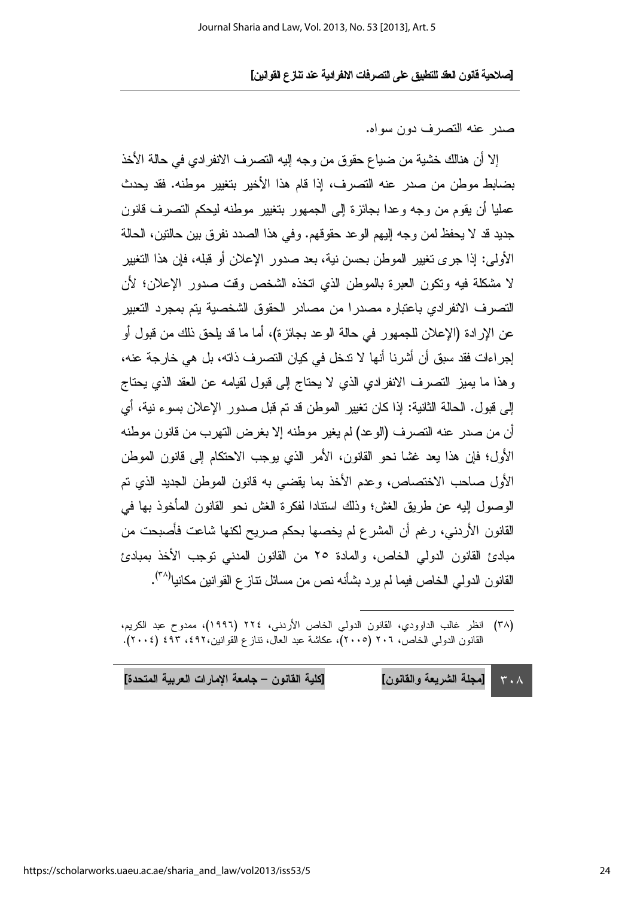صدر عنه التصرف دون سواه.

إلا أن هنالك خشية من ضياع حقوق من وجه إليه النصرف الانفرادي في حالة الأخذ بضابط موطن من صدر عنه التصرف، إذا قام هذا الأخير بتغيير موطنه. فقد يحدث عمليا أن يقوم من وجه وعدا بجائزة إلى الجمهور بتغيير موطنه ليحكم التصرف قانون جديد قد لا يحفظ لمن وجه إليهم الوعد حقوقهم. وفي هذا الصدد نفر ق بين حالتين، الحالة الأولى: إذا جرى تغيير الموطن بحسن نبة، بعد صدور الإعلان أو قبله، فإن هذا التغيير لا مشكلة فيه ونكون العبر ة بالموطن الذي اتخذه الشخص وقت صدور الإعلان؛ لأن التصر ف الانفر ادى باعتبار ه مصدر ا من مصادر الحقوق الشخصبة بتم بمجر د التعبير عن الإر ادة (الإعلان للجمهور في حالة الو عد بجائز ة)، أما ما قد بلحق ذلك من قبول أو إجر اءات فقد سبقٍ أن أشر نا أنها لا نتخل في كيان النصر ف ذاته، بل هي خار جة عنه، وهذا ما يميز التصرف الانفرادي الذي لا يحتاج إلى قبول لقيامه عن العقد الذي يحتاج إلى قبول. الحالة الثانية: إذا كان نغيير الموطن قد تم قبل صدور الإعلان بسوء نية، أي أن من صدر عنه التصرف (الوعد) لم يغير موطنه إلا بغرض التهرب من قانون موطنه الأول؛ فإن هذا يعد غشا نحو القانون، الأمر الذي يوجب الاحتكام إلى قانون الموطن الأول صاحب الاختصاص، وعدم الأخذ بما يقضي به قانون الموطن الجديد الذي تم الوصول إليه عن طريق الغش؛ وذلك استنادا لفكر ة الغش نحو القانون المأخوذ بها في القانون الأردني، رغم أن المشرع لم يخصها بحكم صريح لكنها شاعت فأصبحت من مبادئ القانون الدولي الخاص، والمادة ٢٥ من القانون المدنى توجب الأخذ بمبادئ القانو ن الدو لي الخاص فيما لم ير د بشأنه نص من مسائل نتاز ع القو انين مكانيا<sup>(٣٨)</sup>.

| [كلية القانون — جامعة الإمارات العربية المتحدة] | ٣٠٨ [[مجلة الشريعة والقانون] |  |
|-------------------------------------------------|------------------------------|--|
|-------------------------------------------------|------------------------------|--|

<sup>(</sup>٣٨) انظر غالب الداوودي، القانون الدولي الخاص الأريني، ٢٢٤ (١٩٩٦)، ممدوح عبد الكريم، القانون الدولي الخاص، ٢٠٦ (٢٠٠٥)، عكاشة عبد العال، نتاز ع القوانين،٤٩٢، ٤٩٣ (٢٠٠٤).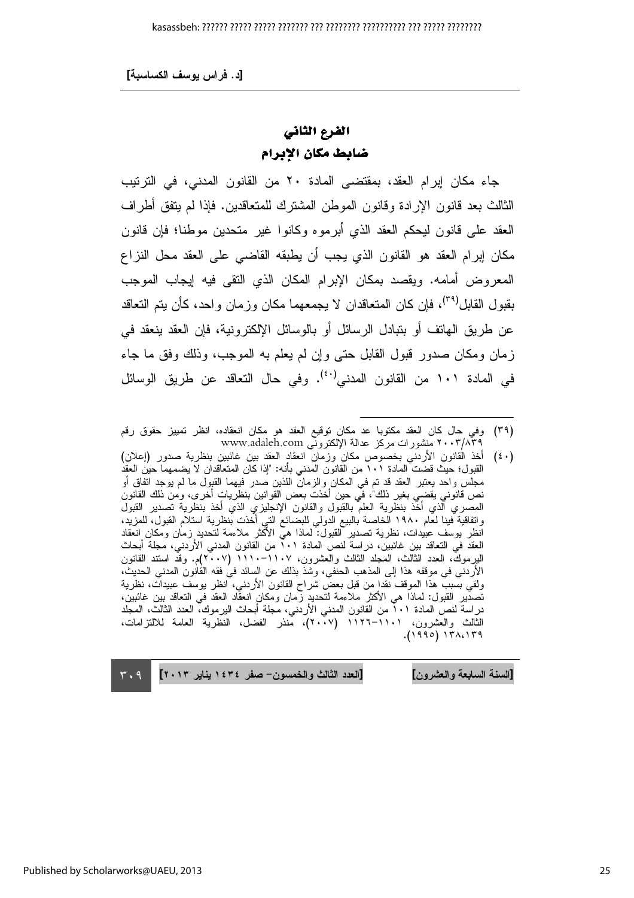### الفرع الثاني ضابط مكان الإبرام

جاء مكان إبرام العقد، بمقتضى المادة ٢٠ من القانون المدنى، في الترتيب الثالث بعد قانون الإرادة وقانون الموطن المشترك للمتعاقدين. فإذا لم يتفق أطراف العقد على قانون ليحكم العقد الذي أبرموه وكانوا غير متحدين موطنا؛ فإن قانون مكان إبرام العقد هو القانون الذي يجب أن يطبقه القاضبي على العقد محل النزاع المعر و ض أمامه. ويقصد بمكان الإبر ام المكان الذي النقي فيه إيجاب الموجب بقبول القابل<sup>(۳۹)</sup>، فإن كان المتعاقدان لا يجمعهما مكان وزمان واحد، كأن يتم التعاقد عن طريق الهاتف أو بتبادل الرسائل أو بالوسائل الإلكترونية، فإن العقد ينعقد في زمان ومكان صدور قبول القابل حتى وإن لم يعلم به الموجب، وذلك وفق ما جاء في المادة ١٠١ من القانون المدنى<sup>(٤٠)</sup>. وفي حال التعاقد عن طريق الوسائل

(٤٠) أخذ القانون الأردنبي بخصوص مكان وزمان انعقاد العقد بين غائبين بنظرية صدور (إعلان) القبول؛ حيث قضت المادة ١٠١ من القانون المدنى بأنه: "إذا كان المتعاقدان لا يضمهما حين العقد مجلس واحد يعتبر العقد قد تم في المكان والزمان اللذين صدر فيهما القبول ما لم يوجد اتفاق أو نص قَانوّني يُقضـّى بغير ذلك"، فَي حين أَخَذْتُ بعض الْقَوانين بِنظَريات أُخْرى، ومٰنَّ ذلك القانونَ<br>المصري الذي أخذ بنظرية العلم بالقبول والقانون الإنجليزي الذي أخذ بنظرية تصدير القبول واتفاقية فينا لعام ١٩٨٠ الخاصة بالبيع الدولي للبضائع التي أخذت بنظرية استلام القبول، للمزيد،<br>وانفاقية فينا لعام ١٩٨٠ الخاصة بالبيع الدولي للبضائع التي أخذت بنظرية استلام القبول، للمزيد، انظر بوسف عبيدات، نظرية نصدير َّالقبول: لماذا هيَّ الأَكْثر ملاءمة لنحديد زمان ومكان انعقاد العقد في التعاقد بين غائبين، دراسة لنص المادة ٠١٦ من القانون المدنى الأردني، مجلة أبحاث البرموكَ، العدد الثالث، المجلد الثالث والعشرون، ١١٠٧–١١١٠ (٢٠٠٧م. وقدَّ استند القانون الأردنـى في موقفه هذا إلى المذهب الحنفي، وشذ بذلك عن السائد في فقه القانون المدنـى الـحديث، ولقى بسَّببٌ هذا الموقف نقدا من قبل بعضٌ شراح القانون الأردنـي، انظر يوسف عبيدات، نظرية تصدَّيرِ القبول: لماذا هي الأكثر ملاءمة لتحديد زَّمانٍ ومكانٍ انعقَّاد العقد في التعاقد بين غائبين، دراسة لنصّ المادة ٢٠١ من القانون المدني الأردني، مُحلّة أبحاث اليرموك، العدد الثالث، المجلد<br>"دراسة لنصّ المادة ٢٠١ من القانون المدني الأردني، مُحلّة أبحاث اليرموك، العدد الثالث، المجلد الثالث والعشرون، ١١٠١–١١٢٦ (٢٠٠٧)، مُنذر الفضل، النظرية العامة للالتزامات،  $(1990) 171.179$ 

[العدد الثالث والخمسون- صفر ١٤٣٤ يناير ٢٠١٣] [السنة السابعة و العشر ون]

 $r.9$ 

<sup>(</sup>٣٩) وفي حال كان العقد مكتوبا عد مكان توقيع العقد هو مكان انعقاده، انظر تمييز حقوق رقم ٢٠٠٣/٨٣٩ منشورات مركز عدالة الإلكتروني www.adaleh.com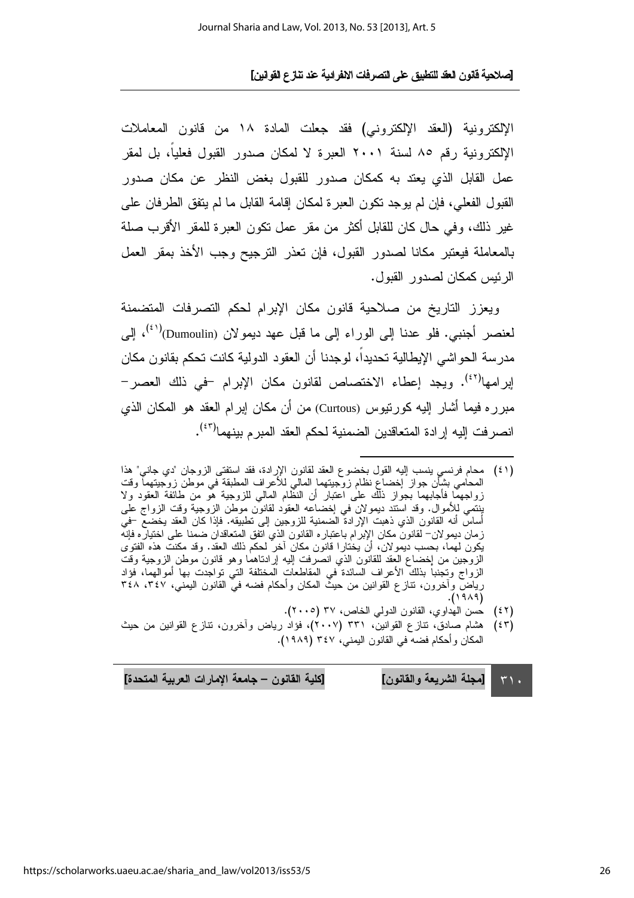الإلكترونية (العقد الإلكتروني) فقد جعلت المادة ١٨ من قانون المعاملات الإلكترونية رقم ٨٥ لسنة ٢٠٠١ العبرة لا لمكان صدور القبول فعليا، بل لمقر عمل القابل الذي يعتد به كمكان صدور للقبول بغض النظر عن مكان صدور القبول الفعلي، فإن لم يوجد نكون العبر ة لمكان إقامة القابل ما لم يتفق الطرفان على غير ذلك، و في حال كان للقابل أكثر من مقر عمل نكون العبر ة للمقر الأقر ب صلة بالمعاملة فبعتبر مكانا لصدور القبول، فإن تعذر الترجيح وجب الأخذ بمقر العمل الرئيس كمكان لصدور القبول.

وبعزز التاريخ من صلاحية قانون مكان الإبرام لحكم التصرفات المتضمنة لعنصر أجنبي. فلو عدنا إلى الوراء إلى ما قبل عهد ديمو لان (Dumoulin)<sup>(٤١)</sup>، إلى مدر سة الحو اشي الإيطالية تحديداً، لوجدنا أن العقود الدولية كانت تحكم بقانون مكان ابرامها<sup>(٤٢)</sup>. ويجد إعطاء الاختصاص لقانون مكان الإبرام –في ذلك العصر– مبرره فيما أشار إليه كورنيوس (Curtous) من أن مكان إبرام العقد هو المكان الذي انصر فت إليه إر ادة المتعاقدين الضمنية لحكم العقد المبر م بينهما<sup>(٤٣)</sup>.

- (٤٢) حَسَنَ الْمُدَاوِي، الْقَانُونَ الدُولِي الْخَاص، ٣٧ (٢٠٠٥).
- (٤٣) هشام صادق، نتازع القوانين، ٣٣١ (٢٠٠٧)، فؤاد رياض وآخرون، نتازع القوانين من حيث المكان و أحكام فضبه في القانون اليمني، ٣٤٧ (١٩٨٩).

[كلية القانون – جامعة الإمارات العربية المتحدة] [مجلة الشريعة والقانون]  $\mathbf{r} \setminus \mathbf{r}$ 

<sup>(</sup>٤١) محام فرنسي بنسب إليه القول بخضوع العقد لقانون الإرادة، فقد استفتى الزوجان "دى جانى" هذا المحامي بشأن جواز إخضاع نظام زوَّجبنهما المالي للأعراف المطبقة في موطن زوَّجبنهماً وقت زواجهماً فأجابهماً بجوًاز ذلك على اعتبار أن النظام المالي للزوجية هو من طائفة العقود ولا<br>بِنسَي للأموال. وقد استند ديمولان في إخضاعه العقود لقانون موطن الزوجية وقت الزواج على أساسٌ أنه القانون الذي ذهبت الإرادةٌ الْضمنية للزوجين إلى نطبيقه. فإذا كان العقد بخضعٌ –فيَّ زمان ديمو لان– لقانون مكان الإبرام باعتباره القانون الذي اتفق المتعاقدان ضمنا على اختياره فإنه بِكُونَ لَهِماً، بِحِسبِ دَبِمَو لانَّ، أَنْ بِخْتَارِ ا قَانُون مكانَّ آخِرٌ لَحِكْمِ ذَلِكَ العقْد وقد مكنت هذه الفتوى الزوجين من إخضاع العقد للقانون الذي انصرفت إليه إرادناهما وهو قانون موطن الزوجية وقت الزواج وتجنباً بذلك الأعراف السائدة في المقاطعات المختلفة التي نواجدت بها أموالهما، فؤاد رياضٌ وأخرون، نتازع القوانين من حيثٌ المكان وأحكام فضه فيَّ القانون اليمنى، ٢٤٧، ٣٤٨  $.(\lambda 9 \lambda 9)$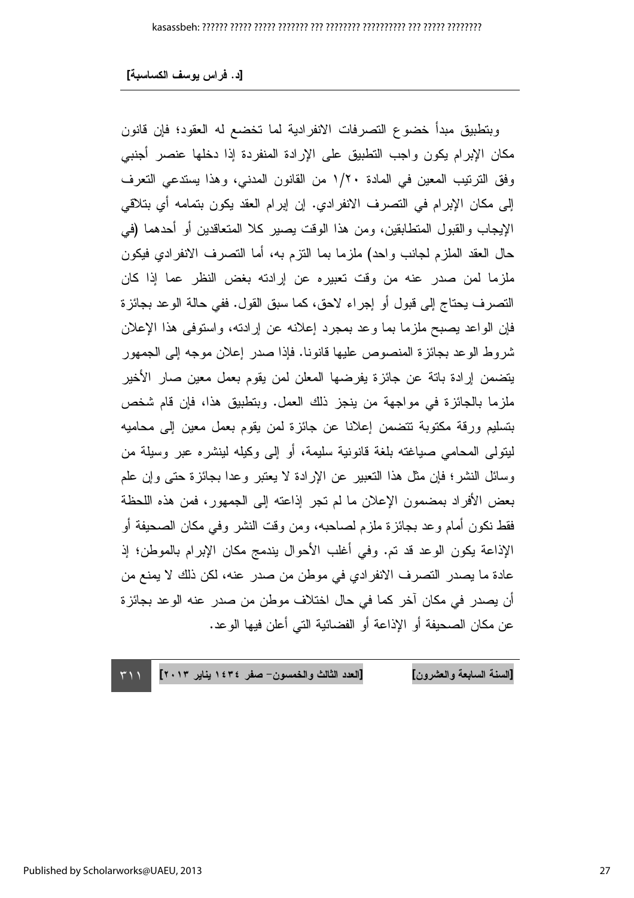وبتطبيق مبدأ خضوع التصرفات الانفرادية لما تخضع له العقود؛ فإن قانون مكان الإبرام يكون واجب التطبيق على الإرادة المنفردة إذا دخلها عنصر أجنبي وفق الترتيب المعين في المادة ١/٢٠ من القانون المدنى، وهذا يستدعى التعرف إلى مكان الإبرام في التصرف الانفرادي. إن إبرام العقد يكون بتمامه أي بتلاقي الإيجاب والقبول المنطابقين، ومن هذا الوقت يصير كلا المتعاقدين أو أحدهما (في حال العقد الملزم لجانب واحد) ملزما بما النزم به، أما التصرف الانفرادي فيكون ملزما لمن صدر عنه من وقت تعبيره عن إرادته بغض النظر عما إذا كان التصرف يحتاج إلى قبول أو إجراء لاحق، كما سبق القول. ففي حالة الوعد بجائزة فإن الواعد بصبح ملزما بما وعد بمجرد إعلانه عن إرادته، واستوفى هذا الإعلان شروط الوعد بجائزة المنصوص عليها قانونا. فإذا صدر إعلان موجه إلى الجمهور يتضمن إرادة باتة عن جائزة يفرضها المعلن لمن يقوم بعمل معين صار الأخير ملزما بالجائزة في مواجهة من ينجز ذلك العمل. وبتطبيق هذا، فإن قام شخص بتسليم ورقة مكتوبة نتضمن إعلانا عن جائزة لمن بقوم بعمل معين إلى محاميه ليتولى المحامى صياغته بلغة قانونية سليمة، أو إلى وكيله لينشره عبر وسيلة من وسائل النشر؛ فإن مثل هذا النعبير عن الإرادة لا يعتبر وعدا بجائزة حتى وإن علم بعض الأفراد بمضمون الإعلان ما لم تجر إذاعته إلى الجمهور، فمن هذه اللحظة فقط نكون أمام وعد بجائزة ملزم لصاحبه، ومن وقت النشر وفي مكان الصحيفة أو الإذاعة يكون الوعد قد تم. وفي أغلب الأحوال يندمج مكان الإبرام بالموطن؛ إذ عادة ما يصدر التصرف الانفرادي في موطن من صدر عنه، لكن ذلك لا يمنع من أن بصدر ً في مكان آخر ً كما في حال اختلاف موطن من صدر عنه الوعد بجائز ة عن مكان الصحيفة أو الإذاعة أو الفضائية التي أعلن فيها الو عد.

[العدد الثالث والخمسون- صفر ١٤٣٤ يناير ٢٠١٣] [السنة السابعة والعشرون]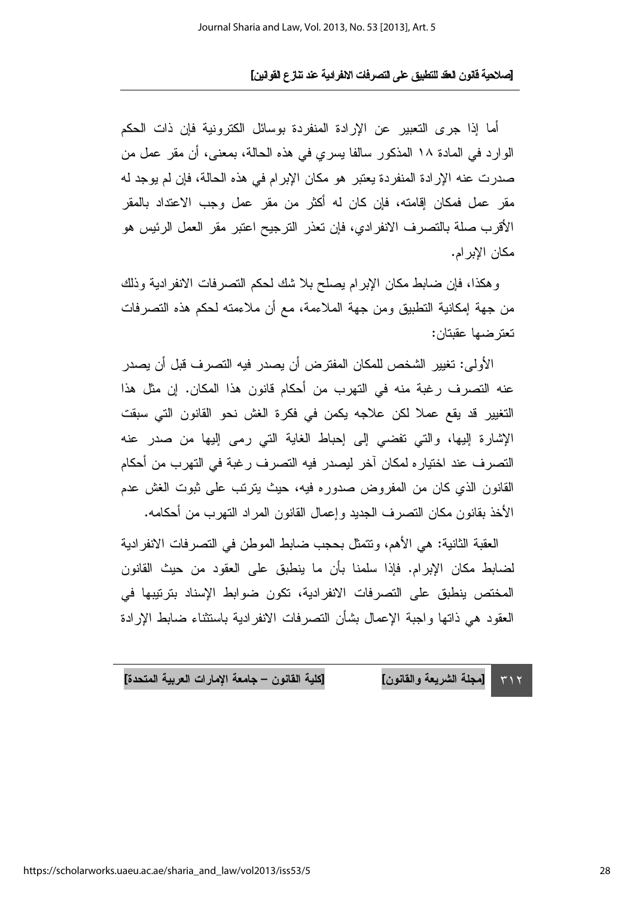أما إذا جرى التعبير ٍ عن الإرادة المنفردة بوسائل الكترونية فإن ذات الحكم الوارد في المادة ١٨ المذكور سالفا يسري في هذه الحالة، بمعنى، أن مقر عمل من صدرت عنه الإرادة المنفردة يعتبر هو مكان الإبرام في هذه الحالة، فإن لم يوجد له مقر عمل فمكان إقامته، فإن كان له أكثر من مقر عمل وجب الاعتداد بالمقر الأقرب صلة بالتصرف الانفر ادى، فإن تعذر الترجيح اعتبر مقر العمل الرئيس هو مكان الابر ام.

وهكذا، فإن ضابط مكان الإبرام بصلح بلا شك لحكم التصرفات الانفرادية وذلك من جهة إمكانية التطبيق ومن جهة الملاءمة، مع أن ملاءمته لحكم هذه التصرفات تعترضها عقبتان:

الأولى: تغيير الشخص للمكان المفترض أن يصدر فيه التصرف قبل أن يصدر عنه التصرف رغبة منه في التهرب من أحكام قانون هذا المكان. إن مثل هذا التغيير قد يقع عملاً لكن علاجه يكمن في فكرة الغش نحو القانون التي سبقت الإشارة إليها، والتي نفضي إلى إحباط الغاية التي رمي إليها من صدر عنه التصرف عند اختياره لمكان آخر ليصدر فيه التصرف رغبة في التهرب من أحكام القانون الذي كان من المفروض صدوره فيه، حيث بترتب على ثبوت الغش عدم الأخذ بقانون مكان التصرف الجديد وإعمال القانون المراد التهرب من أحكامه.

العقبة الثانية: هي الأهم، ونتمثَّل بحجب ضابط الموطن في التصرفات الانفرادية لضبابط مكان الإبرام. فإذا سلمنا بأن ما ينطبق على العقود من حيث القانون المختص ينطبق على التصرفات الانفرادية، تكون ضوابط الإسناد بترتيبها في العقود هي ذاتها واجبة الإعمال بشأن التصرفات الانفر ادية باستثناء ضابط الإرادة

[كلية القانون – جامعة الإمارات العربية المتحدة] [مجلة الشريعة والقانون]  $515$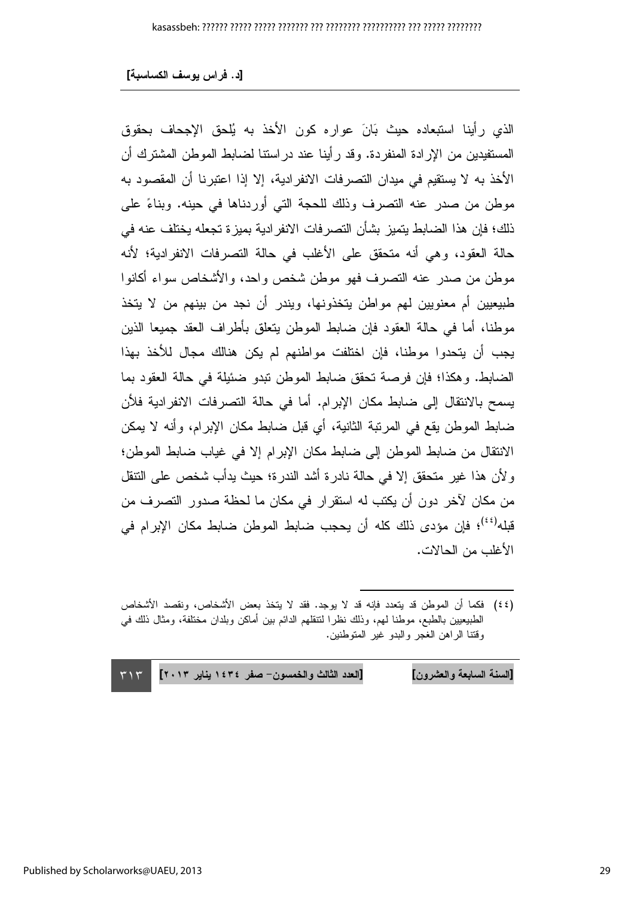الذي رأينا استبعاده حيث بَانَ عواره كون الأخذ به يُلحق الإجحاف بحقوق المستفيدين من الإر ادة المنفر دة. وقد ر أينا عند در استنا لضبابط الموطن المشتر ك أن الأخذ به لا يستقيم في ميدان التصرفات الانفرادية، إلا إذا اعتبرنا أن المقصود به موطن من صدر عنه النصرف وذلك للحجة التي أوردناها في حينه. وبناءً على ذلك؛ فإن هذا الضابط يتميز بشأن التصر فات الانفر ادية بميز ة تجعله يختلف عنه في حالة العقود، وهي أنه متحقق على الأغلب في حالة التصرفات الانفرادية؛ لأنه موطن من صدر عنه التصرف فهو موطن شخص واحد، والأشخاص سواء أكانوا طبيعيين أم معنويين لهم مواطن يتخذونها، ويندر أن نجد من بينهم من لا يتخذ موطنًا، أما في حالة العقود فإن ضابط الموطن يتعلَّق بأطراف العقد جميعًا الذين يجب أن يتحدوا موطنا، فإن اختلفت مواطنهم لم يكن هنالك مجال للأخذ بهذا الضابط. وهكذا؛ فإن فرصة تحقق ضابط الموطن نبدو ضئيلة في حالة العقود بما يسمح بالانتقال إلى ضابط مكان الإبرام. أما في حالة التصرفات الانفرادية فلأن ضابط الموطن يقع في المرتبة الثانية، أي قبل ضابط مكان الإبرام، وأنه لا يمكن الانتقال من ضابط الموطن إلى ضابط مكان الإبرام إلا في غياب ضابط الموطن؛ و لأن هذا غير متحقق إلا في حالة نادرة أشد الندرة؛ حيث يدأب شخص على النتقل من مكان لآخر دون أن بكتب له استقرار ً في مكان ما لحظة صدور التصر ف من قبله<sup>(٤٤)</sup>؛ فإن مؤدى ذلك كله أن بحجب ضابط الموطن ضابط مكان الإبرام في الأغلب من الحالات.

[العدد الثالث والخمسون- صفر ١٤٣٤ يناير ٢٠١٣] [السنة السابعة والعشرون]  $\tau \wedge \tau$ 

<sup>(</sup>٤٤) فكما أن الموطن قد يتعدد فإنه قد لا يوجد. فقد لا يتخذ بعض الأشخاص، ونقصد الأشخاص الطبيعيين بالطبع، موطنا لهم، وذلك نظرًا لتتقلهم الدائم بين أماكن وبلدان مختلفة، ومثال ذلك في وقتنا الراهن الغجر والبدو غير المتوطنين.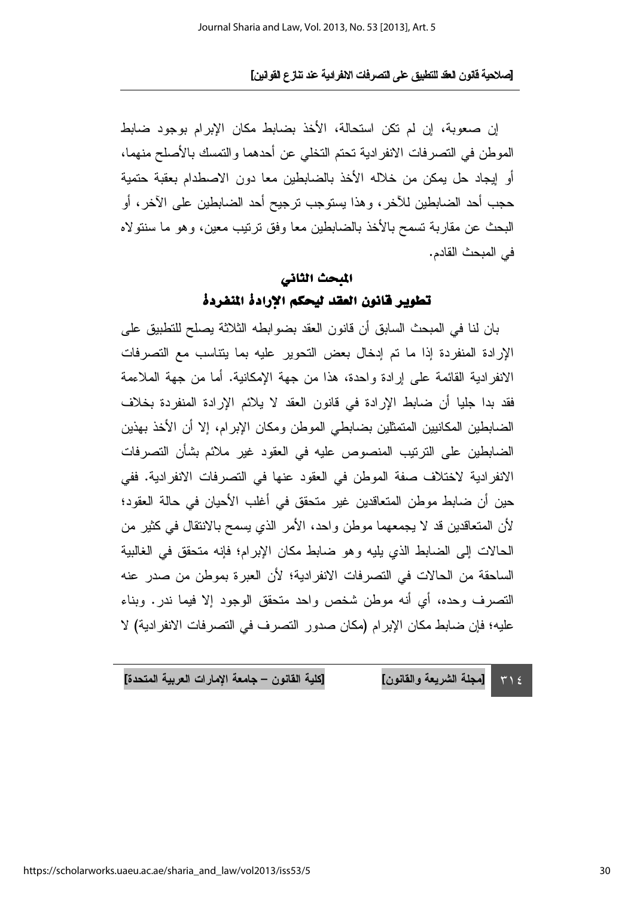إن صعوبة، إن لم تكن استحالة، الأخذ بضابط مكان الإبرام بوجود ضابط الموطن في التصرفات الانفرادية تحتم التخلي عن أحدهما والتمسك بالأصلح منهما، أو إيجاد حل يمكن من خلاله الأخذ بالضابطين معا دون الاصطدام بعقبة حتمية حجب أحد الضابطين للآخر ، وهذا يستوجب ترجيح أحد الضابطين على الآخر ، أو البحث عن مقاربة تسمح بالأخذ بالضابطين معا وفق ترتيب معين، وهو ما سنتولاه في المبحث القادم.

### المبحث الثاني تطوير قانون العقد ليحكم الارادة المنفردة

بان لنا في المبحث السابق أن قانون العقد بضو ابطه الثلاثة يصلح للتطبيق على الإرادة المنفردة إذا ما تم إدخال بعض التحوير عليه بما يتناسب مع التصرفات الانفر ادية القائمة على إرادة واحدة، هذا من جهة الإمكانية. أما من جهة الملاءمة فقد بدا جليا أن ضبابط الإرادة في قانون العقد لا يلائم الإرادة المنفردة بخلاف الضابطين المكانيين المتمثلين بضابطي الموطن ومكان الإبرام، إلا أن الأخذ بهذين الضباطين على الترتيب المنصوص عليه في العقود غير ملائم بشأن التصرفات الانفر ادية لاختلاف صفة الموطن في العقود عنها في التصر فات الانفر ادية. ففي حين أن ضبابط موطن المتعاقدين غير متحقق في أغلب الأحيان في حالة العقود؛ لأن المتعاقدين قد لا يجمعهما موطن واحد، الأمر الذي يسمح بالانتقال في كثير من الحالات إلى الضابط الذي يليه وهو ضابط مكان الإبرام؛ فإنه متحقق في الغالبية الساحقة من الحالات في التصرفات الانفرادية؛ لأن العبرة بموطن من صدر عنه التصرف وحده، أي أنه موطن شخص واحد متحقق الوجود إلا فيما ندر. وبناء عليه؛ فإن ضابط مكان الإبر ام (مكان صدور النصر ف في النصر فات الانفر ادية) لا

[كلية القانون – جامعة الإمارات العربية المتحدة] [مجلة الشريعة والقانون]

 $T \geq$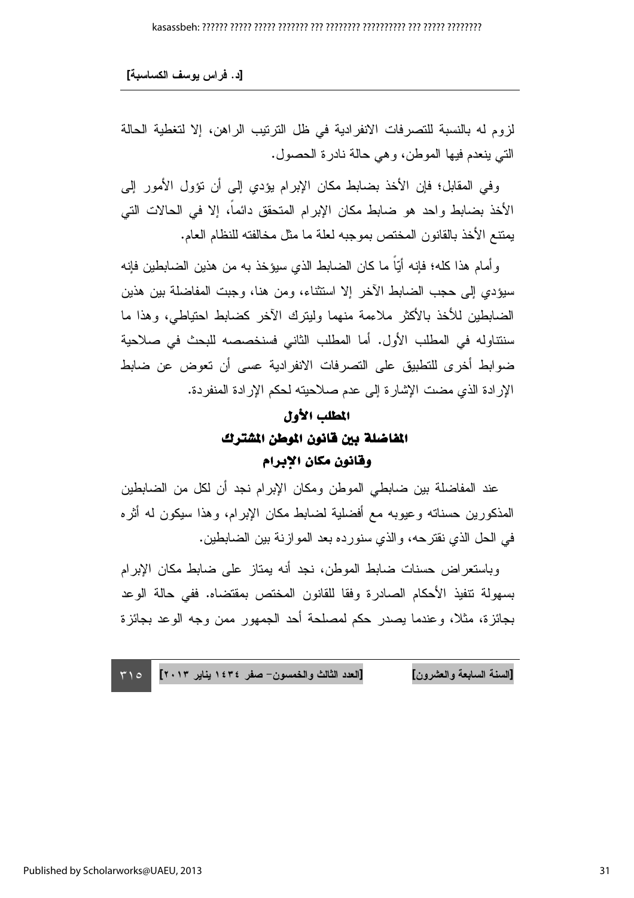[د. فراس يوسف الكساسبة]

لزوم له بالنسبة للتصرفات الانفرادية في ظل الترتيب الراهن، إلا لتغطية الحالة التي ينعدم فيها الموطن، وهي حالة نادرة الحصول.

وفي المقابل؛ فإن الأخذ بضابط مكان الإبرام يؤدي إلى أن نؤول الأمور إلى الأخذ بضابط واحد هو ضابط مكان الإبرام المتحقق دائماً، إلا في الحالات التي يمتنع الأخذ بالقانون المختص بموجبه لعلة ما مثل مخالفته للنظام العام.

و أمام هذا كله؛ فإنه أيّاً ما كان الضابط الذي سيؤخذ به من هذين الضابطين فإنه سيؤدي إلى حجب الضابط الآخر إلا استثناء، ومن هنا، وجبت المفاضلة بين هذين الضابطين للأخذ بالأكثر ملاءمة منهما وليترك الأخر كضابط احتياطي، وهذا ما سنتناوله في المطلب الأول. أما المطلب الثاني فسنخصصه للبحث في صلاحية ضوابط أخرى للتطبيق على التصرفات الانفرادية عسى أن تعوض عن ضابط الإر ادة الذي مضت الإشارة إلى عدم صلاحيته لحكم الإرادة المنفردة.

### المطلب الأول الفاضلة بين قانون الموطن الشترك وقانون مكان الابرام

عند المفاضلة بين ضابطي الموطن ومكان الإبرام نجد أن لكل من الضابطين المذكورين حسناته وعيوبه مع أفضلية لضابط مكان الإبرام، وهذا سيكون له أثره في الحل الذي نقترحه، والذي سنورده بعد الموازنة بين الضابطين.

وباستعر اض حسنات ضابط الموطن، نجد أنه يمتاز على ضابط مكان الإبرام بسهولة نتفيذ الأحكام الصادرة وفقا للقانون المختص بمقتضاه. ففي حالة الوعد بجائز ة، مثلاً، وعندما بصدر حكم لمصلحة أحد الجمهور ً ممن وجه الوعد بجائز ة

[العدد الثالث والخمسون- صفر ١٤٣٤ يناير ٢٠١٣] [السنة السابعة والعشرون]  $500$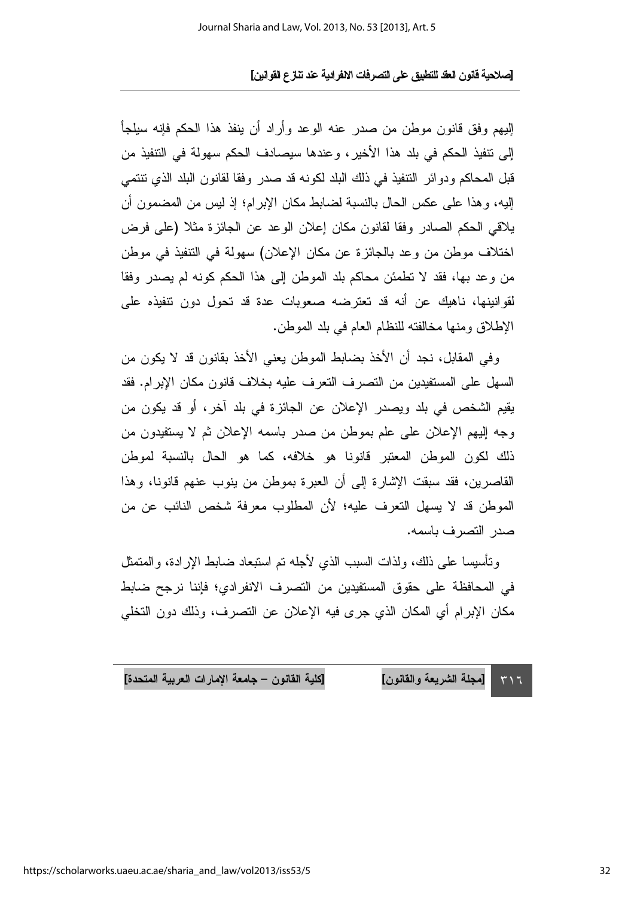الِبِهِم وفقٍ قانونٍ موطنٍ من صدرٍ عنه الوعدِ وأرادٍ أن ينفذِ هذا الحكم فإنه سيلجأ إلى نتفيذ الحكم في بلد هذا الأخير، وعندها سيصادف الحكم سهولة في النتفيذ من قبل المحاكم ودوائر النتفيذ في ذلك البلد لكونه قد صدر وفقا لقانون البلد الذي نتنمى الِيهِ، وهذا على عكس الحال بالنسبة لضابط مكان الإبرام؛ إذ ليس من المضمون أن يلاقي الحكم الصادر وفقا لقانون مكان إعلان الوعد عن الجائزة مثلا (على فرض اختلاف موطن من وعد بالجائزة عن مكان الإعلان) سهولة في التتفيذ في موطن من وعد بها، فقد لا تطمئن محاكم بلد الموطن إلى هذا الحكم كونه لم يصدر وفقا لقوانينها، ناهيك عن أنه قد تعترضه صعوبات عدة قد تحول دون تتفيذه على الإطلاق ومنها مخالفته للنظام العام في بلد الموطن.

و في المقابل، نجد أن الأخذ بضابط الموطن يعني الأخذ بقانون قد لا يكون من السهل على المستفيدين من التصريف التعريف عليه بخلاف قانون مكان الإبرام. فقد يقيم الشخص في بلد ويصدر الإعلان عن الجائزة في بلد آخر، أو قد يكون من وجه إليهم الإعلان على علم بموطن من صدر باسمه الإعلان ثم لا يستفيدون من ذلك لكون الموطن المعتبر قانونا هو خلافه، كما هو الحال بالنسبة لموطن القاصرين، فقد سبقت الإشارة إلى أن العبرة بموطن من ينوب عنهم قانونا، وهذا الموطن قد لا يسهل التعرف عليه؛ لأن المطلوب معرفة شخص النائب عن من صدر التصرف باسمه.

وتأسيسا على ذلك، ولذات السبب الذي لأجله نم استبعاد ضابط الإرادة، والمنمثل في المحافظة على حقوق المستفيدين من التصرف الانفرادي؛ فإننا نرجح ضبابط مكان الإبرام أي المكان الذي جرى فيه الإعلان عن التصرف، وذلك دون التخلي

[كلية القانون – جامعة الإمارات العربية المتحدة] [مجلة الشريعة والقانون]  $517$ 

https://scholarworks.uaeu.ac.ae/sharia and law/vol2013/iss53/5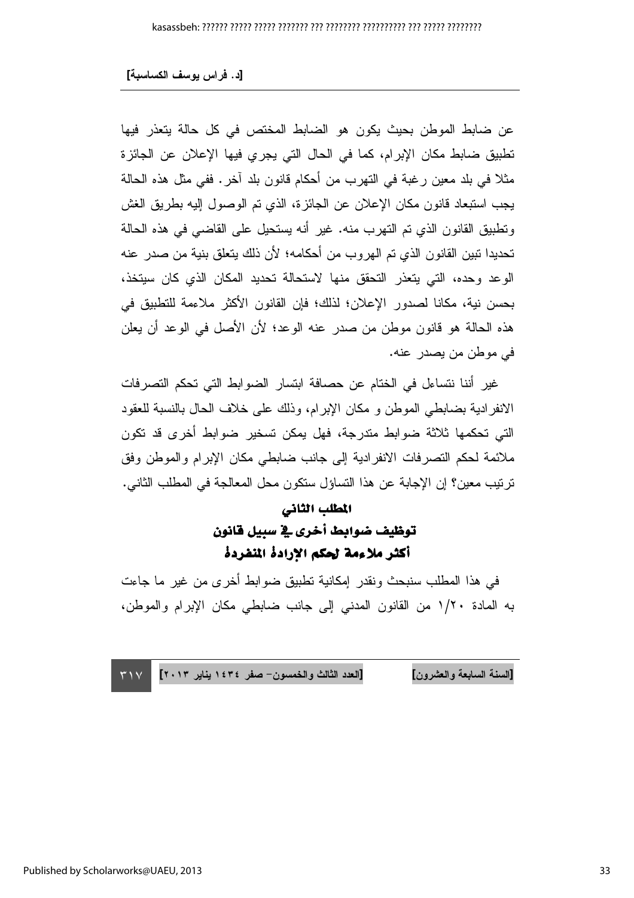عن ضابط الموطن بحيث يكون هو الضابط المختص في كل حالة يتعذر فيها تطبيق ضابط مكان الإبرام، كما في الحال التي يجرى فيها الإعلان عن الجائزة مثلاً في بلد معين رغبة في التهرب من أحكام قانون بلد آخر . ففي مثل هذه الحالة يجب استبعاد قانون مكان الإعلان عن الجائزة، الذي تم الوصول إليه بطريق الغش ونطبيق القانون الذي تم التهرب منه. غير أنه يستحيل على القاضىي في هذه الحالة تحديدا تبين القانون الذي تم الهروب من أحكامه؛ لأن ذلك يتعلق بنية من صدر عنه الوعد وحده، التي يتعذر التحقق منها لاستحالة تحديد المكان الذي كان سيتخذ، بحسن نية، مكانا لصدور الإعلان؛ لذلك؛ فإن القانون الأكثر ملاءمة للتطبيق في هذه الحالة هو قانون موطن من صدر عنه الوعد؛ لأن الأصل في الوعد أن يعلن في موطن من يصدر عنه.

غير أننا نتساءل في الختام عن حصافة ابتسار الضوابط التي تحكم التصرفات الانفرادية بضـابطـي الموطن و مكان الإبرام، وذلك علـي خلاف الحال بالنسبة للعقود التي تحكمها ثلاثة ضوابط متدرجة، فهل يمكن تسخير ضوابط أخرى قد تكون ملائمة لحكم التصرفات الانفرادية إلى جانب ضابطي مكان الإبرام والموطن وفق تر تيب معين؟ إن الإجابة عن هذا التساؤل ستكون محل المعالجة في المطلب الثاني.

#### المطلب الثاني

### توظيف ضوابط أخرى في سبيل قانون أكثر ملاءمة لحكم الارادة المنفردة

في هذا المطلب سنبحث ونقدر إمكانية نطبيق ضوابط أخرى من غير ما جاءت به المادة ١/٢٠ من القانون المدنى إلى جانب ضابطي مكان الإبرام والموطن،

[السنة السابعة والعشرون] [العدد الثالث والخمسون– صفر ١٤٣٤ يناير ٢٠١٣] ٣١٧ السنة السابعة والعشرون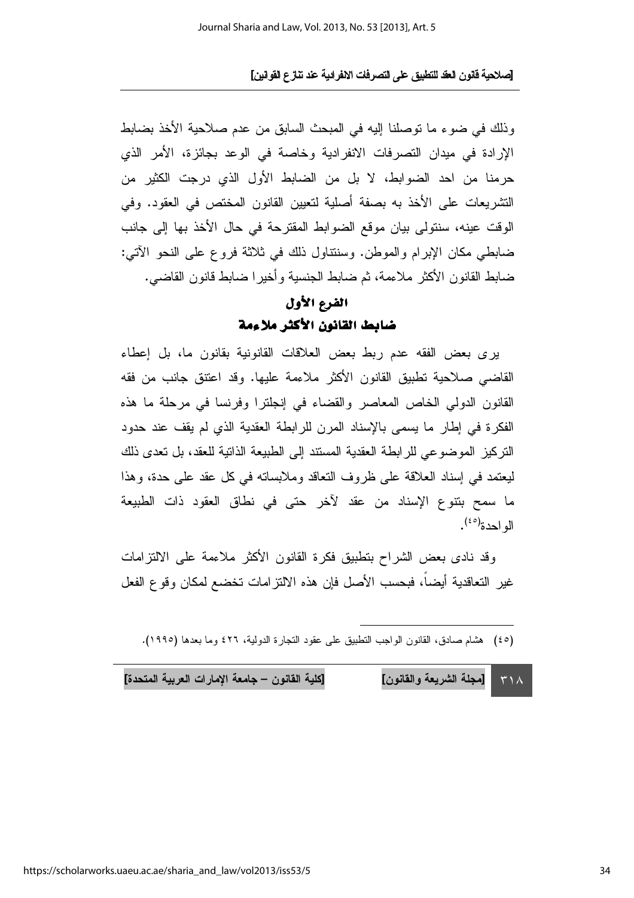وذلك في ضوء ما توصلنا إليه في المبحث السابق من عدم صلاحية الأخذ بضابط الإرادة في ميدان التصرفات الانفرادية وخاصة في الوعد بجائزة، الأمر الذي حرمنا من احد الضوابط، لا بل من الضابط الأول الذي درجت الكثير من التشريعات على الأخذ به بصفة أصلية لتعيين القانون المختص في العقود. وفي الوقت عينه، سنتولى بيان موقع الضوابط المقترحة في حال الأخذ بها إلى جانب ضابطي مكان الإبرام والموطن. وسننتاول ذلك في ثلاثة فروع على النحو الآتي: ضابط القانون الأكثر ملاءمة، ثم ضابط الجنسية وأخيرا ضابط قانون القاضي.

#### الفرع الأول ضابط القانون الأكثر ملاءمة

يري بعض الفقه عدم ربط بعض العلاقات القانونية بقانون ما، بل إعطاء القاضبي صلاحية تطبيق القانون الأكثر ملاءمة عليها. وقد اعتتق جانب من فقه القانون الدولي الخاص المعاصر والقضاء في إنجلترا وفرنسا في مرحلة ما هذه الفكرة في إطار ما يسمى بالإسناد المرن للرابطة العقدية الذي لم يقف عند حدود النَّزِ كيزِ الموضوعي للرَّ ابطة العقدية المستند إلى الطبيعة الذاتية للعقد، بل تعدي ذلك ليعتمد في إسناد العلاقة على ظروف النعاقد وملابساته في كل عقد على حدة، وهذا ما سمح بتنوع الإسناد من عقد لآخر حتى في نطاق العقود ذات الطبيعة  $\int_0^{\left(2\circ\right)}$ 

وقد نادي بعض الشراح بتطبيق فكرة القانون الأكثر ملاءمة على الالتزامات غير التعاقدية أيضاً، فبحسب الأصل فإن هذه الالتزامات تخضع لمكان وقوع الفعل

(٤٥) هشام صادق، القانون الواجب التطبيق على عقود التجارة الدولية، ٤٢٦ وما بعدها (١٩٩٥).

[كلية القانون – جامعة الإمارات العربية المتحدة] [مجلة الشريعة والقانون]  $\mathsf{r}\wedge\mathsf{A}$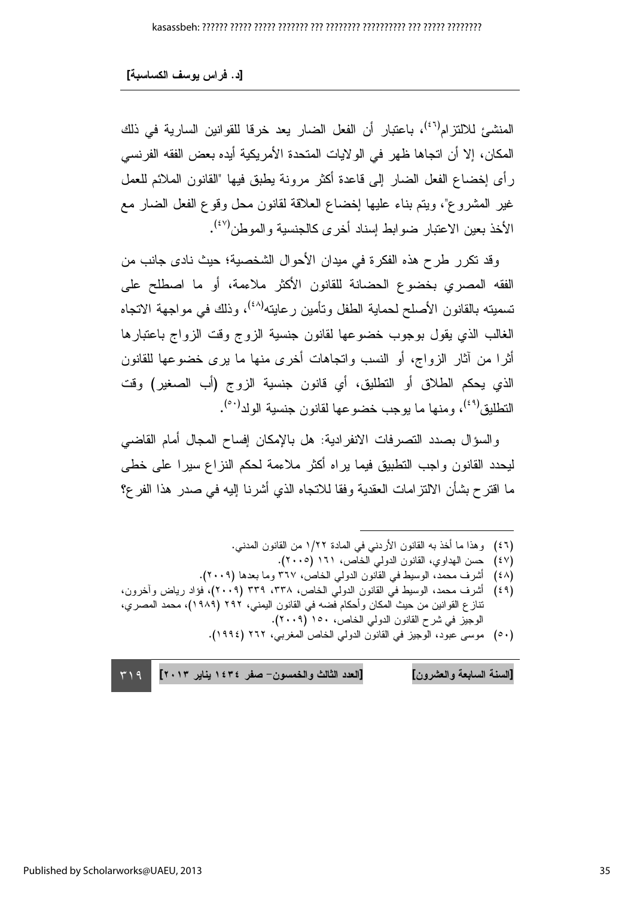المنشيئ للالتز ام<sup>(٤٦)</sup>، باعتبار أن الفعل الضبار يعد خرقا للقوانين السارية في ذلك المكان، إلا أن اتجاها ظهر ً في الو لايات المتحدة الأمر يكية أيده بعض الفقه الفر نسي رأى إخضاع الفعل الضار إلى فاعدة أكثر مرونة بطبق فيها "القانون الملائم للعمل غير المشروع"، ويتم بناء عليها إخضاع العلاقة لقانون محل وقوع الفعل الضار مع الأخذ يعين الاعتبار ضوابط اسناد أخرى كالجنسبة والموطن<sup>(٤٧)</sup>.

وقد نكرر طرح هذه الفكرة في ميدان الأحوال الشخصية؛ حيث نادي جانب من الفقه المصرى بخضوع الحضانة للقانون الأكثر ملاءمة، أو ما اصطلح على تسميته بالقانون الأصلح لحماية الطفل وتأمين رعايته<sup>(٤٨)</sup>، وذلك في مواجهة الاتجاه الغالب الذي يقول بوجوب خضوعها لقانون جنسية الزوج وقت الزواج باعتبارها أثر ا من آثار الزواج، أو النسب واتجاهات أخرى منها ما برى خضو عها للقانون الذي يحكم الطلاق أو التطليق، أي قانون جنسية الزوج (أب الصغير) وقت النطليق<sup>(٤٩)</sup>، و منها ما يوجب خضو عها لقانون جنسية الولد<sup>(٥٠)</sup>.

والسؤال بصدد النصرفات الانفرادية: هل بالإمكان إفساح المجال أمام القاضي ليحدد القانون واجب التطبيق فيما براه أكثر ملاءمة لحكم النزاع سيرا على خطى ما اقترح بشأن الالنز امات العقدية وفقا للانتجاه الذي أشرنا إليه في صدر هذا الفرع؟

- (٤٦) وهذا ما أخذ به القانون الأردنبي في المادة ١/٢٢ من القانون المدنبي.
	- (٤٧) حسن الهداوى، القانون الدولي الخاص، ١٦١ (٢٠٠٥).
- (٤٨) أشرف محمد، الوسيط في القانون الدولي الخاص، ٣٦٧ وما بعدها (٢٠٠٩).
- (٤٩) أشرف محمد، الوسيط في القانون الدولي الخاص، ٣٣٨، ٣٣٩ (٢٠٠٩)، فؤاد رياض وآخرون، نتاز ع القوانين من حيث المكان وأحكام فضه في القانون اليمني، ٢٩٢ (١٩٨٩)، محمد المصري، الوجيز في شرح القانون الدولي الخاص، ١٥٠ (٢٠٠٩).
	- (٥٠) موسى عبود، الوجيز في القانون الدولي الخاص المغربي، ٢٦٢ (١٩٩٤).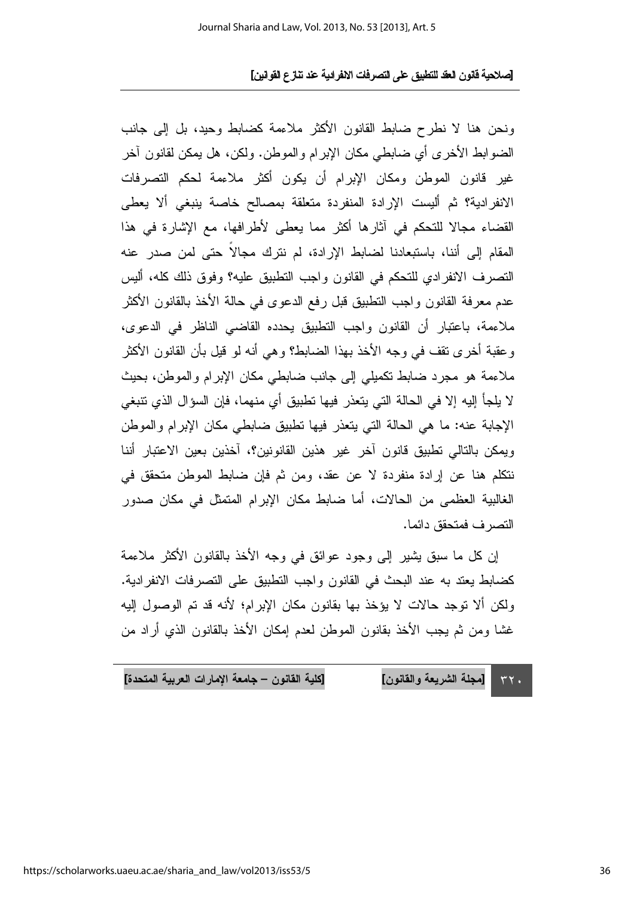ونحن هنا لا نطرح ضابط القانون الأكثر ملاءمة كضابط وحبد، بل إلى جانب الضوابط الأخرى أي ضابطي مكان الإبرام والموطن. ولكن، هل يمكن لقانون آخر غير قانون الموطن ومكان الإبرام أن يكون أكثر ملاءمة لحكم التصرفات الانفرادية؟ ثم أليست الإرادة المنفردة متعلقة بمصالح خاصة ينبغي ألا يعطي القضاء مجالا للتحكم في آثارها أكثر مما يعطي لأطرافها، مع الإشارة في هذا المقام إلى أننا، باستبعادنا لضابط الإرادة، لم نترك مجالاً حتى لمن صدر عنه التصرف الانفر ادى للتحكم في القانون واجب التطبيق عليه؟ وفوق ذلك كله، أليس عدم معرفة القانون واجب النطبيق قبل رفع الدعوى في حالة الأخذ بالقانون الأكثر ملاءمة، باعتبارٍ أن القانون واجب التطبيق يحدده القاضبي الناظر في الدعوى، وعقبة أخرى تقف في وجه الأخذ بهذا الضابط؟ وهي أنه لو قيل بأن القانون الأكثر ملاءمة هو مجرد ضابط نكميلي إلى جانب ضابطي مكان الإبرام والموطن، بحيث لا يلجأ إليه إلا في الحالة التي يتعذر فيها تطبيق أي منهما، فإن السؤال الذي تتبغي الإجابة عنه: ما هي الحالة التي يتعذر فيها تطبيق ضابطي مكان الإبرام والموطن ويمكن بالتالي نطبيق قانون آخر غير هذين القانونين؟، أخذين بعين الاعتبار أننا نتكلَّم هنا عن إرادة منفردة لا عن عقد، ومن ثم فإن ضابط الموطن متحقق في الغالبية العظمى من الحالات، أما ضابط مكان الإبرام المتمثل في مكان صدور التصر ف فمتحقق دائما.

إن كل ما سبق بشير إلى وجود عوائق في وجه الأخذ بالقانون الأكثر ملاءمة كضابط يعند به عند البحث في القانون واجب التطبيق على التصرفات الانفرادية. ولكن ألا توجد حالات لا يؤخذ بها بقانون مكان الإبرام؛ لأنه قد تم الوصول إليه غشا ومن ثم يجب الأخذ بقانون الموطن لعدم إمكان الأخذ بالقانون الذي أراد من

[كلية القانون – جامعة الإمارات العربية المتحدة] [مجلة الشريعة والقانون]  $\tau\tau$ .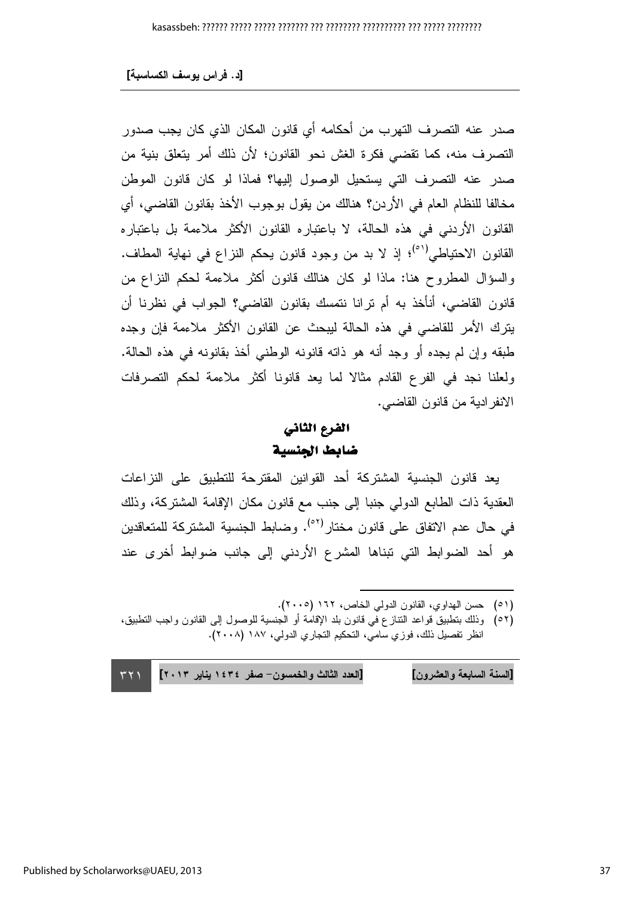صدر عنه التصرف التهرب من أحكامه أي قانون المكان الذي كان يجب صدور التصرف منه، كما نقضي فكرة الغش نحو القانون؛ لأن ذلك أمر يتعلق بنية من صدر عنه التصرف التي يستحيل الوصول إليها؟ فماذا لو كان قانون الموطن مخالفا للنظام العام في الأردن؟ هنالك من يقول بوجوب الأخذ بقانون القاضبي، أي القانون الأردنبي في هذه الحالة، لا باعتباره القانون الأكثر ملاءمة بل باعتباره القانون الاحتياطي<sup>(٥١)</sup>؛ إذ لا بد من وجود قانون يحكم النزاع في نهاية المطاف. والسؤال المطروح هنا: ماذا لو كان هنالك فانون أكثر ملاءمة لحكم النزاع من قانون القاضي، أنأخذ به أم ترانا نتمسك بقانون القاضي؟ الجواب في نظرنا أن يترك الأمر للقاضي في هذه الحالة ليبحث عن القانون الأكثر ملاءمة فإن وجده طبقه وإن لم يجده أو وجد أنه هو ذاته قانونه الوطني أخذ بقانونه في هذه الحالة. ولعلنا نجد في الفرع القادم مثالا لما يعد قانونا أكثر ملاءمة لحكم التصرفات الانفرادية من قانون القاضي.

### الفرع الثاني ضابط الجنسية

يعد قانون الجنسية المشتركة أحد القوانين المقترحة للتطبيق على النزاعات العقدية ذات الطابع الدولي جنبا إلى جنب مع قانون مكان الإقامة المشتركة، وذلك في حال عدم الاتفاق على قانون مختار<sup>(٥٢)</sup>. وضابط الجنسية المشتركة للمتعاقدين هو أحد الضوابط التي تبناها المشرع الأردني إلى جانب ضوابط أخرى عند

- (٥١) حسن الهداوى، القانون الدولي الخاص، ١٦٢ (٢٠٠٥).
- (٥٢) وذلك بنطبيق قواعد النتاز ع في قانون بلد الإقامة أو الجنسية للوصول إلى القانون واجب النطبيق، انظر تفصيل ذلك، فوزي سامي، التحكيم التجاري الدولي، ١٨٧ (٢٠٠٨).

[العدد الثالث والخمسون- صفر ١٤٣٤ يناير ٢٠١٣] [السنة السابعة والعشرون]  $\tau \tau \gamma$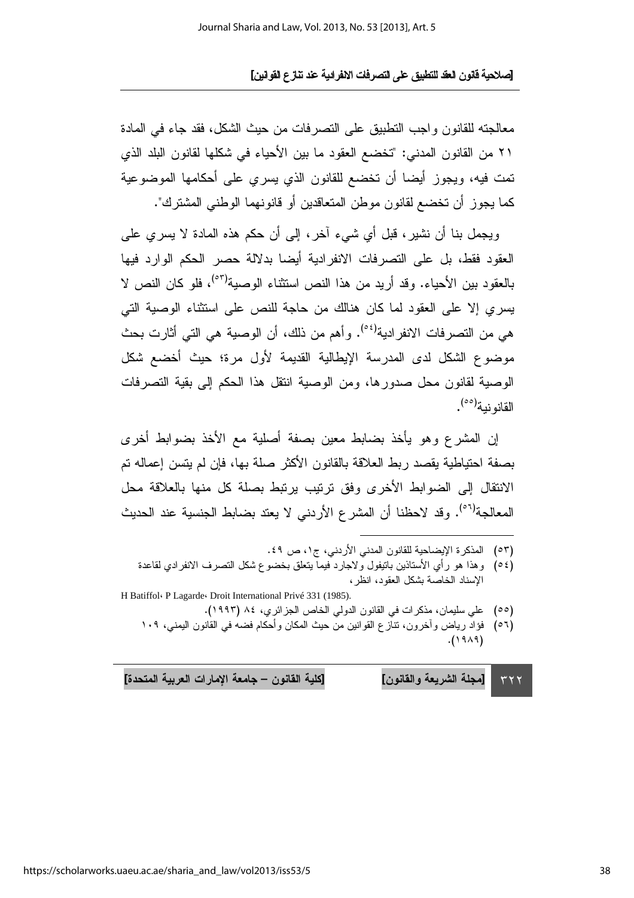معالجته للقانون واجب التطبيق على التصرفات من حيث الشكل، فقد جاء في المادة ٢١ من القانون المدنى: "تخضع العقود ما بين الأحياء في شكلها لقانون البلد الذي تمت فيه، ويجوز أيضا أن تخضع للقانون الذي يسري على أحكامها الموضوعية كما يجوز أن تخضع لقانون موطن المتعاقدين أو قانونهما الوطني المشترك".

ويجمل بنا أن نشير، قبل أي شيء آخر، إلى أن حكم هذه المادة لا يسري على العقود فقط، بل على التصرفات الانفرادية أبضا بدلالة حصر الحكم الوارد فبها بالعقود بين الأحياء. وقد أريد من هذا النص استثناء الوصية<sup>(٥٣)</sup>، فلو كان النص لا بسر ي إلا على العقود لما كان هنالك من حاجة للنص على استثناء الوصبة التي هي من النصر فات الانفر ادبة<sup>(٥٤)</sup>. و أهم من ذلك، أن الوصبة هي التي أثار ت بحث موضوع الشكل لدى المدرسة الإيطالية القديمة لأول مرة؛ حيث أخضع شكل الوصية لقانون محل صدورها، ومن الوصية انتقل هذا الحكم إلى بقية التصرفات القانو نية<sup>(٥٥)</sup>.

إن المشرع وهو يأخذ بضابط معين بصفة أصلية مع الأخذ بضوابط أخرى بصفة احتياطية يقصد ربط العلاقة بالقانون الأكثر صلة بها، فإن لم يتسن إعماله تم الانتقال إلى الضوابط الأخرى وفق نرنيب برنبط بصلة كل منها بالعلاقة محل المعالجة<sup>(٥٦)</sup>. وقد لاحظنا أن المشرع الأردني لا يعتد بضابط الجنسية عند الحديث

- (٥٣) المذكرة الإيضاحية للقانون المدني الأردني، ج١، ص ٤٩.
- (0٤) وهذا هو رأى الأستاذين باتيفول ولاجارد فيما يتعلق بخضوع شكل التصرف الانفرادي لقاعدة الإسناد الخاصة بشكل العقود، انظر ،
- H Batiffol: P Lagarde: Droit International Privé 331 (1985). (٥٥) علي سليمان، مذكرات في القانون الدولي الخاص الجزائري، ٨٤ (١٩٩٣).
	- (٥٦) فؤاد رياض وآخرون، تنازع القوانين من حيث المكان وأحكام فضه في القانون اليمني، ١٠٩  $(1919)$

[كلية القانون – جامعة الإمارات العربية المتحدة] [مجلة الشريعة والقانون]  $\tau \tau \tau$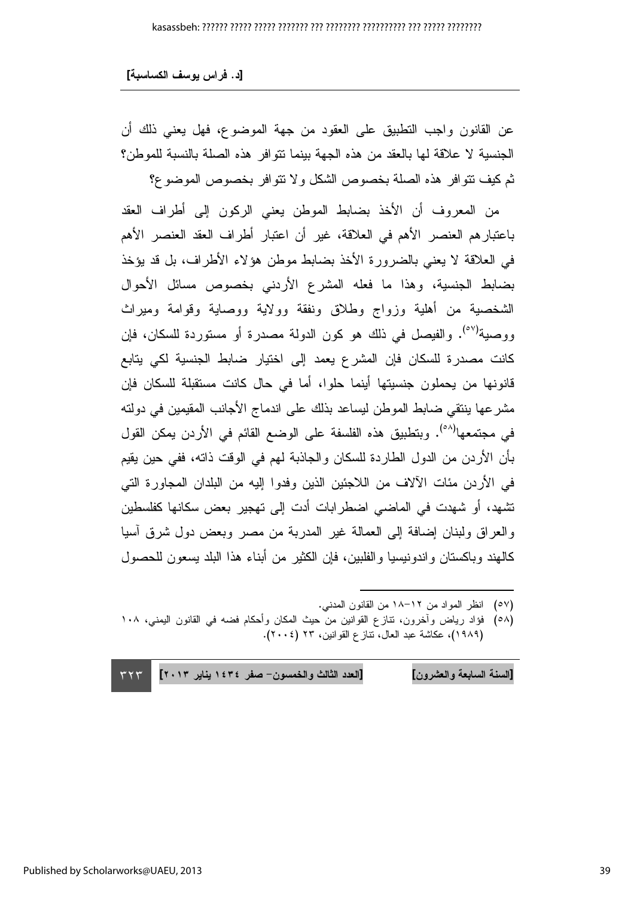عن القانون واجب التطبيق على العقود من جهة الموضوع، فهل يعني ذلك أن الجنسية لا علاقة لـها بالعقد من هذه الجهة بينما نتوافر هذه الصلة بالنسبة للموطن؟ ثم كيف نتوافر هذه الصلة بخصوص الشكل ولا نتوافر بخصوص الموضوع؟

من المعروف أن الأخذ بضابط الموطن يعني الركون إلى أطراف العقد باعتبار هم العنصر الأهم في العلاقة، غير أن اعتبار أطراف العقد العنصر الأهم في العلاقة لا يعني بالضرورة الأخذ بضابط موطن هؤلاء الأطراف، بل قد يؤخذ بضابط الجنسية، وهذا ما فعله المشرع الأردنبي بخصوص مسائل الأحوال الشخصية من أهلية وزواج وطلاق ونفقة وولاية ووصاية وقوامة وميراث ووصية<sup>(٥٧)</sup>. والفيصل في ذلك هو كون الدولة مصدرة أو مستوردة للسكان، فإن كانت مصدرة للسكان فإن المشرع يعمد إلى اختيار ضابط الجنسية لكي يتابع قانونها من يحملون جنسيتها أينما حلوا، أما في حال كانت مستقبلة للسكان فإن مشرعها ينتقي ضابط الموطن ليساعد بذلك على اندماج الأجانب المقيمين في دولته في مجتمعها<sup>(٥٨)</sup>. وبتطبيق هذه الفلسفة على الوضع القائم في الأردن يمكن القول بَأْنِ الأردنِ من الدولِ الطارِدة للسكان والجاذبة لمهم في الوقت ذاته، ففي حين يقيم في الأردن مئات الآلاف من اللاجئين الذين وفدوا إليه من البلدان المجاورة التي تشهد، أو شهدت في الماضـي اضطرابات أدت إلى تهجير بعض سكانها كفلسطين والعراق ولبنان إضافة إلىي العمالة غير المدربة من مصر وبعض دول شرق أسيا كالمهند وباكستان واندونيسيا والفلبين، فإن الكثير من أبناء هذا البلد يسعون للحصول

(٥٧) انظر المواد من ١٢–١٨ من القانون المدنبي.

(٥٨) فؤاد رياض وآخرون، تنازع القوانين من حيث المكان وأحكام فضه في القانون اليمنى، ١٠٨ (١٩٨٩)، عكاشة عبد العال، نتاز ع القوانين، ٢٣ (٢٠٠٤).

 $\overline{a}$ 

**TYT** [السنة السابعة والعشرون] [العدد الثالث والخمسون– صفر ١٤٣٤ يناير ٢٠١٣] ٣٢٣ السنة السابعة والعشرون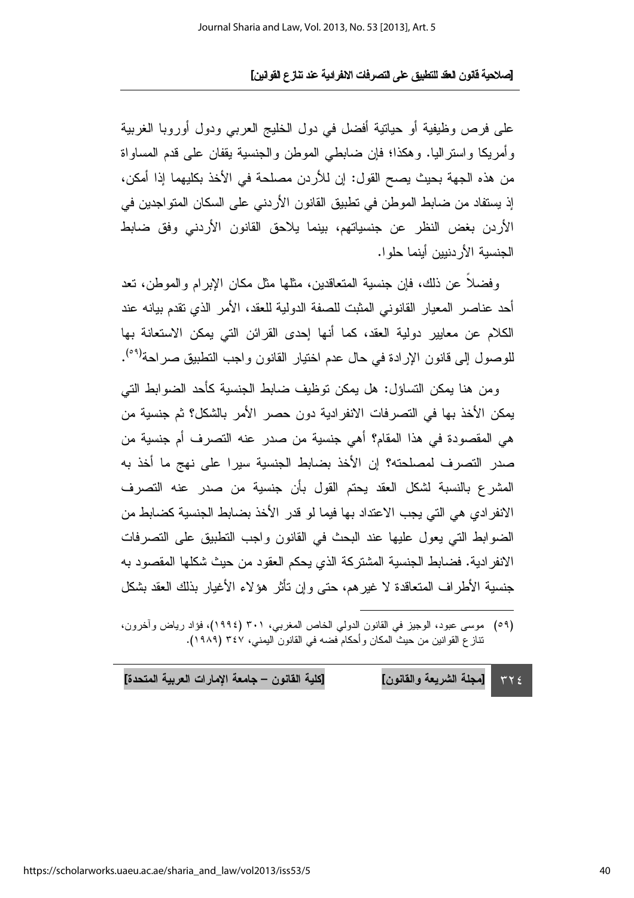على فرص وظيفية أو حياتية أفضل في دول الخليج العربي ودول أوروبا الغربية وأمريكا واستراليا. وهكذا؛ فإن ضابطي الموطن والجنسية يقفان على قدم المساواة من هذه الجهة بحيث يصح القول: إن للأردن مصلحة في الأخذ بكليهما إذا أمكن، إذ يستفاد من ضابط الموطن في نطبيق القانون الأردني على السكان المتواجدين في الأردن بغض النظر عن جنسياتهم، بينما يلاحق القانون الأردنبي وفق ضابط الجنسية الأردنيين أينما جلول

وفضلاً عن ذلك، فإن جنسية المتعاقدين، مثلها مثل مكان الإبرام والموطن، تعد أحد عناصر المعبار القانوني المثبت للصفة الدولية للعقد، الأمر الذي تقدم بيانه عند الكلام عن معابير دولية العقد، كما أنها إحدى القرائن التي بمكن الاستعانة بها للوصول إلى قانون الإرادة في حال عدم اختيار القانون واجب التطبيق صراحة<sup>(٥٩)</sup>.

ومن هنا يمكن التساؤل: هل يمكن توظيف ضابط الجنسية كأحد الضوابط التي يمكن الأخذ بها في التصر فات الانفر ادية دون حصر الأمر بالشكل؟ ثم جنسية من هي المقصودة في هذا المقام؟ أهي جنسية من صدر حنه النصر ف أم جنسية من صدر التصرف لمصلحته؟ إن الأخذ بضابط الجنسية سيرا على نهج ما أخذ به المشرع بالنسبة لشكل العقد يحتم القول بأن جنسية من صدر عنه التصرف الانفر ادى هي التي يجب الاعتداد بها فيما لو قدر الأخذ بضابط الجنسية كضابط من الضوابط التي يعول عليها عند البحث في القانون واجب التطبيق على التصرفات الانفر ادية. فضابط الجنسية المشتركة الذي يحكم العقود من حيث شكلها المقصود به جنسية الأطراف المتعاقدة لا غيرهم، حتى وإن تأثَّر هؤلاء الأغيار بذلك العقد بشكل

(٥٩) موسى عبود، الوجيز في القانون الدولي الخاص المغربي، ٣٠١ (١٩٩٤)، فؤاد رياض وأخرون، نتاز ع القوانين من حيث المكان وأحكام فضه في القانون اليمني، ٣٤٧ (١٩٨٩).

[كلية القانون – جامعة الإمارات العربية المتحدة] [مجلة الشريعة والقانون]  $YY \leq$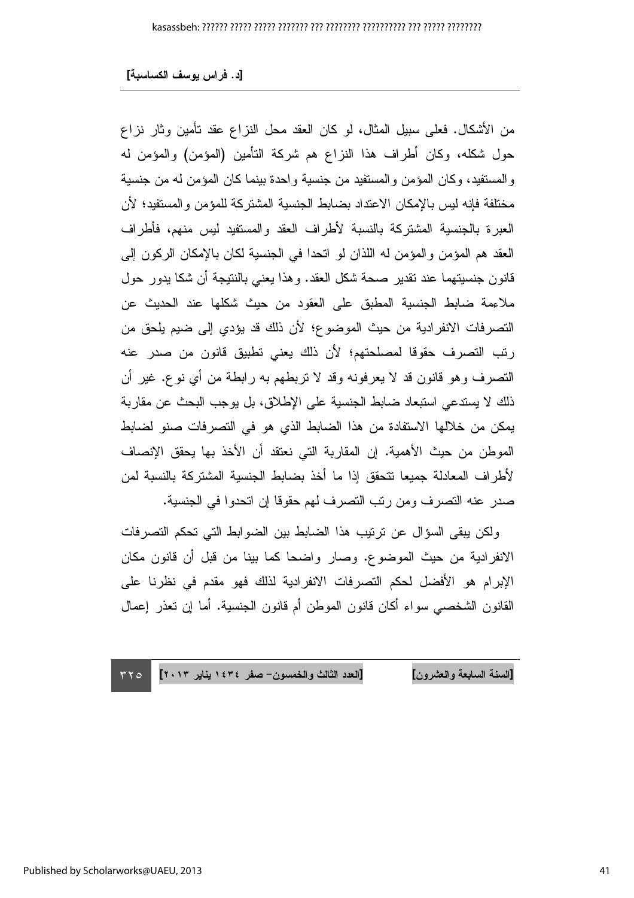من الأشكال. فعلى سبيل المثال، لو كان العقد محل النزاع عقد تأمين وثار نزاع حول شكله، وكان أطراف هذا النزاع هم شركة التأمين (المؤمن) والمؤمن له والمستفيد، وكان المؤمن والمستفيد من جنسية واحدة بينما كان المؤمن له من جنسية مختلفة فإنه ليس بالإمكان الاعتداد بضابط الجنسية المشتركة للمؤمن و المستفيد؛ لأن العبر ة بالجنسية المشتركة بالنسبة لأطراف العقد والمستفيد ليس منهم، فأطراف العقد هم المؤمن والمؤمن له اللذان لو اتحدا في الجنسية لكان بالإمكان الركون إلى قانون جنسيتهما عند نقدير صحة شكل العقد. وهذا يعني بالنتيجة أن شكا يدور حول ملاءمة ضابط الجنسية المطبق على العقود من حيث شكلها عند الحديث عن التصرفات الانفرادية من حيث الموضوع؛ لأن ذلك قد يؤدي إلى ضيم يلحق من رتب التصرف حقوقا لمصلحتهم؛ لأن ذلك يعني تطبيق قانون من صدر عنه النصرف وهو قانون قد لا يعرفونه وقد لا نربطهم به رابطة من أي نوع. غير أن ذلك لا يستدعى استبعاد ضابط الجنسية على الإطلاق، بل يوجب البحث عن مقاربة يمكن من خلالها الاستفادة من هذا الضابط الذي هو في التصرفات صنو لضابط الموطن من حيث الأهمية. إن المقاربة التي نعتقد أن الأخذ بها يحقق الإنصاف لأطراف المعادلة جميعا نتحقق إذا ما أخذ بضابط الجنسية المشتركة بالنسبة لمن صدر حنه التصر ف ومن رئب التصر ف لهم حقوقا إن اتحدو ا في الجنسبة.

ولكن يبقى السؤال عن ترتيب هذا الضابط بين الضوابط التي تحكم التصرفات الانفرادية من حيث الموضوع. وصار واضحا كما بينا من قبل أن قانون مكان الإبرام هو الأفضل لحكم التصرفات الانفرادية لذلك فهو مقدم في نظرنا على القانون الشخصبي سواء أكان قانون الموطن أم قانون الجنسية. أما إن تعذر إعمال

[العدد الثالث والخمسون – صفر ١٤٣٤ بنابر ٢٠١٣] [السنة السابعة والعشرون]  $\tau\tau$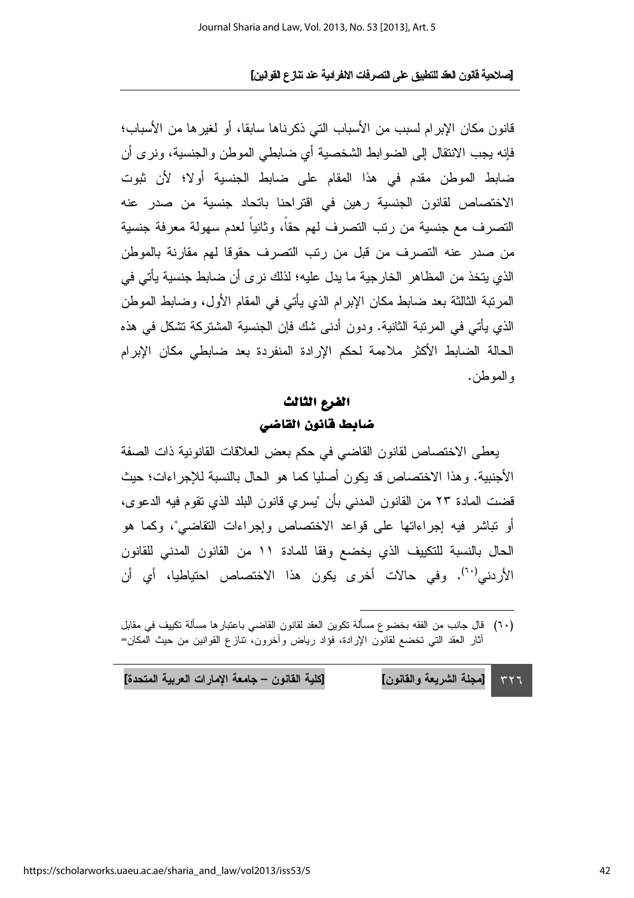قانون مكان الإبرام لسبب من الأسباب التي ذكر ناها سابقا، أو لغير ها من الأسباب؛ فإنه يجب الانتقال إلى الضوابط الشخصية أي ضابطي الموطن والجنسية، ونرى أن ضابط الموطن مقدم في هذا المقام على ضابط الجنسبة أولا؛ لأن ثبوت الاختصاص لقانون الجنسية رهين في اقتراحنا باتحاد جنسية من صدر عنه التصرف مع جنسية من رتب التصرف لهم حقاً، وثانياً لعدم سهولة معرفة جنسية من صدر عنه التصرف من قبل من رتب التصرف حقوقا لهم مقارنة بالموطن الذي بتخذ من المظاهر الخار جبة ما بدل علبه؛ لذلك نر ي أن ضابط جنسبة بأتي في المرتبة الثالثة بعد ضابط مكان الإبرام الذي يأتي في المقام الأول، وضابط الموطن الذي يأتي في المرتبة الثانية. ودون أدنى شك فإن الجنسية المشتركة تشكل في هذه الحالة الضابط الأكثر ملاءمة لحكم الإرادة المنفردة بعد ضابطي مكان الإبرام و الموطن.

### الفرع الثالث ضابط فانون القاضى

يعطي الاختصاص لقانون القاضي في حكم بعض العلاقات القانونية ذات الصفة الأجنبية. و هذا الاختصاص قد يكون أصليا كما هو الحال بالنسبة للإجر اءات؛ حيث قضت المادة ٢٣ من القانون المدنى بأن "يسرى قانون البلد الذي نقوم فيه الدعوى، أو تباشر فيه إجراءاتها على قواعد الاختصاص وإجراءات التقاضي"، وكما هو الحال بالنسبة للنكييف الذي يخضع وفقا للمادة ١١ من القانون المدنى للقانون الأردني<sup>(٦٠)</sup>. وفي حالات أخرى يكون هذا الاختصاص احتياطيا، أي أن

| [كلية القانون – جامعة الإمارات العربية المتحدة] | ٢٢٦ [[مجلة الشريعة والقانون] |
|-------------------------------------------------|------------------------------|
|-------------------------------------------------|------------------------------|

<sup>(</sup>٦٠) \_ قال جانب من الفقه بخضوع مسألة تكوين العقد لقانون القاضي باعتبار ها مسألة تكييف في مقابل أثار العقد التي تخضع لقانون الإرادة، فؤاد رياض وأخرون، تنازع القوانين من حيث المكان=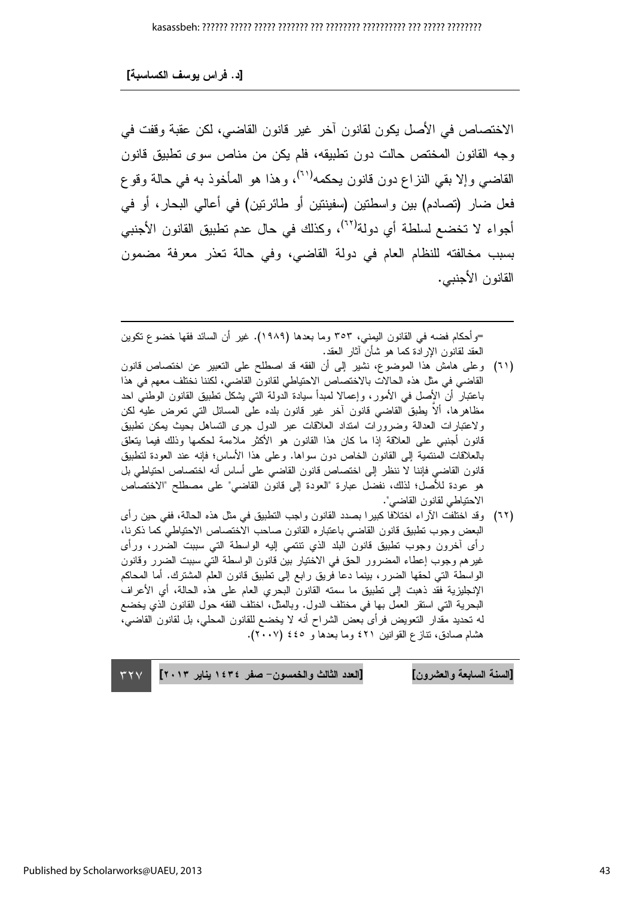الاختصـاص في الأصل يكون لقانون آخر ٍ غير ٍ قانون القاضـي، لكن عقبة وقفت في وجه القانون المختص حالت دون نطبيقه، فلم يكن من مناص سوى تطبيق قانون القاضي وإلا بقي النزاع دون قانون يحكمه<sup>(٦١)</sup>، وهذا هو المأخوذ به في حالة وقو ع فعل ضار (تصادم) بين واسطنين (سفينتين أو طائرنين) في أعالي البحار، أو في أجواء لا تخضع لسلطة أي دولة<sup>(٦٢)</sup>، وكذلك في حال عدم تطبيق القانون الأجنبي بسبب مخالفته للنظام العام في دولة القاضبي، وفي حالة تعذر معرفة مضمون القانون الأجنبي.

=وأحكام فضه في القانون اليمني، ٣٥٣ وما بعدها (١٩٨٩). غير أن السائد فقها خضوع تكوين العقد لقانون الإرادة كما هو شأن أثار العقد.

- (٦١) وعلى هامش هذا الموضوع، نشير إلى أن الفقه قد اصطلح على النعبير عن اختصاص قانون القاضي في مثل هذه الحالات بالاختصاص الاحتياطي لقانون القاضي، لكننا نختلف معهم في هذا باعتبار أن الأصل في الأمور، وإعمالا لمبدأ سيادة الدولة التي يشكل نطبيق القانون الوطنبي احد مظاهرها، ألا يطبق القاضبي قانون أخر غير قانون بلده على المسائل التي تعرض عليه لكن ولاعتبارات العدالة وضرورات امتداد العلاقات عبر الدول جرى التساهل بحيث بمكن نطبيق قانون أجنبي على العلاقة إذا ما كان هذا القانون هو الأكثر ملاءمة لحكمها وذلك فيما يتعلق بالعلاقات المنتمية إلى القانون الخاص دون سواها. وعلى هذا الأساس؛ فإنه عند العودة لتطبيق قانون القاضبي فإننا لا ننظر إلى اختصاص قانون القاضبي على أساس أنه اختصاص احتياطي بل هو عودة للأصل؛ لذلك، نفضل عبارة "العودة إلى قانون القاضي" على مصطلح "الاختصاص الاحتياطي لقانون القاضي".
- (٦٢) وقد اختلفت الأراء اختلافا كبيرا بصدد القانون واجب التطبيق في مثل هذه الحالة، ففي حين رأى البعض وجوب نطبيق فانون القاضى باعتباره القانون صاحب الاختصاص الاحتياطي كما ذكرنا، رأى أخرون وجوب نطبيق قانون البلد الذي نتنمى إليه الواسطة التي سببت الضرر، ورأى غيرهم وجوب إعطاء المضرور الحق في الاختيار بين قانون الواسطة التي سببت الضرر وقانون الواسطة التي لحقها الضرر، بينما دعا فريق رابع إلى نطبيق قانون العلم المشترك. أما المحاكم الإنجليزية فقد ذهبت إلى نطبيق ما سمته القانون البحرى العام على هذه الحالة، أي الأعراف البحرية التي استقر العمل بها في مختلف الدول. وبالمثل، اختلف الفقه حول القانون الذي يخضع له تحديد مقدار التعويض فرأى بعض الشراح أنه لا يخضع للقانون المحلي، بل لقانون القاضي، هشام صادق، نتازع القوانين ٤٢١ وما بعدها و ٤٤٥ (٢٠٠٧).

[العدد الثالث والخمسون- صفر ١٤٣٤ يناير ٢٠١٣] [السنة السابعة والعشرون]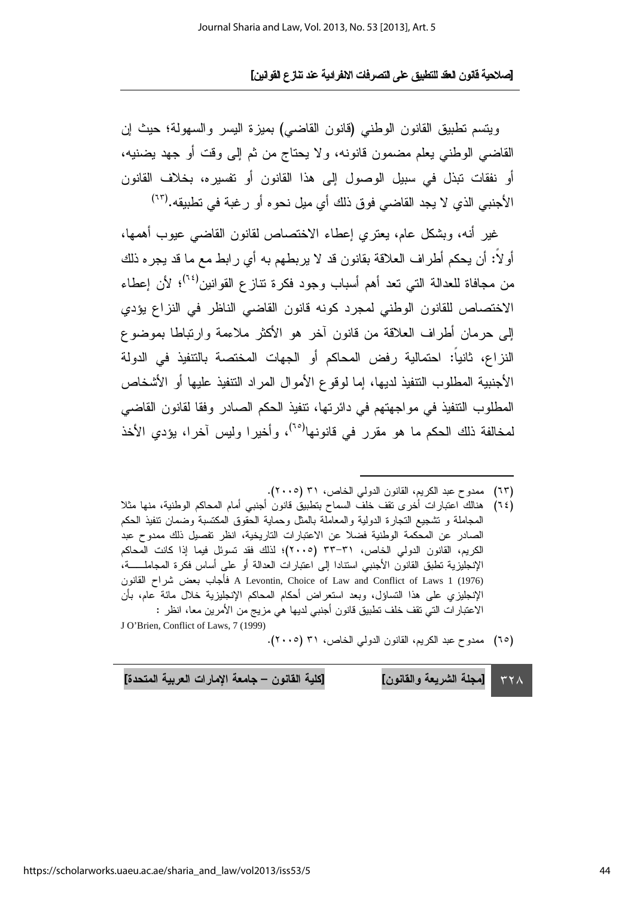ويتسم تطبيق القانون الوطني (قانون القاضي) بميزة اليسر والسهولة؛ حيث إن القاضبي الوطنبي يعلم مضمون قانونه، ولا يحتاج من ثم إلى وقت أو جهد يضنيه، أو نفقات نبذل في سبيل الوصول إلى هذا القانون أو نفسيره، بخلاف القانون الأجنبي الذي لا يجد القاضي فوق ذلك أي ميل نحو ه أو رغبة في تطبيقه.(٦٣)

غير أنه، وبشكل عام، بعتر ي إعطاء الاختصاص لقانون القاضبي عبوب أهمها، أو لاً: أن يحكم أطر اف العلاقة بقانون قد لا يربطهم به أي ر ابط مع ما قد يجر ه ذلك من مجافاة للعدالة التي تعد أهم أسباب وجود فكرة تتازع القوانين<sup>(٢٤)</sup>؛ لأن إعطاء الاختصاص للقانون الوطني لمجرد كونه قانون القاضبي الناظر في النز اع بؤدي إلى حرمان أطراف العلاقة من قانون آخر هو الأكثر ملاءمة وارتباطا بموضوع النزاع، ثانياً: احتمالية رفض المحاكم أو الجهات المختصة بالتتفيذ في الدولة الأجنبية المطلوب التتفيذ لديها، إما لوقوع الأموال المراد التتفيذ عليها أو الأشخاص المطلوب التتفيذ في مواجهتهم في دائرتها، نتفيذ الحكم الصادر وفقا لقانون القاضبي لمخالفة ذلك الحكم ما هو مقرر في قانونها<sup>(٦٥)</sup>، وأخيرا وليس آخرا، يؤدي الأخذ

- هنالك اعتبارات أخرى نقف خلف السماح بتطبيق قانون أجنبي أمام المحاكم الوطنية، منها مثلا  $(75)$ المجاملة و تشجيع التجارة الدولية والمعاملة بالمثل وحماية الحقوق المكتسبة وضمان تتفيذ الحكم الصادر عن المحكمة الوطنية فضلا عن الاعتبارات التاريخية، انظر تفصيل ذلك ممدوح عبد الكريم، القانون الدولي الخاص، ٣١-٣٣ (٢٠٠٥)؛ لذلك فقد تسوئل فيما إذا كانت المحاكم الإنجليزية نطبق القانون الأجنبي استنادا إلى اعتبارات العدالة أو على أساس فكرة المجاملــــــة، A Levontin, Choice of Law and Conflict of Laws 1 (1976) فأجاب بعض شراح القانون الإنجليزي على هذا التساؤل، وبعد استعراض أحكام المحاكم الإنجليزية خلال مائة عام، بأن الاعتبار ات التي تقف خلف تطبيق قانون أجنبي لديها هي مزيج من الأمرين معا، انظر : J O'Brien, Conflict of Laws, 7 (1999)
	- (٦٥) ممدوح عبد الكريم، القانون الدولي الخاص، ٣١ (٢٠٠٥).

[مجلة الشريعة والقانون] [كلية القانون – جامعة الإمارات العربية المتحدة]  $\tau \tau \wedge$ 

<sup>(</sup>٦٣) ممدوح عبد الكريم، القانون الدولي الخاص، ٣١ (٢٠٠٥).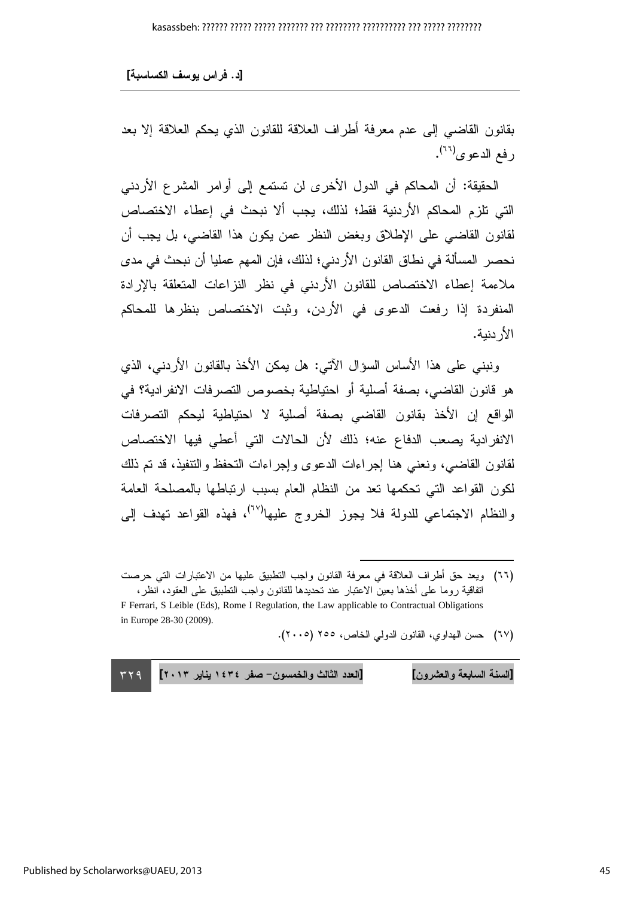#### [د . فراس يوسف الكساسبة]

بقانون القاضيي إلى عدم معرفة أطراف العلاقة للقانون الذي يحكم العلاقة إلا بعد رفع الدعوي<sup>(٢٦)</sup>.

الحقيقة: أن المحاكم في الدول الأخرى لن تستمع إلى أوامر المشرع الأردني التي تلزم المحاكم الأردنية فقط؛ لذلك، يجب ألا نبحث في إعطاء الاختصاص لقانون القاضبي على الإطلاق وبغض النظر عمن بكون هذا القاضبي، بل يجب أن نحصر المسألة في نطاق القانون الأردني؛ لذلك، فإن المهم عمليا أن نبحث في مدى ملاءمة إعطاء الاختصاص للقانون الأردني في نظر النز اعات المتعلقة بالإرادة المنفردة إذا رفعت الدعوى في الأردن، وثبت الاختصاص بنظرها للمحاكم الأر دنية.

ونبني على هذا الأساس السؤال الآتي: هل يمكن الأخذ بالقانون الأردني، الذي هو قانون القاضبي، بصفة أصلية أو احتياطية بخصوص التصرفات الانفرادية؟ في الواقع إن الأخذ بقانون القاضبي بصفة أصلية لا احتياطية ليحكم التصرفات الانفرادية يصعب الدفاع عنه؛ ذلك لأن الحالات التي أعطي فيها الاختصاص لقانون القاضي، ونعني هنا إجراءات الدعوى وإجراءات التحفظ والنتفيذ، قد تم ذلك لكون القواعد التي تحكمها تعد من النظام العام بسبب ارتباطها بالمصلحة العامة والنظام الاجتماعي للدولة فلا يجوز الخروج عليها<sup>(٦٧)</sup>، فهذه القواعد تهدف إلى

(٦٧) حسن الهداوي، القانون الدولي الخاص، ٢٥٥ (٢٠٠٥).

 $\overline{a}$ 

 $TY9$ [السنة السابعة والعشرون] [العدد الثالث والخمسون– صفر ١٤٣٤ يناير ٢٠١٣] ٢٢٩ " السنة السابعة والعشرون

<sup>(</sup>٦٦) ويعد حق أطراف العلاقة في معرفة القانون واجب النطبيق عليها من الاعتبارات التي حرصت انفاقية روما على أخذها بعين الاعتبار عند تحديدها للقانون واجب التطبيق على العقود، انظر، F Ferrari, S Leible (Eds), Rome I Regulation, the Law applicable to Contractual Obligations

in Europe 28-30 (2009).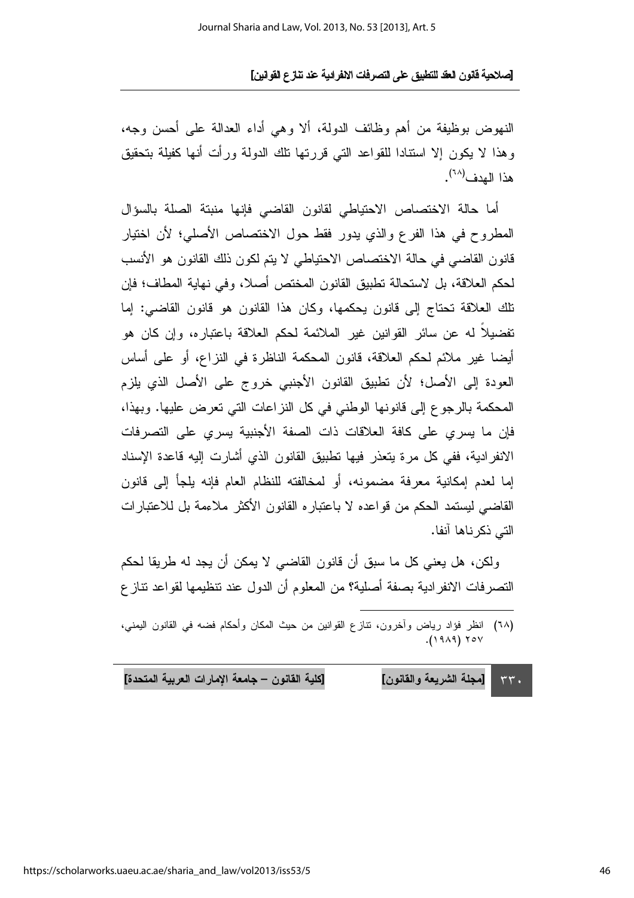النهوض بوظيفة من أهم وظائف الدولة، ألا وهي أداء العدالة على أحسن وجه، وهذا لا يكون إلا استنادا للقواعد التبي قررتها نلك الدولة ورأت أنها كفيلة بتحقيق هذا الهدف<sup>(٦٨</sup>).

أما حالة الاختصاص الاحتياطي لقانون القاضبي فإنها منبتة الصلة بالسؤال المطروح في هذا الفرع والذي يدور فقط حول الاختصاص الأصلي؛ لأن اختيار قانون القاضبي في حالة الاختصاص الاحتياطي لا يتم لكون ذلك القانون هو الأنسب لحكم العلاقة، بل لاستحالة تطبيق القانون المختص أصلا، وفي نهاية المطاف؛ فإن تلك العلاقة تحتاج إلى قانون بحكمها، وكان هذا القانون هو قانون القاضي: إما تفضيلاً له عن سائر القوانين غير الملائمة لحكم العلاقة باعتبار ه، وإن كان هو أيضا غير ملائم لحكم العلاقة، قانون المحكمة الناظرة في النزاع، أو على أساس العودة إلى الأصل؛ لأن تطبيق القانون الأجنبي خروج على الأصل الذي يلزم المحكمة بالرجوع إلى قانونها الوطني في كل النزاعات التي تعرض عليها. وبهذا، فإن ما يسري على كافة العلاقات ذات الصفة الأجنبية يسري على التصرفات الانفرادية، ففي كل مرة يتعذر فيها تطبيق القانون الذي أشارت إليه قاعدة الإسناد إما لعدم إمكانية معرفة مضمونه، أو لمخالفته للنظام العام فإنه يلجأ إلى قانون القاضبي ليستمد الحكم من فواعده لا باعتبار ه القانون الأكثر ملاءمة بل للاعتبار ات التے ذکر ناها آنفا.

ولكن، هل يعني كل ما سبق أن قانون القاضي لا يمكن أن يجد له طريقا لحكم التصرفات الانفرادية بصفة أصلية؟ من المعلوم أن الدول عند نتظيمها لقواعد نتاز ع

(٦٨) انظر فؤاد رياض وآخرون، نتازع القوانين من حيث المكان وأحكام فضبه في القانون اليمني،  $(1919)$  YOV

[كلية القانون – جامعة الإمارات العربية المتحدة] [مجلة الشريعة والقانون]  $rr.$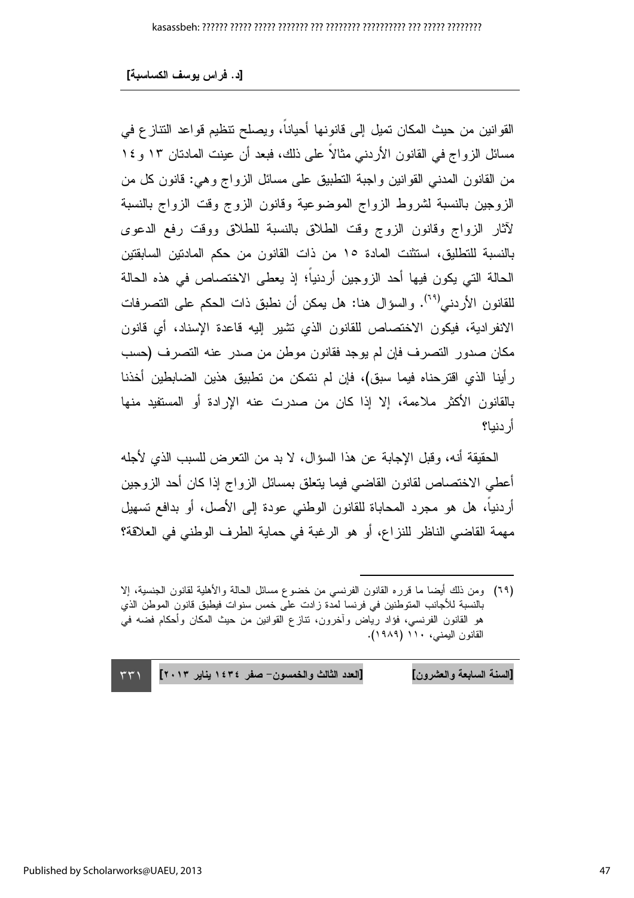القوانين من حيث المكان تميل إلى قانونها أحياناً، ويصلح تنظيم قواعد النتاز ع في مسائل الزواج في القانون الأردنبي مثالا علىي ذلك، فبعد أن عينت المادتان ١٣ و ١٤ من القانون المدنبي القوانين واجبة النطبيق على مسائل الزواج وهي: قانون كل من الزوجين بالنسبة لشروط الزواج الموضوعية وقانون الزوج وقت الزواج بالنسبة لأثار الزواج وقانون الزوج وقت الطلاق بالنسبة للطلاق ووقت رفع الدعوى بالنسبة للنطليق، استثنت المادة ١٥ من ذات القانون من حكم المادنين السابقتين الحالة التي يكون فيها أحد الزوجين أردنياً؛ إذ يعطي الاختصاص في هذه الحالة للقانون الأردني<sup>(٢٩</sup>). والسؤال هنا: هل يمكن أن نطبق ذات الحكم على التصرفات الانفرادية، فيكون الاختصاص للقانون الذي تشير إليه قاعدة الإسناد، أي قانون مكان صدور النصرف فإن لم يوجد فقانون موطن من صدر عنه النصرف (حسب رأينا الذي اقترحناه فيما سبق)، فإن لم نتمكن من تطبيق هذين الضابطين أخذنا بالقانون الأكثر ملاءمة، إلا إذا كان من صدرت عنه الإرادة أو المستفيد منها أر دنيا؟

الحقيقة أنه، وقبل الإجابة عن هذا السؤال، لا بد من النعرض للسبب الذي لأجله أعطي الاختصاص لقانون القاضبي فيما يتعلق بمسائل الزواج إذا كان أحد الزوجين أردنيا، هل هو مجرد المحاباة للقانون الوطنبي عودة إلىي الأصل، أو بدافع نسهيل مهمة القاضي الناظر للنزاع، أو هو الرغبة في حماية الطرف الوطني في العلاقة؟

l

[السنة السابعة والعشرون] [العدد الثالث والخمسون– صفر ١٤٣٤ يناير ٢٠١٣] (٣٣١ السنة السابعة والعشرون

<sup>(</sup>٦٩) ومن ذلك أيضا ما قرره القانون الفرنسي من خضوع مسائل الحالة والأهلية لقانون الجنسية، إلا بالنسبة للأجانب المتوطنين في فرنسا لمدة زادت على خمس سنوات فيطبق قانون الموطن الذي هو القانون الفرنسي، فؤاد رياض وأخرون، نتازع القوانين من حيث المكان وأحكام فضه في القانون اليمنى، ١١٠ (١٩٨٩).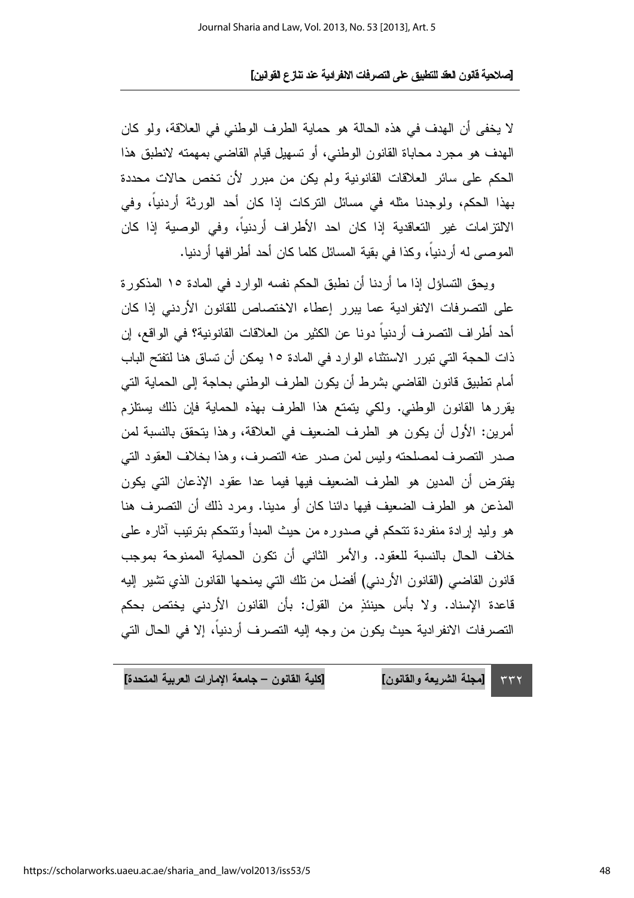لا يخفى أن الهدف في هذه الحالة هو حماية الطرف الوطني في العلاقة، ولو كان الهدف هو مجرد محاباة القانون الوطنبي، أو تسهيل قيام القاضبي بمهمته لانطبق هذا الحكم على سائر العلاقات القانونية ولم يكن من مبرر لأن تخص حالات محددة بهذا الحكم، ولوجدنا مثله في مسائل التركات إذا كان أحد الورثة أردنياً، وفي الالتز امات غير التعاقدية إذا كان احد الأطراف أردنياً، وفي الوصية إذا كان الموصـى له أردنياً، وكذا في بقية المسائل كلما كان أحد أطرافها أردنيا.

ويحق التساؤل إذا ما أردنا أن نطبق الحكم نفسه الوارد في المادة ١٥ المذكورة على التصر فات الإنفر ادبة عما ببر ر إعطاء الإختصاص للقانون الأردني إذا كان أحد أطر اف النصر ف أر دنياً دو نا عن الكثير ٍ من العلاقات القانونية؟ في الواقع، إن ذات الحجة التي تبر ر الاستثناء الوار د في المادة ١٥ يمكن أن تساق هنا لتفتح الباب أمام تطبيق قانون القاضيي بشرط أن يكون الطرف الوطني بحاجة إلى الحماية التي يقررها القانون الوطني. ولكي يتمتع هذا الطرف بهذه الحماية فإن ذلك يستلزم أمرين: الأول أن يكون هو الطرف الضعيف في العلاقة، وهذا يتحقق بالنسبة لمن صدر التصرف لمصلحته وليس لمن صدر عنه التصرف، وهذا بخلاف العقود التي يفترض أن المدين هو الطرف الضعيف فيها فيما عدا عقود الإذعان التي يكون المذعن هو الطرف الضعيف فيها دائنا كان أو مدينا. ومرد ذلك أن التصرف هنا هو وليد إرادة منفردة تتحكم في صدوره من حيث المبدأ وتتحكم بترتيب آثاره على خلاف الحال بالنسبة للعقود. والأمر الثاني أن نكون الحماية الممنوحة بموجب قانون القاضيي (القانون الأردنبي) أفضل من نلك التي يمنحها القانون الذي نتثبير إليه قاعدة الإسناد. ولا بأس حينئذٍ من القول: بأن القانون الأردنبي يختص بحكم التصرفات الانفرادية حيث يكون من وجه إليه التصرف أردنياً، إلا في الحال التي

[كلية القانون – جامعة الإمارات العربية المتحدة]

[مجلة الشريعة والقانون]  $\tau\tau\tau$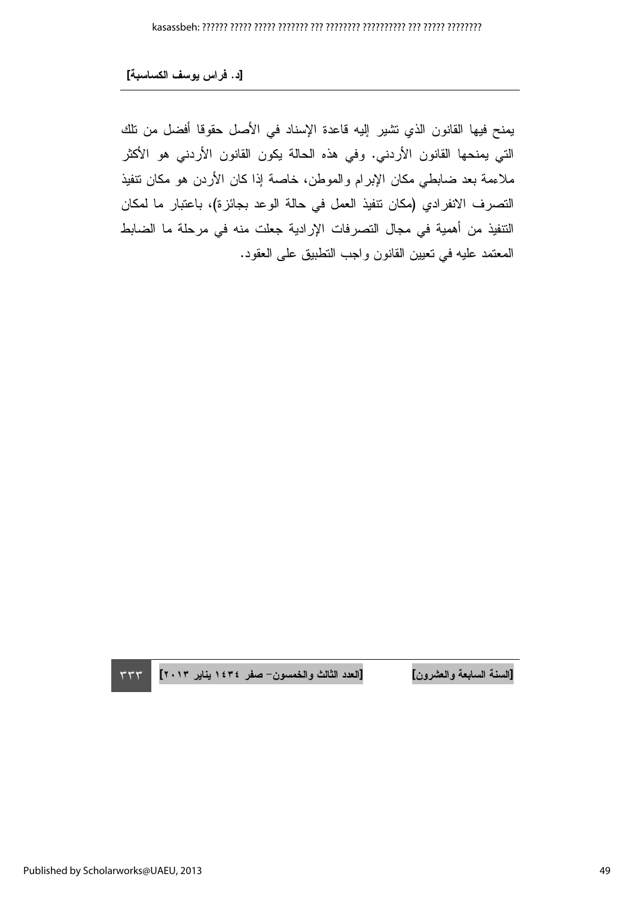يمنح فيها القانون الذي تشير إليه قاعدة الإسناد في الأصل حقوقا أفضل من تلك التي يمنحها القانون الأردني. وفي هذه الحالة يكون القانون الأردني هو الأكثر ملاءمة بعد ضابطي مكان الإبرام والموطن، خاصة إذا كان الأردن هو مكان نتفيذ التصرف الانفرادي (مكان نتفيذ العمل في حالة الوعد بجائزة)، باعتبار ما لمكان النتفيذ من أهمية في مجال النصرفات الإرادية جعلت منه في مرحلة ما الضابط المعتمد عليه في نعيين القانون واجب النطبيق على العقود.

 $\tau\tau\tau$ 

[العدد الثالث والخمسون- صفر ١٤٣٤ يناير ٢٠١٣]

[السنة السابعة والعشرون]

Published by Scholarworks@UAEU, 2013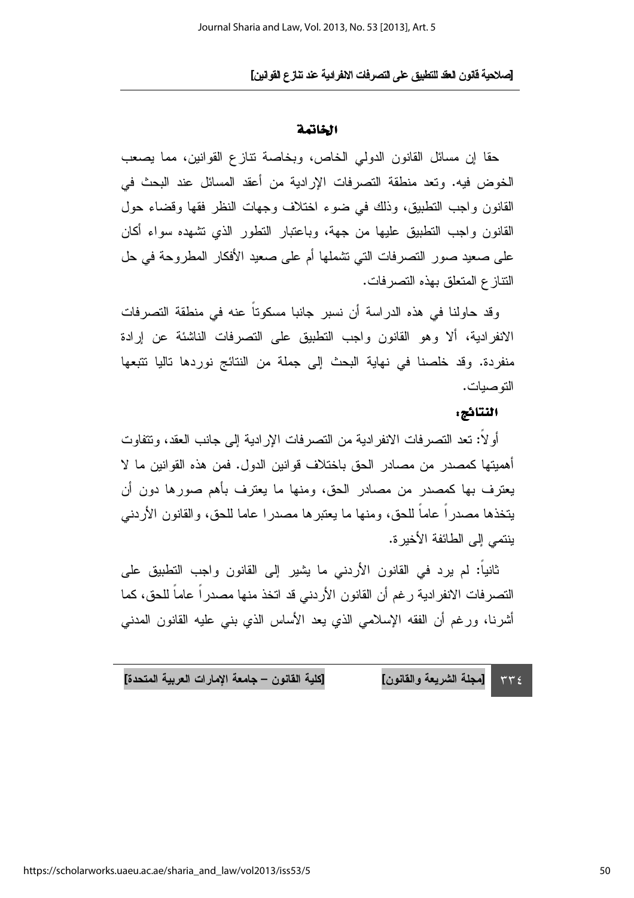#### الخاتمة

حقاً إن مسائل القانون الدولي الخاص، وبخاصة نتازع القوانين، مما يصعب الخوض فيه. وتعد منطقة التصرفات الإرادية من أعقد المسائل عند البحث في القانون واجب التطبيق، وذلك في ضوء اختلاف وجهات النظر فقها وقضاء حول القانون واجب النطبيق عليها من جهة، وباعتبار النطور الذي نشهده سواء أكان على صعيد صور النصر فات التي تشملها أم على صعيد الأفكار المطروحة في حل النتاز ع المتعلق بهذه النصر فات.

وقد حاولنا في هذه الدراسة أن نسبر جانبا مسكوتاً عنه في منطقة التصرفات الانفرادية، ألا وهو القانون واجب التطبيق على التصرفات الناشئة عن إرادة منفردة. وقد خلصنا في نهاية البحث إلى جملة من النتائج نوردها تاليا تتبعها التو صيات.

#### اللتائج:

أو لاً: تعد التصر فات الانفر ادية من التصر فات الإر ادية إلى جانب العقد، و تتفاوت أهميتها كمصدر من مصـادر الحق بـاختلاف قو انين الدو ل. فمن هذه القو انين مـا لا يعترف بها كمصدر من مصادر الحق، ومنها ما يعترف بأهم صورها دون أن يتخذها مصدراً عاماً للحق، ومنها ما يعتبرها مصدرا عاما للحق، والقانون الأردنبي ينتمي إلى الطائفة الأخير ة.

ثانياً: لم يرد في القانون الأردنبي ما يشير إلى القانون واجب التطبيق على التصرفات الانفرادية رغم أن القانون الأردني قد اتخذ منها مصدراً عاماً للحق، كما أشرنا، ورغم أن الفقه الإسلامي الذي يعد الأساس الذي بنـي عليه القانون المدنـي

[كلية القانون – جامعة الإمارات العربية المتحدة] [مجلة الشريعة والقانون]  $\tau\tau\epsilon$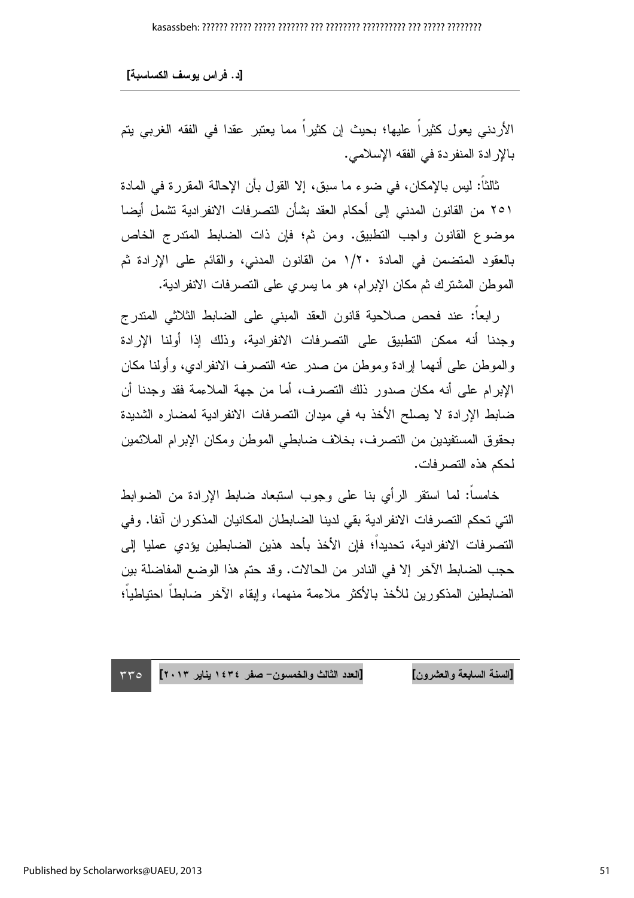الأردني يعول كثيراً عليها؛ بحيث إن كثيراً مما يعتبر عقدا في الفقه الغربي يتم بالإرادة المنفردة في الفقه الإسلامي.

ثالثاً: ليس بالإمكان، في ضوء ما سبق، إلا القول بأن الإحالة المقررة في المادة ٢٥١ من القانون المدنى إلى أحكام العقد بشأن التصرفات الانفرادية تشمل أيضا موضوع القانون واجب التطبيق. ومن ثمّ؛ فإن ذات الضابط المتدرج الخاص بالعقود المنضمن في المادة ١/٢٠ من القانون المدني، والقائم على الإرادة ثم الموطن المشترك ثم مكان الإبر ام، هو ما يسر ي على التصر فات الانفر ادية.

رابعاً: عند فحص صلاحية قانون العقد المبنى على الضابط الثلاثي المندرج وجدنا أنه ممكن التطبيق على التصرفات الانفرادية، وذلك إذا أولنا الإرادة والموطن على أنهما إرادة وموطن من صدر عنه التصرف الانفرادي، وأولنا مكان الإبرام على أنه مكان صدور ذلك التصرف، أما من جهة الملاءمة فقد وجدنا أن ضابط الإرادة لا يصلح الأخذ به في ميدان التصرفات الانفرادية لمضارء الشديدة بحقوق المستفيدين من التصرف، بخلاف ضابطي الموطن ومكان الإبرام الملائمين لحكم هذه التصر فات.

خامساً: لما استقر الرأي بنا على وجوب استبعاد ضابط الإرادة من الضوابط التي تحكم التصرفات الانفرادية بقى لدينا الضابطان المكانيان المذكوران آنفا. وفي النصر فات الانفر ادبة، تحديداً؛ فإن الأخذ بأحد هذين الضابطين بؤدي عمليا إلى حجب الضبابط الآخر إلا في النادر من الحالات. وقد حتم هذا الوضيع المفاضلة بين الضبايطين المذكورين للأخذ بالأكثر ملاءمة منهما، وابقاء الآخر ضبايطاً احتباطياً؛

[العدد الثالث والخمسون- صفر ١٤٣٤ يناير ٢٠١٣] [السنة السابعة والعشرون]  $rro$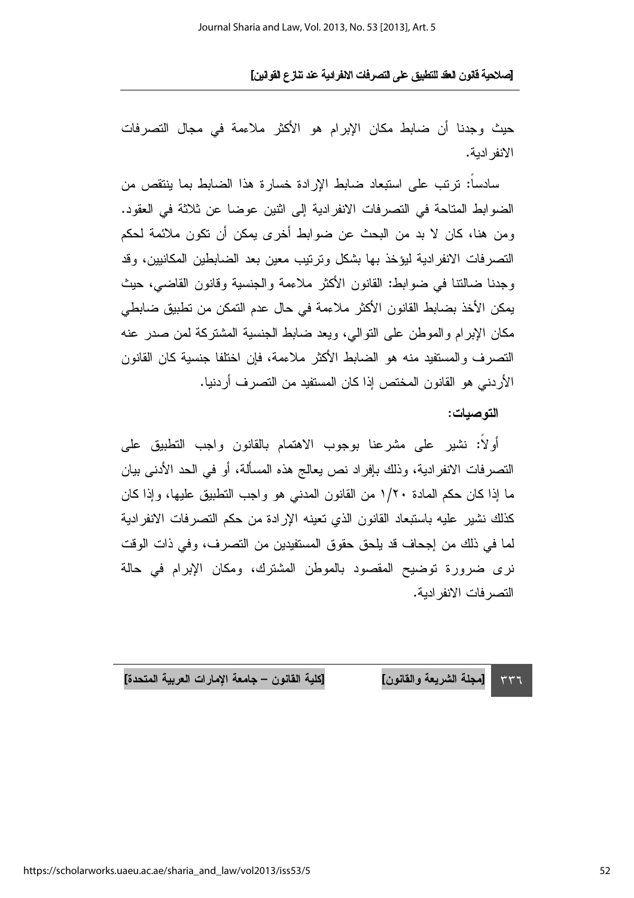حيث وجدنا أن ضابط مكان الإبرام هو الأكثر ملاءمة في مجال التصرفات الانفر ادبة.

سادسا: نرتب على استبعاد ضابط الإرادة خسارة هذا الضابط بما ينتقص من الضوابط المتاحة في التصرفات الانفرادية إلى اثنين عوضا عن ثلاثة في العقود. ومن هنا، كان لا بد من البحث عن ضوابط أخرى يمكن أن تكون ملائمة لحكم النصر فات الانفر ادبة لبوخذ بها بشكل وتر تبب معبن بعد الضباطين المكانيين، وقد وجدنا ضالتنا في ضوابط: القانون الأكثر ملاءمة والجنسية وقانون القاضي، حيث يمكن الأخذ بضابط القانون الأكثر ملاءمة في حال عدم التمكن من تطبيق ضابطي مكان الإبر ام و الموطن على التو الى، وبعد ضبابط الجنسبة المشتركة لمن صدر عنه التصر ف والمستفيد منه هو الضابط الأكثر ملاءمة، فإن اختلفا جنسية كان القانون الأردني هو القانون المختص إذا كان المستفيد من التصرف أردنيا.

#### التوصيات:

أولًا: نشير على مشرعنا بوجوب الاهتمام بالقانون واجب التطبيق على النصرفات الانفرادية، وذلك بإفراد نص يعالج هذه المسألة، أو في الحد الأدنى بيان ما إذا كان حكم المادة ١/٢٠ من القانون المدنى هو واجب التطبيق عليها، وإذا كان كذلك نشير عليه باستبعاد القانون الذى نعينه الإرادة من حكم التصرفات الانفرادية لما في ذلك من إجحاف قد يلحق حقوق المستفيدين من التصرف، وفي ذات الوقت نرى ضرورة توضيح المقصود بالموطن المشترك، ومكان الإبرام في حالة النصر فات الانفر ادبة.

[كلية القانون – جامعة الإمارات العربية المتحدة] [مجلة الشريعة والقانون]  $557$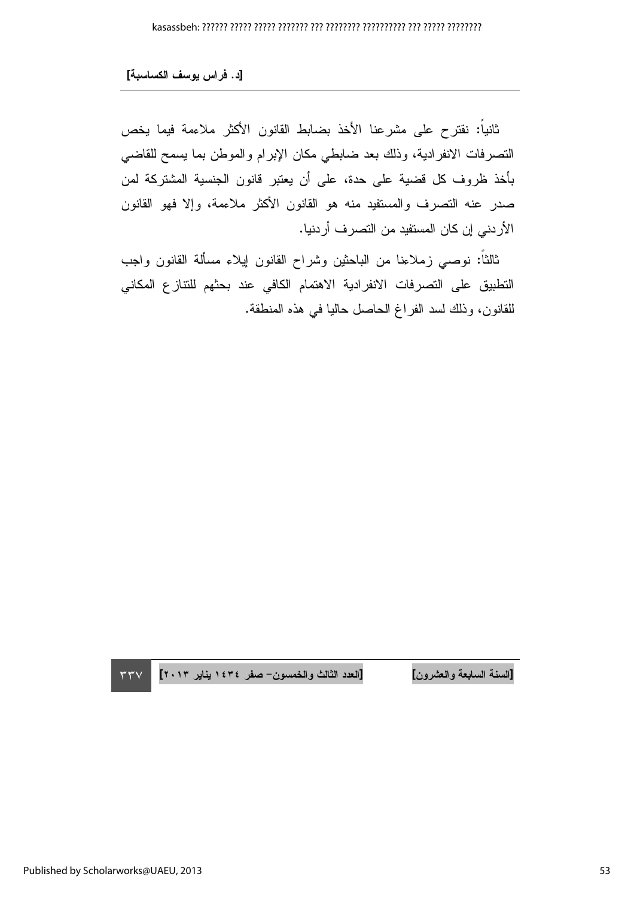ثانياً: نقترح على مشرعنا الأخذ بضابط القانون الأكثر ملاءمة فيما يخص النصرفات الانفرادية، وذلك بعد ضابطي مكان الإبرام والموطن بما يسمح للقاضبي بأخذ ظروف كل قضية على حدة، على أن يعتبر قانون الجنسية المشتركة لمن صدر عنه التصرف والمستفيد منه هو القانون الأكثر ملاءمة، وإلا فهو القانون الأردني إن كان المستفيد من التصرف أردنيا.

ثالثا: نوصبي زملاءنا من الباحثين وشراح القانون إيلاء مسألة القانون واجب التطبيق على التصرفات الانفرادية الاهتمام الكافي عند بحثهم للتتازع المكاني للقانون، وذلك لسد الفراغ الحاصل حاليا فـي هذه المنطقة.

السنة السابعة والعشرون

[السنة السابعة والعشرون] [العدد الثالث والخمسون– صفر ١٤٣٤ يناير ٢٠١٣ ] ٣٣٧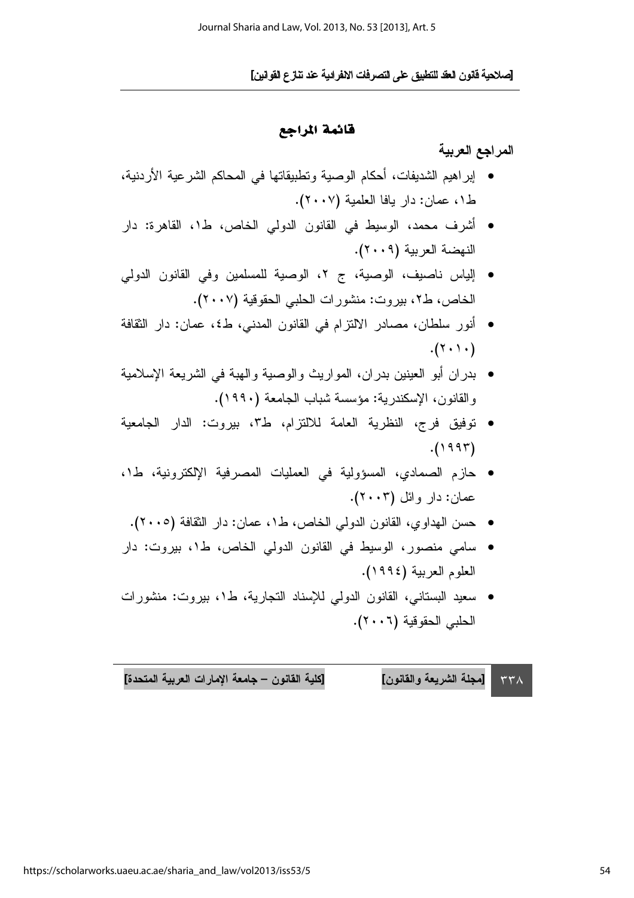. J[ N\$ -) -% &\$ '() \*+\$( -. 
6 1L]

#### قائمة المراجع

المراجع العربية

- إبر اهيم الشديفات، أحكام الوصية ونطبيقاتها في المحاكم الشرعية الأردنية، ط١، عمان: دار يافا العلمية (٢٠٠٧).
- أشرف محمد، الوسيط في القانون الدولي الخاص، ط1، القاهرة: دار النهضة العربية (٢٠٠٩).
- إلياس ناصيف، الوصية، ج ٢، الوصية للمسلمين وفي القانون الدولي الخاص، ط٢، بيروت: منشورات الحلبي الحقوقية (٢٠٠٧).
- أنور سلطان، مصـادر الالنزام في القانون المدني، ط٤، عمان: دار الثقافة  $.(\tau \cdot \tau)$ .
- بدران أبو العينين بدران، المواريث والوصية والهبة في الشريعة الإسلامية والقانون، الإسكندرية: مؤسسة شباب الجامعة (١٩٩٠).
- توفيق فرج، النظرية العامة للالتزام، ط٣، بيروت: الدار الجامعية  $.$ (1995)
- حازم الصمادي، المسؤولية في العمليات المصرفية الإلكترونية، ط١، عمان: دار وائل (۲۰۰۳).
	- حسن المهداوي، القانون الدولي الخاص، ط١، عمان: دار الثقافة (٢٠٠٥).
- سامي منصور، الوسيط في القانون الدولي الخاص، ط١، بيروت: دار العلوم العربية (١٩٩٤).
- سعيد البستاني، القانون الدولي للإسناد التجارية، ط١، بيروت: منشورات الحلبي الحقوقية (٢٠٠٦).

لقانون] [كلية القانون – جامعة الإمارات العربية المتحدة] ٣٣٨ | [مجلة الشريعة واا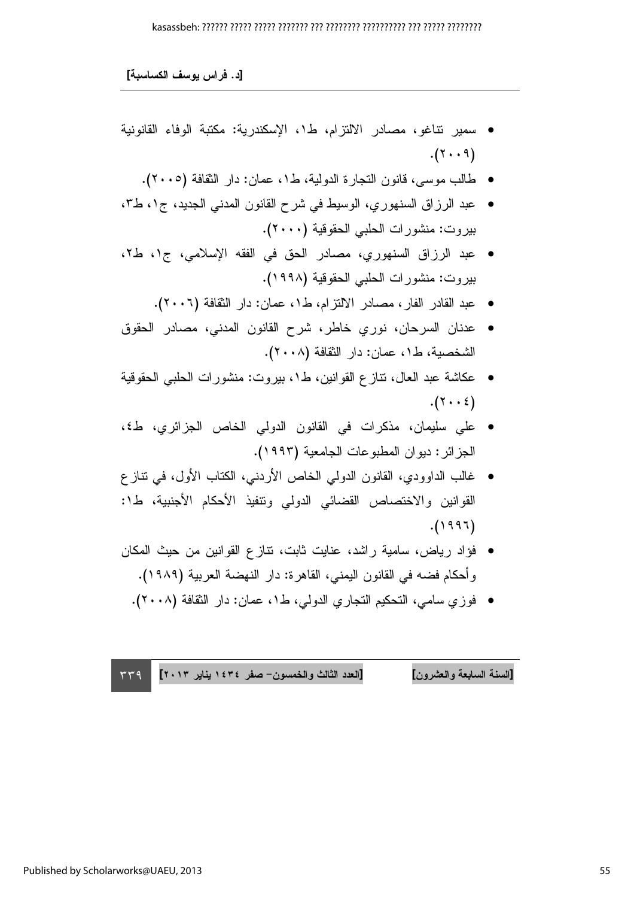#### 

[د. فراس يوسف الكساسبة]

- سمير نتاغو، مصادر الالتزام، ط١، الإسكندرية: مكتبة الوفاء القانونية  $.(\Upsilon \cdot \cdot \Upsilon)$ 
	- طالب موسى، قانون النجارة الدولية، ط١، عمان: دار النقافة (٢٠٠٥).
- عبد الرزاق السنهوري، الوسيط في شرح القانون المدنى الجديد، ج١، ط٣، بيروت: منشورات الحلبي الحقوقية (٢٠٠٠).
- عبد الرزاق السنهوري، مصادر الحق في الفقه الإسلامي، ج١، ط٢، بيروت: منشورات الحلبي الحقوقية (١٩٩٨).
	- عبد القادر الفار، مصادر الالنزام، ط١، عمان: دار النقافة (٢٠٠٦).
- عدنان السرحان، نوري خاطر، شرح القانون المدنى، مصادر الحقوق الشخصية، ط١، عمان: دار النقافة (٢٠٠٨).
- عكاشة عبد العال، نتازع القوانين، ط١، بيروت: منشورات الحلبي الحقوقية  $.(\Upsilon \cdot \cdot \Sigma)$
- على سليمان، مذكرات في القانون الدولي الخاص الجزائري، ط٤، الجزائر: ديوان المطبوعات الجامعية (١٩٩٣).
- غالب الداوودي، القانون الدولي الخاص الأردني، الكتاب الأول، في نتاز ع القوانين والاختصاص القضائي الدولي ونتفيذ الأحكام الأجنبية، ط1:  $(1997)$
- فؤاد رياض، سامية راشد، عنايت ثابت، نتازع القوانين من حيث المكان و أحكام فضبه في القانون اليمني، القاهر ة: دار النهضبة العربية (١٩٨٩).
	- فوز ي سامي، التحكيم النجار ي الدولي، ط١، عمان: دار النقافة (٢٠٠٨).

[السنة السابعة والعشرون] [العدد الثالث والخمسون- صفر ١٤٣٤ يناير ٢٠١٣]  $TT9$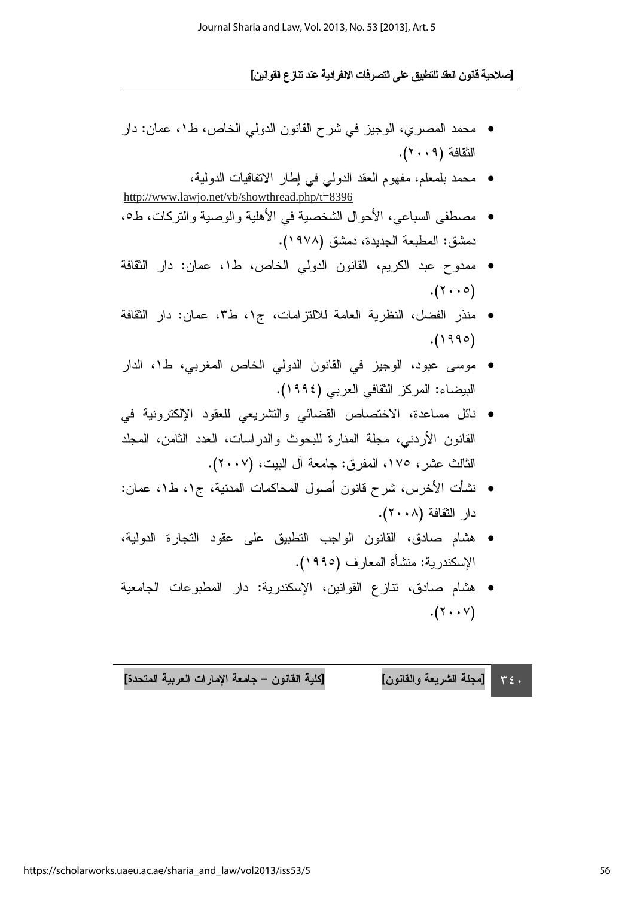- محمد المصري، الوجيز في شرح القانون الدولي الخاص، ط١، عمان: دار الثقافة (٢٠٠٩).
- محمد بلمعلم، مفهوم العقد الدولمي في إطار الاتفاقيات الدولية، http://www.lawjo.net/vb/showthread.php/t=8396
- مصطفى السباعي، الأحوال الشخصية في الأهلية والوصية والتركات، ط0، دمشق: المطبعة الجديدة، دمشق (١٩٧٨).
- ممدوح عبد الكريم، القانون الدولي الخاص، ط١، عمان: دار الثقافة  $.(\tau \cdot \cdot \circ)$
- منذر الفضل، النظرية العامة للالتزامات، ج١، ط٣، عمان: دار النقافة  $. (1990)$
- موسى عبود، الوجيز في القانون الدولي الخاص المغربي، ط١، الدار البيضاء: المركز الثقافي العربي (١٩٩٤).
- نائل مساعدة، الاختصاص القضائي والتشريعي للعقود الإلكترونية في القانون الأردني، مجلة المنارة للبحوث والدراسات، العدد الثامن، المجلد الثالث عشر، ١٧٥، المفرق: جامعة آل البيت، (٢٠٠٧).
- نشأت الأخرس، شرح قانون أصول المحاكمات المدنية، ج١، ط١، عمان: دار النقافة (٢٠٠٨).
- هشام صادق، القانون الواجب التطبيق على عقود التجارة الدولية، الإسكندرية: منشأة المعارف (١٩٩٥).
- هشام صادق، نتازع القوانين، الإسكندرية: دار المطبوعات الجامعية  $.(\Upsilon \cdot \Upsilon)$

[كلية القانون – جامعة الإمارات العربية المتحدة] [مجلة الشريعة والقانون]  $T \xi$